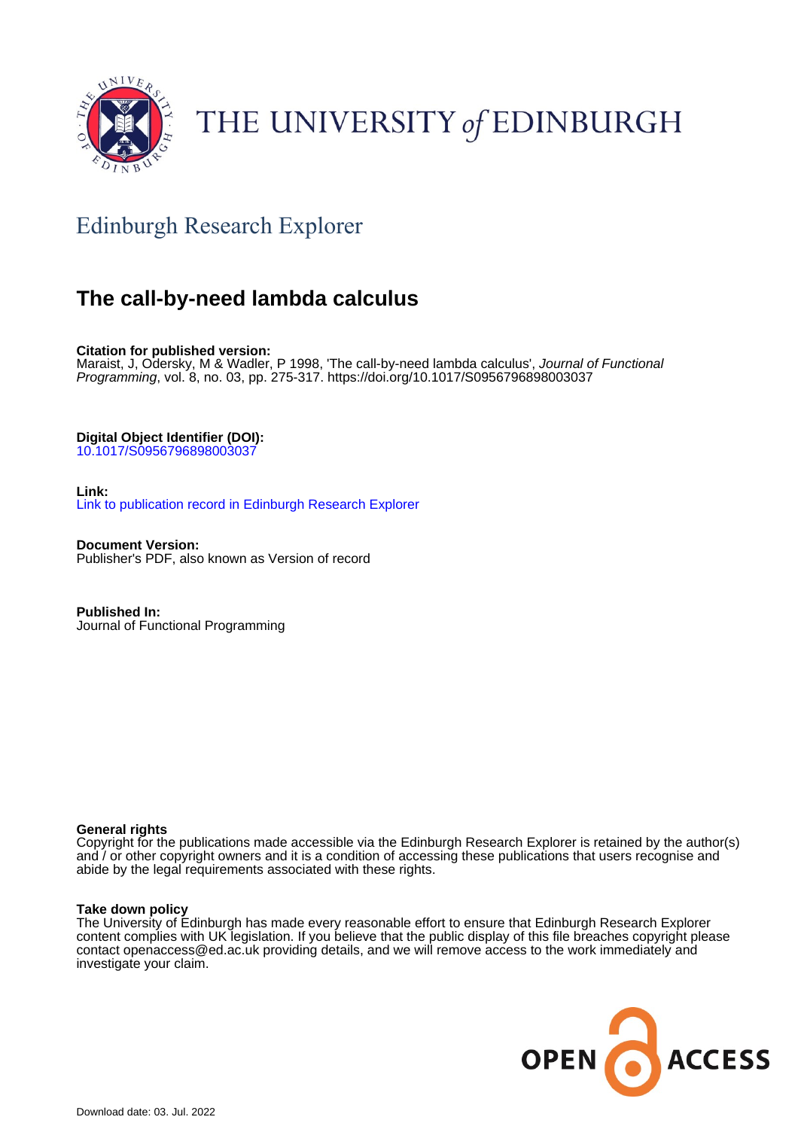

# THE UNIVERSITY of EDINBURGH

## Edinburgh Research Explorer

## **The call-by-need lambda calculus**

**Citation for published version:** Maraist, J, Odersky, M & Wadler, P 1998, 'The call-by-need lambda calculus', Journal of Functional Programming, vol. 8, no. 03, pp. 275-317.<https://doi.org/10.1017/S0956796898003037>

**Digital Object Identifier (DOI):**

[10.1017/S0956796898003037](https://doi.org/10.1017/S0956796898003037)

**Link:**

[Link to publication record in Edinburgh Research Explorer](https://www.research.ed.ac.uk/en/publications/634f1109-cc95-48f6-81ae-6b77abe18849)

**Document Version:** Publisher's PDF, also known as Version of record

**Published In:** Journal of Functional Programming

#### **General rights**

Copyright for the publications made accessible via the Edinburgh Research Explorer is retained by the author(s) and / or other copyright owners and it is a condition of accessing these publications that users recognise and abide by the legal requirements associated with these rights.

#### **Take down policy**

The University of Edinburgh has made every reasonable effort to ensure that Edinburgh Research Explorer content complies with UK legislation. If you believe that the public display of this file breaches copyright please contact openaccess@ed.ac.uk providing details, and we will remove access to the work immediately and investigate your claim.

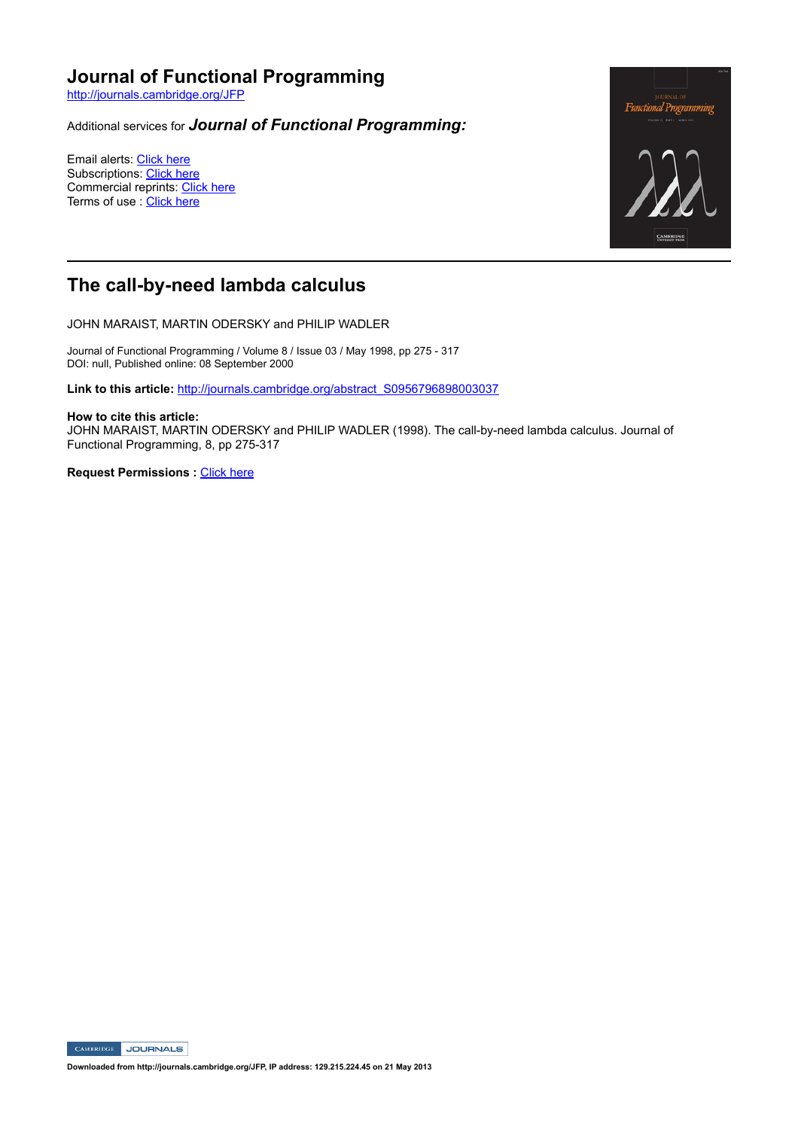### **Journal of Functional Programming**

http://journals.cambridge.org/JFP

Additional services for *Journal of Functional Programming:*

Email alerts: Click here Subscriptions: Click here Commercial reprints: Click here Terms of use : Click here



## **The call-by-need lambda calculus**

JOHN MARAIST, MARTIN ODERSKY and PHILIP WADLER

Journal of Functional Programming / Volume 8 / Issue 03 / May 1998, pp 275 - 317 DOI: null, Published online: 08 September 2000

Link to this article: http://journals.cambridge.org/abstract\_S0956796898003037

**How to cite this article:**

JOHN MARAIST, MARTIN ODERSKY and PHILIP WADLER (1998). The call-by-need lambda calculus. Journal of Functional Programming, 8, pp 275-317

**Request Permissions : Click here** 

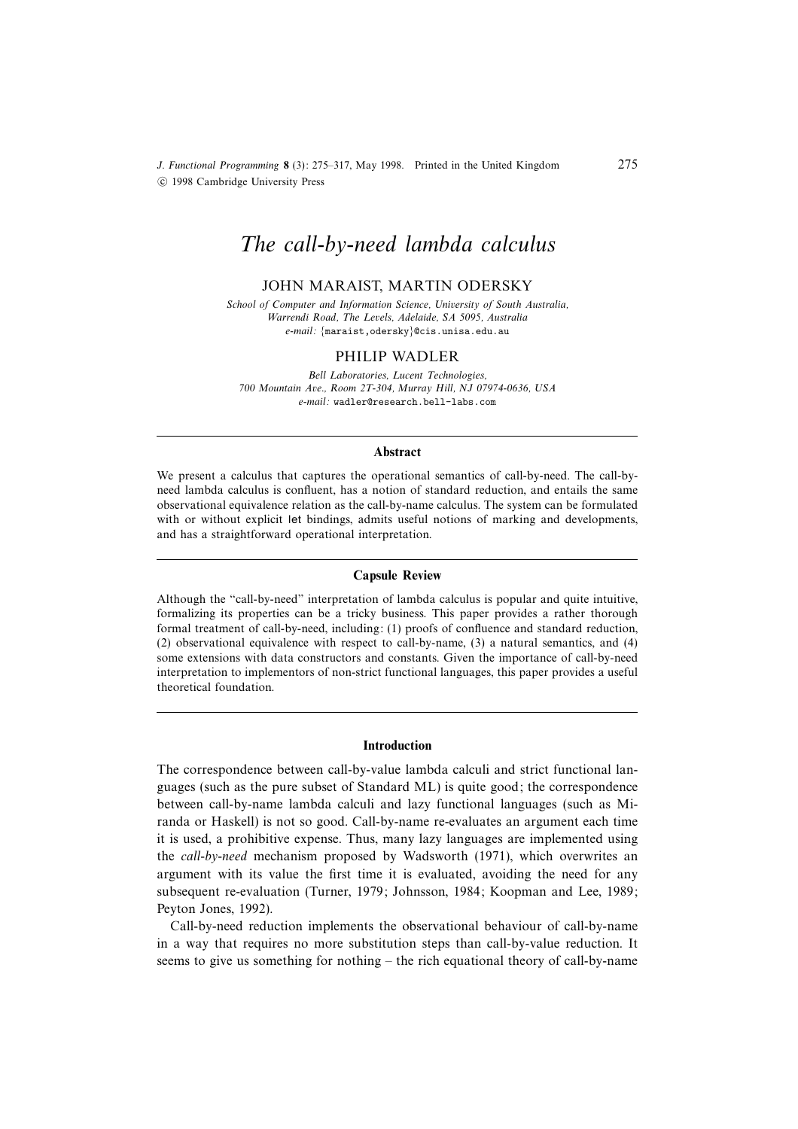J. Functional Programming **8** (3): 275–317, May 1998. Printed in the United Kingdom c 1998 Cambridge University Press

## The call-by-need lambda calculus

#### JOHN MARAIST, MARTIN ODERSKY

School of Computer and Information Science, University of South Australia, Warrendi Road, The Levels, Adelaide, SA 5095, Australia e-mail: {maraist,odersky}@cis.unisa.edu.au

#### PHILIP WADLER

Bell Laboratories, Lucent Technologies, 700 Mountain Ave., Room 2T-304, Murray Hill, NJ 07974-0636, USA e-mail: wadler@research.bell-labs.com

#### **Abstract**

We present a calculus that captures the operational semantics of call-by-need. The call-byneed lambda calculus is confluent, has a notion of standard reduction, and entails the same observational equivalence relation as the call-by-name calculus. The system can be formulated with or without explicit let bindings, admits useful notions of marking and developments, and has a straightforward operational interpretation.

#### **Capsule Review**

Although the "call-by-need" interpretation of lambda calculus is popular and quite intuitive, formalizing its properties can be a tricky business. This paper provides a rather thorough formal treatment of call-by-need, including: (1) proofs of confluence and standard reduction, (2) observational equivalence with respect to call-by-name, (3) a natural semantics, and (4) some extensions with data constructors and constants. Given the importance of call-by-need interpretation to implementors of non-strict functional languages, this paper provides a useful theoretical foundation.

#### **Introduction**

The correspondence between call-by-value lambda calculi and strict functional languages (such as the pure subset of Standard ML) is quite good; the correspondence between call-by-name lambda calculi and lazy functional languages (such as Miranda or Haskell) is not so good. Call-by-name re-evaluates an argument each time it is used, a prohibitive expense. Thus, many lazy languages are implemented using the call-by-need mechanism proposed by Wadsworth (1971), which overwrites an argument with its value the first time it is evaluated, avoiding the need for any subsequent re-evaluation (Turner, 1979; Johnsson, 1984; Koopman and Lee, 1989; Peyton Jones, 1992).

Call-by-need reduction implements the observational behaviour of call-by-name in a way that requires no more substitution steps than call-by-value reduction. It seems to give us something for nothing – the rich equational theory of call-by-name

275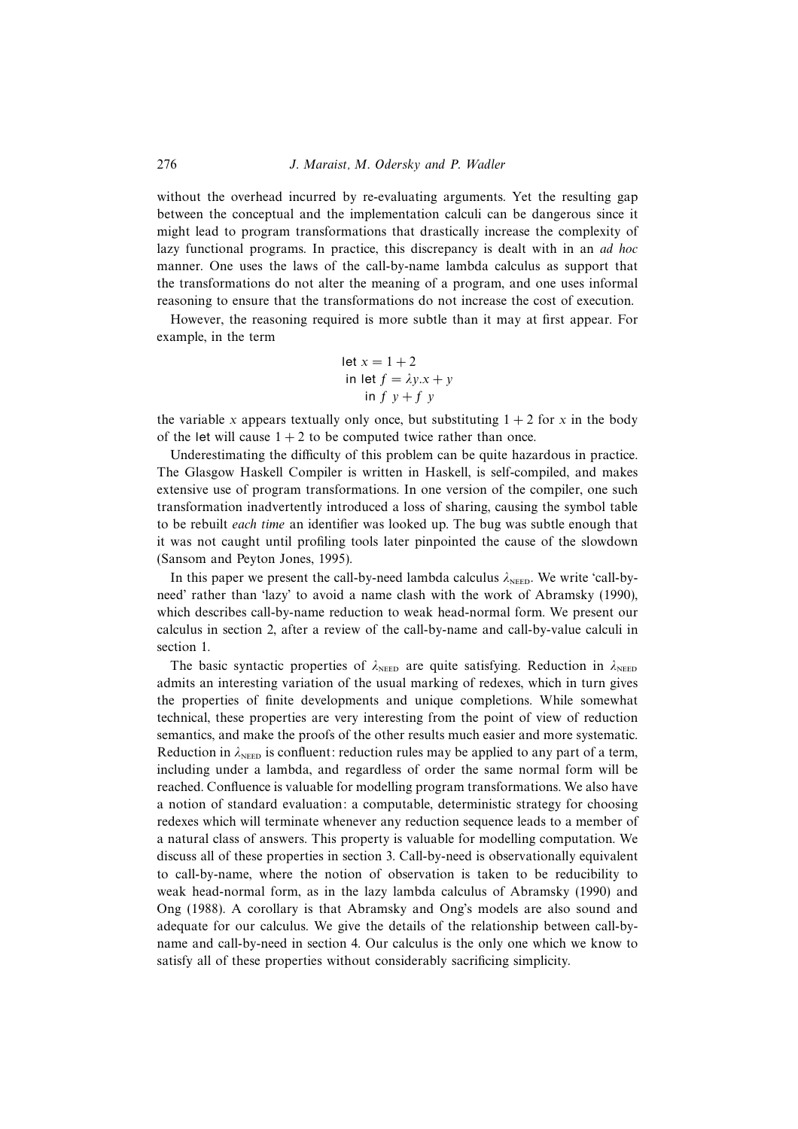without the overhead incurred by re-evaluating arguments. Yet the resulting gap between the conceptual and the implementation calculi can be dangerous since it might lead to program transformations that drastically increase the complexity of lazy functional programs. In practice, this discrepancy is dealt with in an *ad hoc* manner. One uses the laws of the call-by-name lambda calculus as support that the transformations do not alter the meaning of a program, and one uses informal reasoning to ensure that the transformations do not increase the cost of execution.

However, the reasoning required is more subtle than it may at first appear. For example, in the term

let 
$$
x = 1 + 2
$$
  
in let  $f = \lambda y.x + y$   
in f  $y + f y$ 

the variable *x* appears textually only once, but substituting  $1 + 2$  for *x* in the body of the let will cause  $1 + 2$  to be computed twice rather than once.

Underestimating the difficulty of this problem can be quite hazardous in practice. The Glasgow Haskell Compiler is written in Haskell, is self-compiled, and makes extensive use of program transformations. In one version of the compiler, one such transformation inadvertently introduced a loss of sharing, causing the symbol table to be rebuilt each time an identifier was looked up. The bug was subtle enough that it was not caught until profiling tools later pinpointed the cause of the slowdown (Sansom and Peyton Jones, 1995).

In this paper we present the call-by-need lambda calculus  $λ_{NEED}$ . We write 'call-byneed' rather than 'lazy' to avoid a name clash with the work of Abramsky (1990), which describes call-by-name reduction to weak head-normal form. We present our calculus in section 2, after a review of the call-by-name and call-by-value calculi in section 1.

The basic syntactic properties of  $\lambda_{\text{NEED}}$  are quite satisfying. Reduction in  $\lambda_{\text{NEED}}$ admits an interesting variation of the usual marking of redexes, which in turn gives the properties of finite developments and unique completions. While somewhat technical, these properties are very interesting from the point of view of reduction semantics, and make the proofs of the other results much easier and more systematic. Reduction in  $\lambda_{\text{NEED}}$  is confluent: reduction rules may be applied to any part of a term, including under a lambda, and regardless of order the same normal form will be reached. Confluence is valuable for modelling program transformations. We also have a notion of standard evaluation: a computable, deterministic strategy for choosing redexes which will terminate whenever any reduction sequence leads to a member of a natural class of answers. This property is valuable for modelling computation. We discuss all of these properties in section 3. Call-by-need is observationally equivalent to call-by-name, where the notion of observation is taken to be reducibility to weak head-normal form, as in the lazy lambda calculus of Abramsky (1990) and Ong (1988). A corollary is that Abramsky and Ong's models are also sound and adequate for our calculus. We give the details of the relationship between call-byname and call-by-need in section 4. Our calculus is the only one which we know to satisfy all of these properties without considerably sacrificing simplicity.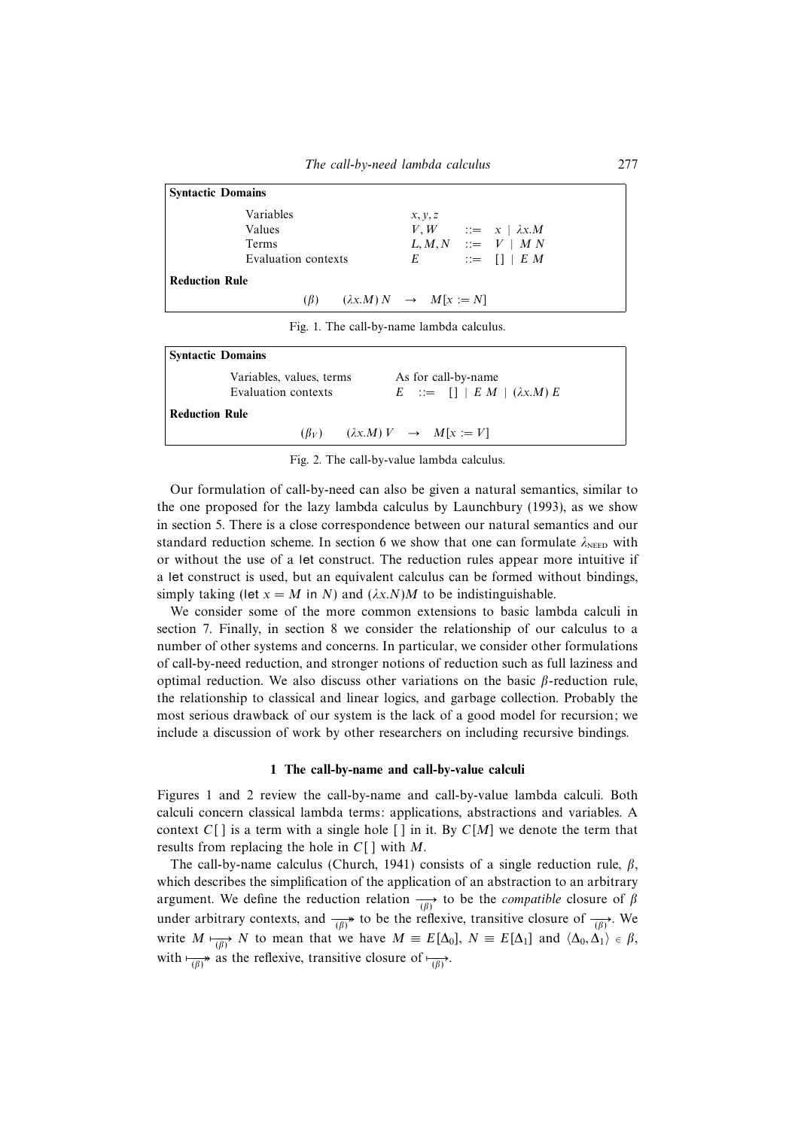| <b>Syntactic Domains</b> |                     |                                         |                                      |                                 |  |
|--------------------------|---------------------|-----------------------------------------|--------------------------------------|---------------------------------|--|
|                          | Variables           |                                         | x, y, z                              |                                 |  |
|                          | Values              |                                         |                                      | $V, W$ ::= $x \mid \lambda x.M$ |  |
| Terms                    |                     |                                         | $L, M, N \quad ::= \quad V \mid M N$ |                                 |  |
|                          | Evaluation contexts |                                         |                                      | $E$ ::= $\Box$ $E M$            |  |
| <b>Reduction Rule</b>    |                     |                                         |                                      |                                 |  |
|                          | $(\beta)$           | $(\lambda x.M) N \rightarrow M[x := N]$ |                                      |                                 |  |

|  |  |  | Fig. 1. The call-by-name lambda calculus. |  |  |
|--|--|--|-------------------------------------------|--|--|
|--|--|--|-------------------------------------------|--|--|

| <b>Syntactic Domains</b> |                                                 |                                                                  |
|--------------------------|-------------------------------------------------|------------------------------------------------------------------|
|                          | Variables, values, terms<br>Evaluation contexts | As for call-by-name<br>$E$ := $\Box$ $E M \vert (\lambda x.M) E$ |
| <b>Reduction Rule</b>    |                                                 |                                                                  |
|                          |                                                 | $(\beta_V)$ $(\lambda x.M)V \rightarrow M[x := V]$               |
|                          |                                                 |                                                                  |

Fig. 2. The call-by-value lambda calculus.

Our formulation of call-by-need can also be given a natural semantics, similar to the one proposed for the lazy lambda calculus by Launchbury (1993), as we show in section 5. There is a close correspondence between our natural semantics and our standard reduction scheme. In section 6 we show that one can formulate  $λ_{NEED}$  with or without the use of a let construct. The reduction rules appear more intuitive if a let construct is used, but an equivalent calculus can be formed without bindings, simply taking (let  $x = M$  in *N*) and  $(\lambda x.N)M$  to be indistinguishable.

We consider some of the more common extensions to basic lambda calculi in section 7. Finally, in section 8 we consider the relationship of our calculus to a number of other systems and concerns. In particular, we consider other formulations of call-by-need reduction, and stronger notions of reduction such as full laziness and optimal reduction. We also discuss other variations on the basic *β*-reduction rule, the relationship to classical and linear logics, and garbage collection. Probably the most serious drawback of our system is the lack of a good model for recursion; we include a discussion of work by other researchers on including recursive bindings.

#### **1 The call-by-name and call-by-value calculi**

Figures 1 and 2 review the call-by-name and call-by-value lambda calculi. Both calculi concern classical lambda terms: applications, abstractions and variables. A context  $C[\ ]$  is a term with a single hole  $[\ ]$  in it. By  $C[M]$  we denote the term that results from replacing the hole in *C*[ ] with *M*.

The call-by-name calculus (Church, 1941) consists of a single reduction rule, *β*, which describes the simplification of the application of an abstraction to an arbitrary argument. We define the reduction relation  $\frac{\rightarrow}{\beta}$  to be the *compatible* closure of *β* under arbitrary contexts, and  $\frac{ }{(\beta)}$  to be the reflexive, transitive closure of  $\frac{ }{(\beta)}$ . We write  $M \xrightarrow[\beta]} N$  to mean that we have  $M \equiv E[\Delta_0], N \equiv E[\Delta_1]$  and  $\langle \Delta_0, \Delta_1 \rangle \in \beta$ , with  $\frac{\partial}{\partial \beta}$  as the reflexive, transitive closure of  $\frac{\partial}{\partial \beta}$ .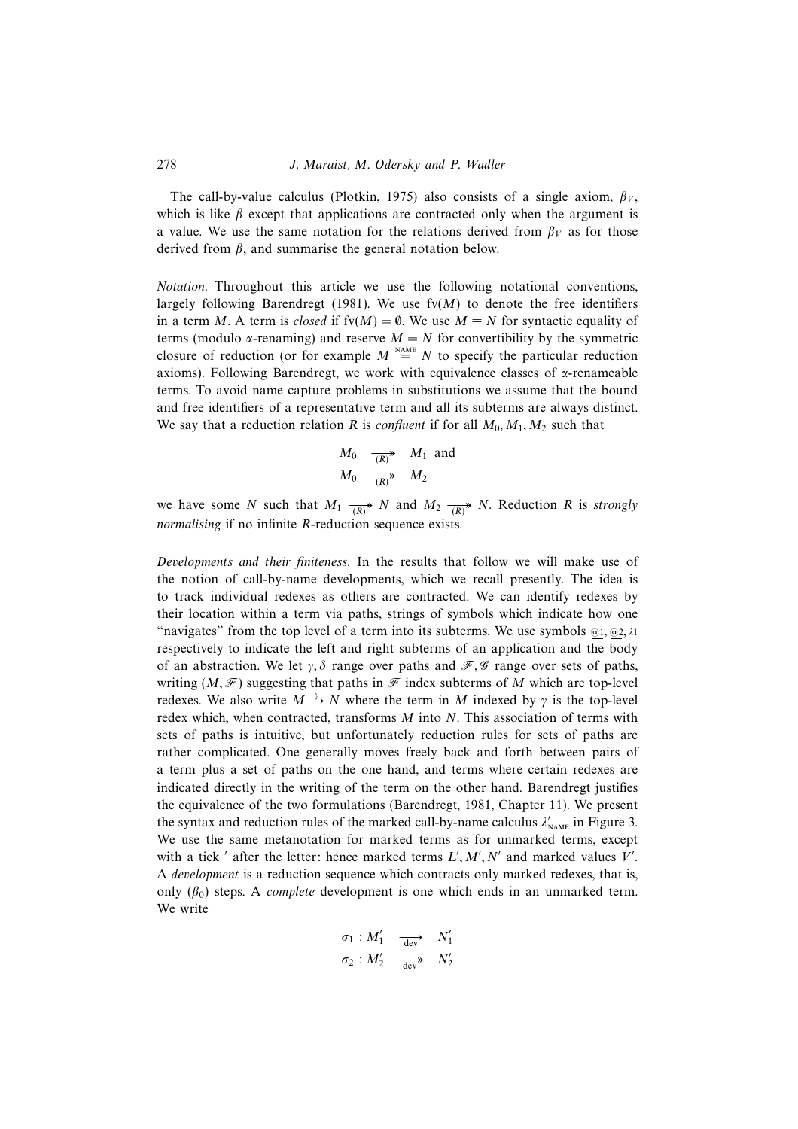The call-by-value calculus (Plotkin, 1975) also consists of a single axiom,  $\beta_V$ , which is like  $\beta$  except that applications are contracted only when the argument is a value. We use the same notation for the relations derived from  $\beta_V$  as for those derived from *β*, and summarise the general notation below.

Notation. Throughout this article we use the following notational conventions, largely following Barendregt (1981). We use  $f(v/M)$  to denote the free identifiers in a term *M*. A term is *closed* if  $fv(M) = \emptyset$ . We use  $M \equiv N$  for syntactic equality of terms (modulo *α*-renaming) and reserve  $M = N$  for convertibility by the symmetric closure of reduction (or for example  $M \stackrel{\text{NAME}}{=} N$  to specify the particular reduction axioms). Following Barendregt, we work with equivalence classes of *α*-renameable terms. To avoid name capture problems in substitutions we assume that the bound and free identifiers of a representative term and all its subterms are always distinct. We say that a reduction relation *R* is *confluent* if for all  $M_0, M_1, M_2$  such that

$$
M_0 \xrightarrow[\overline{R}]{} M_1 \text{ and}
$$
  

$$
M_0 \xrightarrow[\overline{R}]{} M_2
$$

we have some *N* such that  $M_1 \xrightarrow[R]{(R)} N$  and  $M_2 \xrightarrow[R]{(R)} N$ . Reduction *R* is strongly normalising if no infinite *R*-reduction sequence exists.

Developments and their finiteness. In the results that follow we will make use of the notion of call-by-name developments, which we recall presently. The idea is to track individual redexes as others are contracted. We can identify redexes by their location within a term via paths, strings of symbols which indicate how one "navigates" from the top level of a term into its subterms. We use symbols @1*,* @2*, <sup>λ</sup>*<sup>1</sup> respectively to indicate the left and right subterms of an application and the body of an abstraction. We let  $\gamma$ ,  $\delta$  range over paths and  $\mathscr{F}, \mathscr{G}$  range over sets of paths, writing  $(M, \mathcal{F})$  suggesting that paths in  $\mathcal F$  index subterms of M which are top-level redexes. We also write  $M \xrightarrow{\gamma} N$  where the term in M indexed by  $\gamma$  is the top-level redex which, when contracted, transforms *M* into *N*. This association of terms with sets of paths is intuitive, but unfortunately reduction rules for sets of paths are rather complicated. One generally moves freely back and forth between pairs of a term plus a set of paths on the one hand, and terms where certain redexes are indicated directly in the writing of the term on the other hand. Barendregt justifies the equivalence of the two formulations (Barendregt, 1981, Chapter 11). We present the syntax and reduction rules of the marked call-by-name calculus  $\lambda'_{\text{NAME}}$  in Figure 3. We use the same metanotation for marked terms as for unmarked terms, except with a tick  $\prime$  after the letter: hence marked terms  $L', M', N'$  and marked values  $V'$ . A development is a reduction sequence which contracts only marked redexes, that is, only  $(\beta_0)$  steps. A *complete* development is one which ends in an unmarked term. We write

$$
\begin{array}{ccccc}\n\sigma_1: M'_1 & \xrightarrow{\text{dev}} & N'_1 \\
\sigma_2: M'_2 & \xrightarrow{\text{dev}} & N'_2\n\end{array}
$$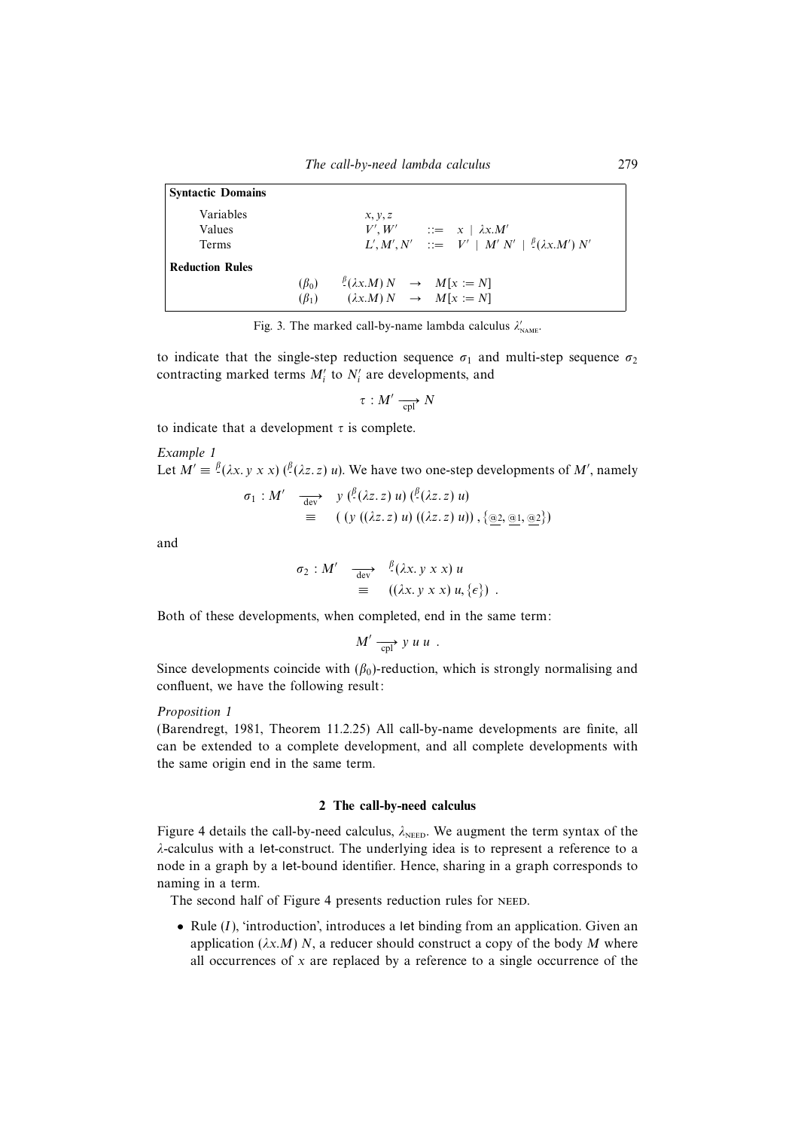| <b>Syntactic Domains</b> |                                                                    |
|--------------------------|--------------------------------------------------------------------|
| Variables                | x, y, z                                                            |
| Values                   | $V', W'$ ::= $x \mid \lambda x.M'$                                 |
| Terms                    | $L', M', N'$ ::= $V'   M' N'  ^{\beta} (\lambda x.M') N'$          |
| <b>Reduction Rules</b>   |                                                                    |
|                          | $\frac{\beta(\lambda x.M) N \rightarrow M[x := N]}$<br>$(\beta_0)$ |
|                          | $(\lambda x.M) N \rightarrow M[x := N]$<br>$(\beta_1)$             |

Fig. 3. The marked call-by-name lambda calculus  $\lambda'_{NAME}$ .

to indicate that the single-step reduction sequence  $\sigma_1$  and multi-step sequence  $\sigma_2$ contracting marked terms  $M_i'$  to  $N_i'$  are developments, and

$$
\tau: M' \xrightarrow{\text{cpl}} N
$$

to indicate that a development *τ* is complete.

#### Example 1 Let  $M' \equiv \frac{\beta(\lambda x, y \cdot x)}{\beta(\lambda z, z)}$  *u*). We have two one-step developments of *M'*, namely

$$
\sigma_1: M' \xrightarrow[\text{dev}]{\text{dev}} y \left(\frac{\beta(\lambda z. z) u\right) \left(\frac{\beta(\lambda z. z) u\right)}{\lambda}
$$
  
 
$$
\equiv \left(\left(y \left(\left(\lambda z. z\right) u\right) \left(\left(\lambda z. z\right) u\right)\right), \left\{\frac{\text{@2, @1, @2}\lambda}{\lambda}\right\}\right)
$$

and

$$
\sigma_2: M' \quad \xrightarrow{\text{dev}} \quad \xrightarrow{\beta} (\lambda x. y \times x) u
$$
  

$$
\equiv \quad ((\lambda x. y \times x) u, \{\epsilon\}) .
$$

Both of these developments, when completed, end in the same term:

$$
M' \xrightarrow[{\rm cpl}]{\rm cl} y \ u \ u \ .
$$

Since developments coincide with  $(\beta_0)$ -reduction, which is strongly normalising and confluent, we have the following result:

#### Proposition 1

(Barendregt, 1981, Theorem 11.2.25) All call-by-name developments are finite, all can be extended to a complete development, and all complete developments with the same origin end in the same term.

#### **2 The call-by-need calculus**

Figure 4 details the call-by-need calculus,  $\lambda_{\text{NFED}}$ . We augment the term syntax of the *λ*-calculus with a let-construct. The underlying idea is to represent a reference to a node in a graph by a let-bound identifier. Hence, sharing in a graph corresponds to naming in a term.

The second half of Figure 4 presents reduction rules for NEED.

• Rule (*I*), 'introduction', introduces a let binding from an application. Given an application  $(\lambda x.M) N$ , a reducer should construct a copy of the body M where all occurrences of *x* are replaced by a reference to a single occurrence of the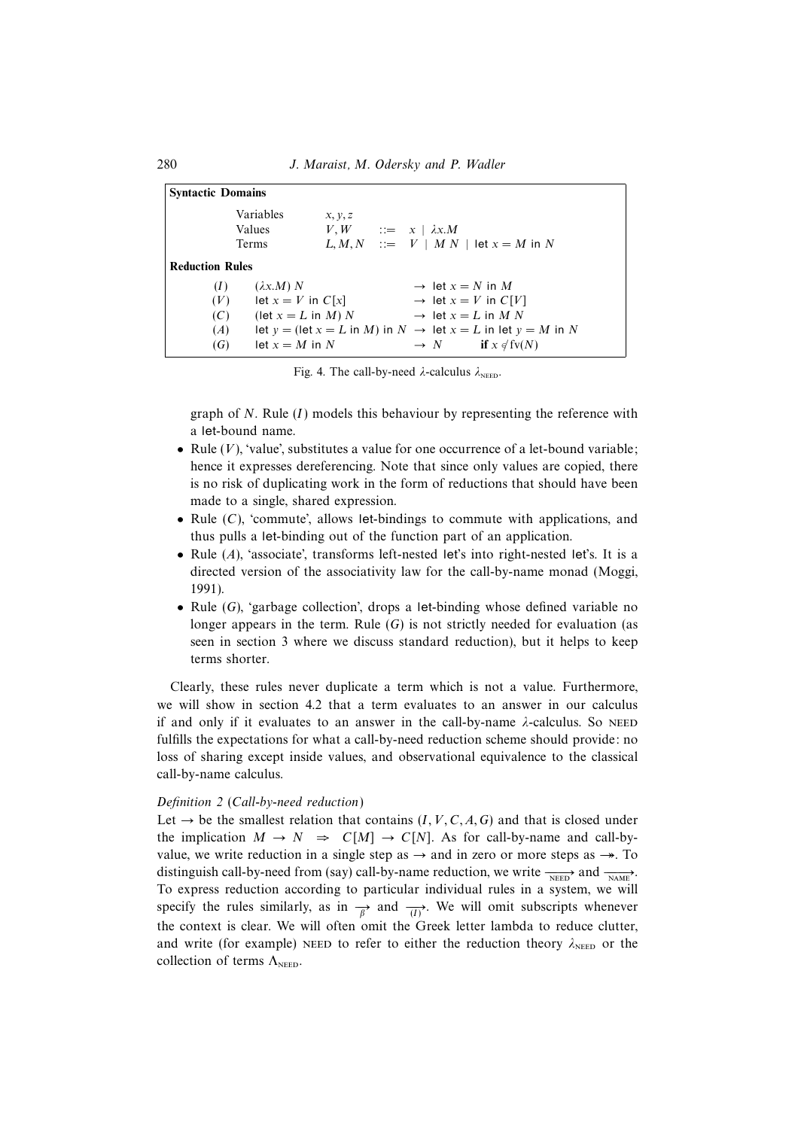| <b>Syntactic Domains</b> |                       |                                 |                                                                                                      |  |  |
|--------------------------|-----------------------|---------------------------------|------------------------------------------------------------------------------------------------------|--|--|
| Variables                | x, y, z               |                                 |                                                                                                      |  |  |
| Values                   |                       | $V, W$ ::= $x \mid \lambda x.M$ |                                                                                                      |  |  |
| Terms                    |                       |                                 | $L, M, N$ ::= $V \mid M N \mid$ let $x = M$ in N                                                     |  |  |
| <b>Reduction Rules</b>   |                       |                                 |                                                                                                      |  |  |
| $(\lambda x.M)$ N<br>(I) |                       |                                 | $\rightarrow$ let $x = N$ in M                                                                       |  |  |
| (V)                      | let $x = V$ in $C[x]$ |                                 | $\rightarrow$ let $x = V$ in $C[V]$                                                                  |  |  |
| (C)                      | $\det x = L$ in M) N  |                                 | $\rightarrow$ let $x = L$ in M N                                                                     |  |  |
| (A)                      |                       |                                 | let $y = (\text{let } x = L \text{ in } M)$ in $N \rightarrow \text{let } x = L$ in let $y = M$ in N |  |  |
| (G)                      | let $x = M$ in N      |                                 | if $x \notin f_V(N)$<br>$\rightarrow N$                                                              |  |  |

Fig. 4. The call-by-need *λ*-calculus  $λ_{\text{NEED}}$ .

graph of *N*. Rule (*I*) models this behaviour by representing the reference with a let-bound name.

- Rule  $(V)$ , 'value', substitutes a value for one occurrence of a let-bound variable; hence it expresses dereferencing. Note that since only values are copied, there is no risk of duplicating work in the form of reductions that should have been made to a single, shared expression.
- Rule (*C*), 'commute', allows let-bindings to commute with applications, and thus pulls a let-binding out of the function part of an application.
- Rule (*A*), 'associate', transforms left-nested let's into right-nested let's. It is a directed version of the associativity law for the call-by-name monad (Moggi, 1991).
- Rule (*G*), 'garbage collection', drops a let-binding whose defined variable no longer appears in the term. Rule  $(G)$  is not strictly needed for evaluation (as seen in section 3 where we discuss standard reduction), but it helps to keep terms shorter.

Clearly, these rules never duplicate a term which is not a value. Furthermore, we will show in section 4.2 that a term evaluates to an answer in our calculus if and only if it evaluates to an answer in the call-by-name *λ*-calculus. So need fulfills the expectations for what a call-by-need reduction scheme should provide: no loss of sharing except inside values, and observational equivalence to the classical call-by-name calculus.

#### Definition 2 (Call-by-need reduction)

Let  $\rightarrow$  be the smallest relation that contains  $(I, V, C, A, G)$  and that is closed under the implication  $M \to N \Rightarrow C[M] \to C[N]$ . As for call-by-name and call-byvalue, we write reduction in a single step as  $\rightarrow$  and in zero or more steps as  $\rightarrow$ . To distinguish call-by-need from (say) call-by-name reduction, we write  $\frac{}{\sqrt{NEED}}$  and  $\frac{}{\sqrt{NAME}}$ . To express reduction according to particular individual rules in a system, we will specify the rules similarly, as in  $\rightarrow$  and  $\rightarrow$ <sub>*II*</sub>. We will omit subscripts whenever the context is clear. We will often omit the Greek letter lambda to reduce clutter, and write (for example) NEED to refer to either the reduction theory  $\lambda_{\text{NEED}}$  or the collection of terms  $\Lambda_{\text{NEED}}$ .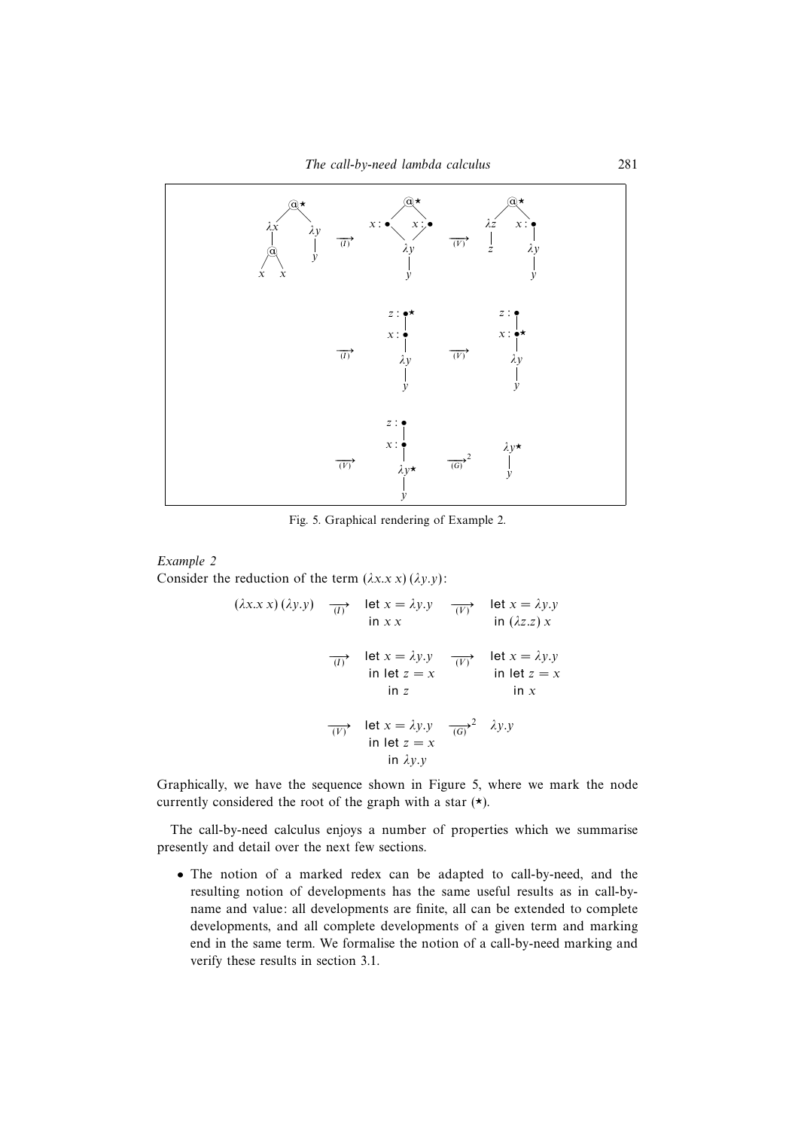

Fig. 5. Graphical rendering of Example 2.

Example 2

Consider the reduction of the term (*λx.x x*) (*λy.y*):

$$
(\lambda x. x x)(\lambda y. y) \xrightarrow{\text{(I)}} \text{let } x = \lambda y. y \xrightarrow{\text{(V)}} \text{let } x = \lambda y. y
$$
  
\n
$$
\text{in } x x \xrightarrow{\text{(I)}} \text{in } (\lambda z. z) x
$$
  
\n
$$
\text{let } x = \lambda y. y \xrightarrow{\text{(V)}} \text{let } x = \lambda y. y
$$
  
\n
$$
\text{in } z = x \xrightarrow{\text{(I)}} \text{in } z = x
$$
  
\n
$$
\text{in } z
$$
  
\n
$$
\text{let } x = \lambda y. y \xrightarrow{\text{(I)}} \text{in } z = x
$$
  
\n
$$
\text{in } x = \lambda y. y \xrightarrow{\text{(I)}} \text{in } x = \lambda y. y
$$
  
\n
$$
\text{in } z = x \xrightarrow{\text{(II)}} \text{in } \lambda y. y
$$

Graphically, we have the sequence shown in Figure 5, where we mark the node currently considered the root of the graph with a star  $(\star)$ .

The call-by-need calculus enjoys a number of properties which we summarise presently and detail over the next few sections.

• The notion of a marked redex can be adapted to call-by-need, and the resulting notion of developments has the same useful results as in call-byname and value: all developments are finite, all can be extended to complete developments, and all complete developments of a given term and marking end in the same term. We formalise the notion of a call-by-need marking and verify these results in section 3.1.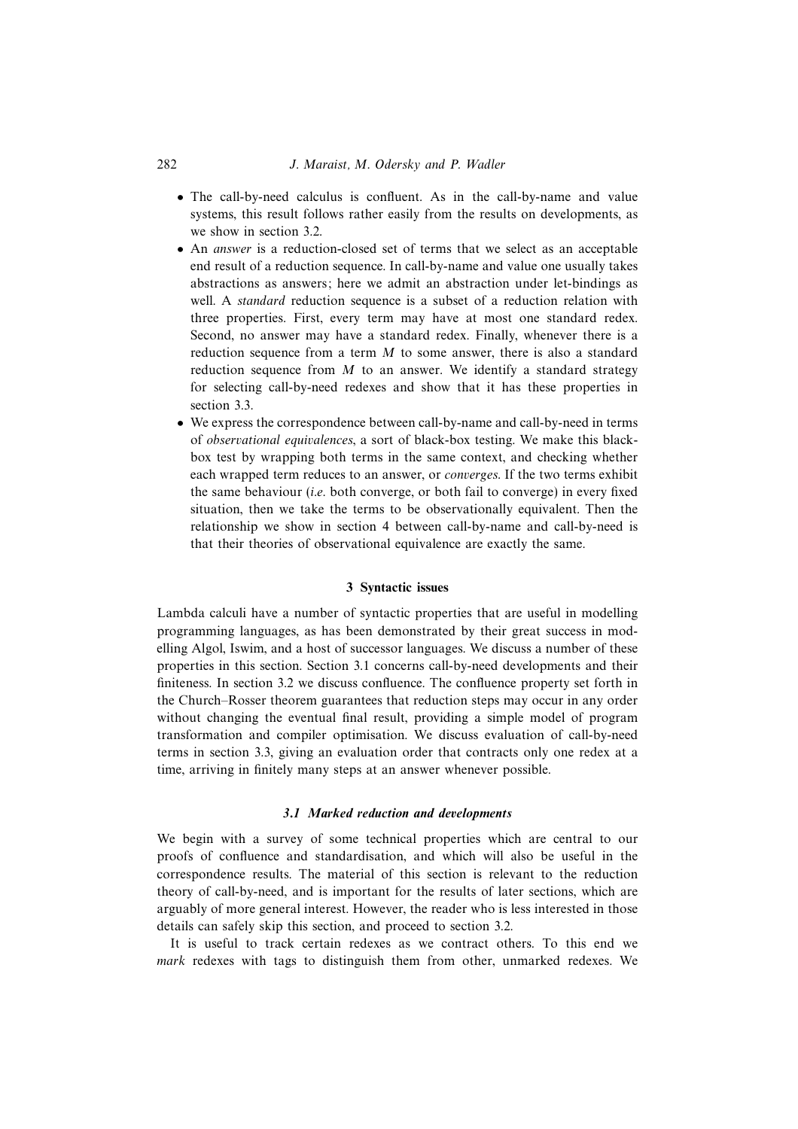- The call-by-need calculus is confluent. As in the call-by-name and value systems, this result follows rather easily from the results on developments, as we show in section 3.2.
- An *answer* is a reduction-closed set of terms that we select as an acceptable end result of a reduction sequence. In call-by-name and value one usually takes abstractions as answers; here we admit an abstraction under let-bindings as well. A standard reduction sequence is a subset of a reduction relation with three properties. First, every term may have at most one standard redex. Second, no answer may have a standard redex. Finally, whenever there is a reduction sequence from a term *M* to some answer, there is also a standard reduction sequence from *M* to an answer. We identify a standard strategy for selecting call-by-need redexes and show that it has these properties in section 3.3.
- We express the correspondence between call-by-name and call-by-need in terms of observational equivalences, a sort of black-box testing. We make this blackbox test by wrapping both terms in the same context, and checking whether each wrapped term reduces to an answer, or converges. If the two terms exhibit the same behaviour (i.e. both converge, or both fail to converge) in every fixed situation, then we take the terms to be observationally equivalent. Then the relationship we show in section 4 between call-by-name and call-by-need is that their theories of observational equivalence are exactly the same.

#### **3 Syntactic issues**

Lambda calculi have a number of syntactic properties that are useful in modelling programming languages, as has been demonstrated by their great success in modelling Algol, Iswim, and a host of successor languages. We discuss a number of these properties in this section. Section 3.1 concerns call-by-need developments and their finiteness. In section 3.2 we discuss confluence. The confluence property set forth in the Church–Rosser theorem guarantees that reduction steps may occur in any order without changing the eventual final result, providing a simple model of program transformation and compiler optimisation. We discuss evaluation of call-by-need terms in section 3.3, giving an evaluation order that contracts only one redex at a time, arriving in finitely many steps at an answer whenever possible.

#### *3.1 Marked reduction and developments*

We begin with a survey of some technical properties which are central to our proofs of confluence and standardisation, and which will also be useful in the correspondence results. The material of this section is relevant to the reduction theory of call-by-need, and is important for the results of later sections, which are arguably of more general interest. However, the reader who is less interested in those details can safely skip this section, and proceed to section 3.2.

It is useful to track certain redexes as we contract others. To this end we mark redexes with tags to distinguish them from other, unmarked redexes. We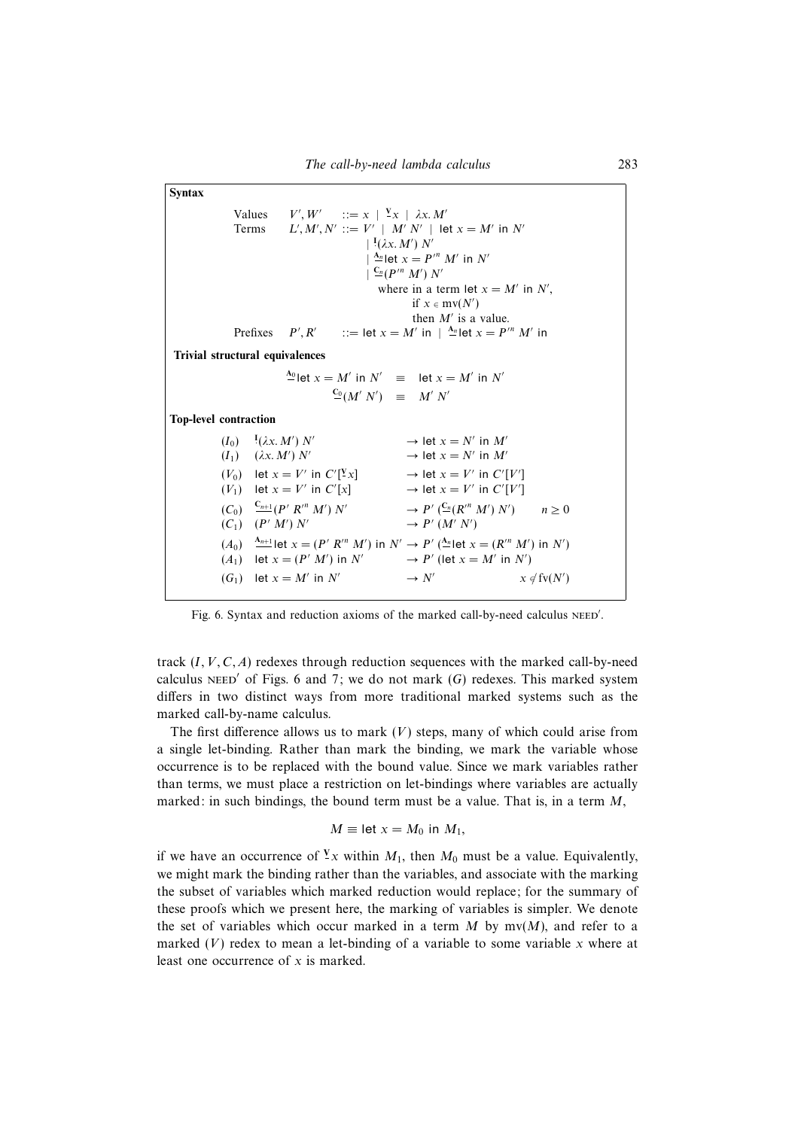**Syntax** Values  $V', W'$  $\therefore$   $x \mid \frac{V}{X} \mid \lambda x. M'$ Terms *L*<sup>0</sup>  $A, M', N' ::= V' | M' N' |$  let  $x = M'$  in  $N'$  $\mid$  <sup>I</sup>( $\lambda$ x. *M'*) *N'*  $\int$ <sup>*A<sub>n</sub>*</sup> let  $x = P^{\prime n}$  *M*<sup> $\prime$ </sup> in *N*<sup> $\prime$ </sup>  $\mid$   $\frac{\mathsf{C}_n}{\mid}$   $(P'^n \ M') N'$ where in a term let  $x = M'$  in *N'*, if  $x \in mv(N')$ then  $M'$  is a value. Prefixes  $P', R'$  $\therefore$  let  $x = M'$  in |  $\frac{A_n}{A}$  let  $x = P^m M'$  in **Trivial structural equivalences**  $A_0$  let  $x = M'$  in  $N' \equiv$  let  $x = M'$  in  $N'$  $\frac{C_0}{C}(M' N')$   $\equiv$   $M' N'$ **Top-level contraction**  $(I_0)$  $^{I}(\lambda x. M') N'$  $\rightarrow$  let  $x = N'$  in  $M'$ ( $I_1$ ) ( $\lambda x. M'$ )  $N'$  $\rightarrow$  let  $x = N'$  in *M*<sup>o</sup>  $(V_0)$  let  $x = V'$  in  $C'$  $\big[ \begin{array}{c} Y \ X \end{array} \big]$   $\longrightarrow$  let  $x = V'$  in  $C'[V']$  $(V_1)$  let  $x = V'$  in  $C'[x]$  $[x] \rightarrow \text{let } x = V' \text{ in } C'[V']$  $(C_0)$   $\frac{C_{n+1}}{P}(P' R'^n M') N'$  $\rightarrow$  *P*<sup> $\prime$ </sup> ( $\frac{C_n}{C}$  $(R^{\prime n} M^{\prime}) N^{\prime}$  $n > 0$  $(C_1)$   $(P' M') N'$  $\rightarrow$  *P'* (*M' N'*)  $(A_0)$   $\xrightarrow{A_{n+1}}$  let  $x = (P' R'' M')$  in  $N' \to P' (\xrightarrow{A_n}$  let  $x = (R'' M')$  in  $N'$ )  $(A_1)$  let  $x = (P' M')$  in N' ) in  $N'$   $\longrightarrow$   $P'$  (let  $x = M'$  in  $N'$ )  $(G_1)$  let  $x = M'$  in  $N'$   $\longrightarrow N'$  $x \notin f_{V}(N')$ 

Fig. 6. Syntax and reduction axioms of the marked call-by-need calculus NEED'.

track  $(I, V, C, A)$  redexes through reduction sequences with the marked call-by-need calculus NEED<sup>'</sup> of Figs. 6 and 7; we do not mark  $(G)$  redexes. This marked system differs in two distinct ways from more traditional marked systems such as the marked call-by-name calculus.

The first difference allows us to mark  $(V)$  steps, many of which could arise from a single let-binding. Rather than mark the binding, we mark the variable whose occurrence is to be replaced with the bound value. Since we mark variables rather than terms, we must place a restriction on let-bindings where variables are actually marked: in such bindings, the bound term must be a value. That is, in a term *M*,

$$
M \equiv \text{let } x = M_0 \text{ in } M_1,
$$

if we have an occurrence of  $\frac{V}{X}$  within  $M_1$ , then  $M_0$  must be a value. Equivalently, we might mark the binding rather than the variables, and associate with the marking the subset of variables which marked reduction would replace; for the summary of these proofs which we present here, the marking of variables is simpler. We denote the set of variables which occur marked in a term  $M$  by  $mv(M)$ , and refer to a marked  $(V)$  redex to mean a let-binding of a variable to some variable  $x$  where at least one occurrence of *x* is marked.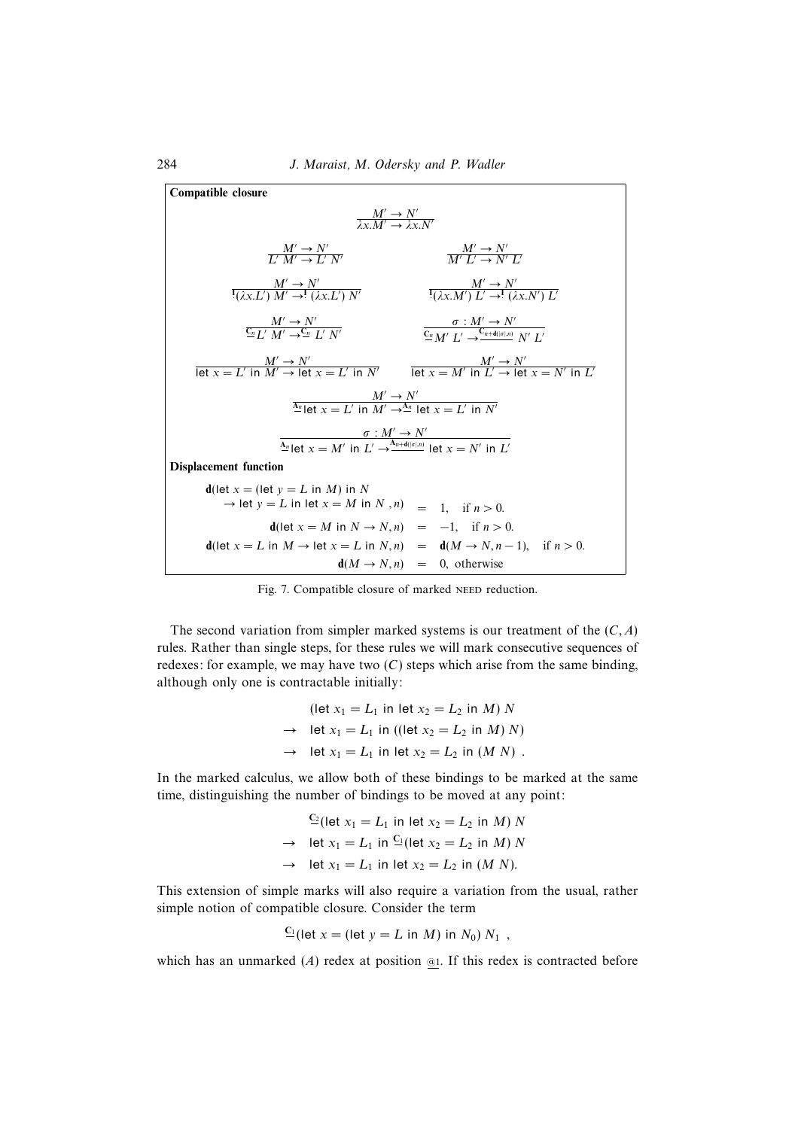| Compatible closure                                                                                                                                                        |                                                                                                                                    |  |  |  |
|---------------------------------------------------------------------------------------------------------------------------------------------------------------------------|------------------------------------------------------------------------------------------------------------------------------------|--|--|--|
| $\frac{M' \rightarrow N'}{N' \rightarrow M' \rightarrow N'}$                                                                                                              |                                                                                                                                    |  |  |  |
| $\frac{M' \to N'}{I'M' \to I'M'}$                                                                                                                                         | $\frac{M' \rightarrow N'}{M' I' \rightarrow N' I'}$                                                                                |  |  |  |
| $\frac{M' \to N'}{I(\lambda x. L') M' \to I(\lambda x. L') N'}$                                                                                                           | $\frac{M' \to N'}{\left[\left(\lambda_X M'\right) L' \to \frac{\left[\right] \left(\lambda_X N'\right) L'}{\left[\right]}\right]}$ |  |  |  |
| $\frac{M' \rightarrow N'}{C_{n} I' M' \rightarrow C_{n} I' N'}.$                                                                                                          | $\frac{\sigma : M' \to N'}{C_n M' I' \cup C_{n+d( \sigma ,n)} N' I'}.$                                                             |  |  |  |
| $\frac{M' \to N'}{\det x = L' \text{ in } M' \to \text{let } x = L' \text{ in } N'}$ $\frac{M' \to N'}{\det x = M' \text{ in } L' \to \text{let } x = N' \text{ in } L'}$ |                                                                                                                                    |  |  |  |
| $\frac{M' \to N'}{\frac{A_n}{n!} \text{et } x = L' \text{ in } M' \to \frac{A_n}{n} \text{ let } x = L' \text{ in } N'}.$                                                 |                                                                                                                                    |  |  |  |
|                                                                                                                                                                           |                                                                                                                                    |  |  |  |
| $\frac{\sigma : M' \to N'}{\frac{\Lambda_n}{\sigma} \det x = M' \text{ in } L' \to \frac{\Lambda_{n+d( \sigma ,n)}}{\sigma} \text{ let } x = N' \text{ in } L'}.$         |                                                                                                                                    |  |  |  |
| <b>Displacement function</b>                                                                                                                                              |                                                                                                                                    |  |  |  |
| $d(\text{let } x = (\text{let } y = L \text{ in } M) \text{ in } N)$<br>$\rightarrow$ let $y = L$ in let $x = M$ in N, n) = 1, if $n > 0$ .                               |                                                                                                                                    |  |  |  |
| $d(\text{let } x = M \text{ in } N \rightarrow N, n) = -1$ , if $n > 0$ .                                                                                                 |                                                                                                                                    |  |  |  |
| $d(\text{let } x = L \text{ in } M \to \text{let } x = L \text{ in } N, n) = d(M \to N, n-1), \text{ if } n > 0.$                                                         |                                                                                                                                    |  |  |  |
|                                                                                                                                                                           | $d(M \rightarrow N,n) = 0$ , otherwise                                                                                             |  |  |  |

Fig. 7. Compatible closure of marked NEED reduction.

The second variation from simpler marked systems is our treatment of the  $(C, A)$ rules. Rather than single steps, for these rules we will mark consecutive sequences of redexes: for example, we may have two (*C*) steps which arise from the same binding, although only one is contractable initially:

$$
(\text{let } x_1 = L_1 \text{ in let } x_2 = L_2 \text{ in } M) N
$$
  
\n→ let  $x_1 = L_1$  in ((let  $x_2 = L_2$  in *M*) *N*)  
\n→ let  $x_1 = L_1$  in let  $x_2 = L_2$  in (*M N*) .

In the marked calculus, we allow both of these bindings to be marked at the same time, distinguishing the number of bindings to be moved at any point:

$$
C_2(\text{let } x_1 = L_1 \text{ in let } x_2 = L_2 \text{ in } M) N
$$
  
\n
$$
\rightarrow \text{ let } x_1 = L_1 \text{ in } C_1(\text{let } x_2 = L_2 \text{ in } M) N
$$
  
\n
$$
\rightarrow \text{ let } x_1 = L_1 \text{ in let } x_2 = L_2 \text{ in } (M \text{ N}).
$$

This extension of simple marks will also require a variation from the usual, rather simple notion of compatible closure. Consider the term

$$
C_1(\text{let } x = (\text{let } y = L \text{ in } M) \text{ in } N_0) N_1,
$$

which has an unmarked  $(A)$  redex at position  $\mathcal{Q}_1$ . If this redex is contracted before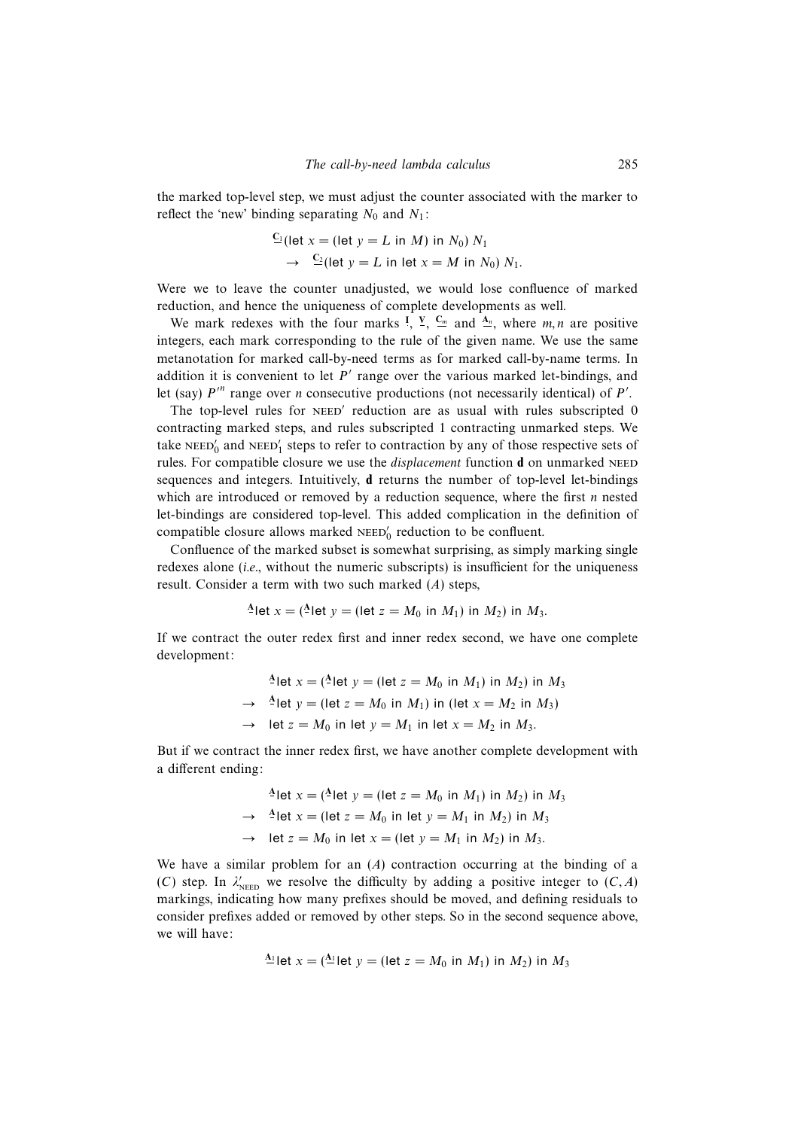the marked top-level step, we must adjust the counter associated with the marker to reflect the 'new' binding separating  $N_0$  and  $N_1$ :

$$
\frac{C_1}{\longrightarrow} \text{(let } x = (\text{let } y = L \text{ in } M) \text{ in } N_0) N_1
$$
\n
$$
\rightarrow \frac{C_2}{\longrightarrow} \text{(let } y = L \text{ in let } x = M \text{ in } N_0) N_1.
$$

Were we to leave the counter unadjusted, we would lose confluence of marked reduction, and hence the uniqueness of complete developments as well.

We mark redexes with the four marks  $I, Y, C_m$  and  $A_n$ , where *m, n* are positive integers, each mark corresponding to the rule of the given name. We use the same metanotation for marked call-by-need terms as for marked call-by-name terms. In addition it is convenient to let  $P'$  range over the various marked let-bindings, and let (say)  $P^m$  range over *n* consecutive productions (not necessarily identical) of  $P^{\prime}$ .

The top-level rules for  $NEED'$  reduction are as usual with rules subscripted 0 contracting marked steps, and rules subscripted 1 contracting unmarked steps. We take  $NEED'_0$  and  $NEED'_1$  steps to refer to contraction by any of those respective sets of rules. For compatible closure we use the displacement function **d** on unmarked need sequences and integers. Intuitively, **d** returns the number of top-level let-bindings which are introduced or removed by a reduction sequence, where the first *n* nested let-bindings are considered top-level. This added complication in the definition of compatible closure allows marked  $NEED'_0$  reduction to be confluent.

Confluence of the marked subset is somewhat surprising, as simply marking single redexes alone *(i.e., without the numeric subscripts)* is insufficient for the uniqueness result. Consider a term with two such marked (*A*) steps,

$$
{}^{A}_{-}let x = ({}^{A}_{-}let y = (let z = M_0 in M_1) in M_2) in M_3.
$$

If we contract the outer redex first and inner redex second, we have one complete development:

$$
\stackrel{\Delta}{=} \text{let } x = (\stackrel{\Delta}{=} \text{let } y = (\text{let } z = M_0 \text{ in } M_1) \text{ in } M_2) \text{ in } M_3
$$
\n
$$
\rightarrow \stackrel{\Delta}{=} \text{let } y = (\text{let } z = M_0 \text{ in } M_1) \text{ in } (\text{let } x = M_2 \text{ in } M_3)
$$
\n
$$
\rightarrow \text{let } z = M_0 \text{ in } \text{let } y = M_1 \text{ in } \text{let } x = M_2 \text{ in } M_3.
$$

But if we contract the inner redex first, we have another complete development with a different ending:

> $A^4$ let  $x = (A^4)$ let  $y = (let \ z = M_0 \ in \ M_1)$  in  $M_2$ ) in  $M_3$  $\rightarrow$  <sup>A</sup>let *x* = (let *z* =  $M_0$  in let  $y = M_1$  in  $M_2$ ) in  $M_3$  $\rightarrow$  let  $z = M_0$  in let  $x = (\text{let } y = M_1 \text{ in } M_2)$  in  $M_3$ .

We have a similar problem for an (*A*) contraction occurring at the binding of a (*C*) step. In  $\lambda'_{\text{NEED}}$  we resolve the difficulty by adding a positive integer to  $(C, A)$ markings, indicating how many prefixes should be moved, and defining residuals to consider prefixes added or removed by other steps. So in the second sequence above, we will have:

$$
\stackrel{\mathbf{A}_1}{=} \mathsf{let}\ x = (\stackrel{\mathbf{A}_1}{=} \mathsf{let}\ y = (\mathsf{let}\ z = M_0\ \mathsf{in}\ M_1)\ \mathsf{in}\ M_2)\ \mathsf{in}\ M_3
$$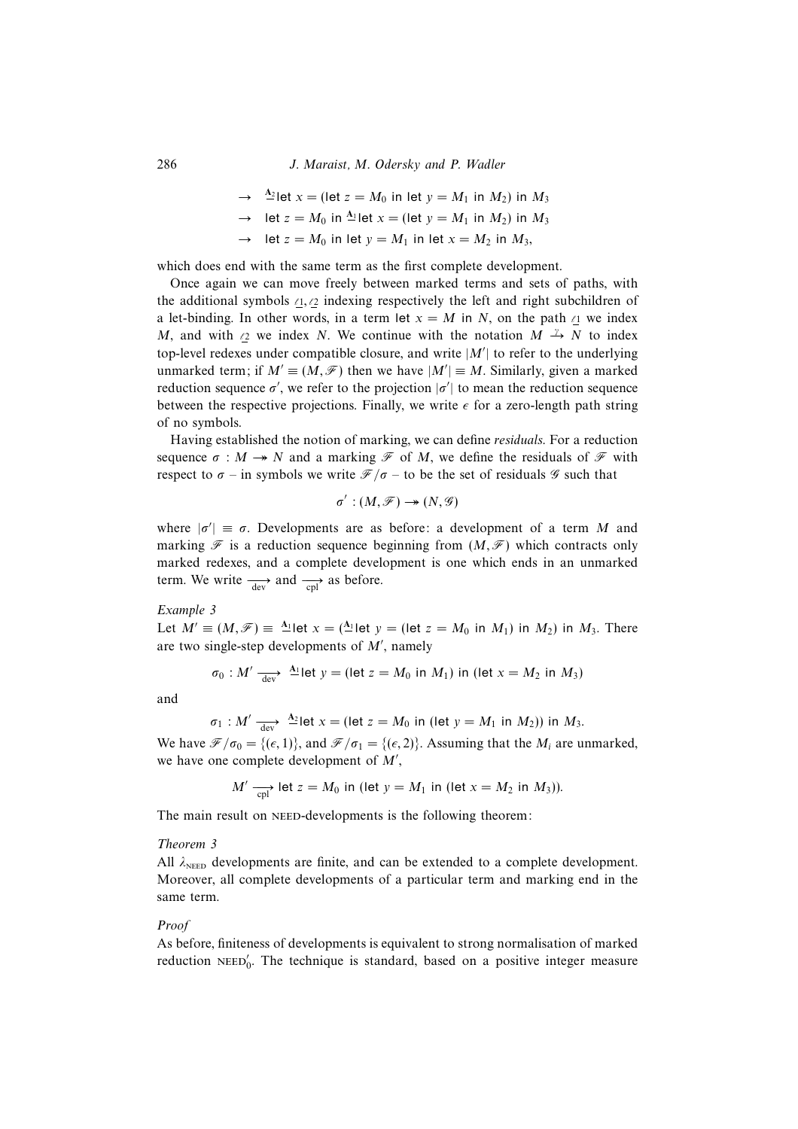$$
\Rightarrow \frac{A_2}{e} = (let \ z = M_0 \text{ in let } y = M_1 \text{ in } M_2) \text{ in } M_3
$$
  
\n
$$
\Rightarrow let \ z = M_0 \text{ in } \frac{A_1}{e} = (let \ y = M_1 \text{ in } M_2) \text{ in } M_3
$$
  
\n
$$
\Rightarrow let \ z = M_0 \text{ in let } y = M_1 \text{ in let } x = M_2 \text{ in } M_3,
$$

which does end with the same term as the first complete development.

Once again we can move freely between marked terms and sets of paths, with the additional symbols  $\ell_1, \ell_2$  indexing respectively the left and right subchildren of a let-binding. In other words, in a term let  $x = M$  in N, on the path  $\wedge$ 1 we index *M*, and with  $\ell_2$  we index *N*. We continue with the notation  $M \xrightarrow{\gamma} N$  to index top-level redexes under compatible closure, and write  $|M'|$  to refer to the underlying unmarked term; if  $M' \equiv (M, \mathcal{F})$  then we have  $|M'| \equiv M$ . Similarly, given a marked reduction sequence  $\sigma'$ , we refer to the projection  $|\sigma'|$  to mean the reduction sequence between the respective projections. Finally, we write  $\epsilon$  for a zero-length path string of no symbols.

Having established the notion of marking, we can define residuals. For a reduction sequence  $\sigma : M \to N$  and a marking  $\mathcal F$  of M, we define the residuals of  $\mathcal F$  with respect to  $\sigma$  – in symbols we write  $\mathcal{F}/\sigma$  – to be the set of residuals  $\mathcal G$  such that

$$
\sigma':(M,\mathscr{F})\to (N,\mathscr{G})
$$

where  $|\sigma'| \equiv \sigma$ . Developments are as before: a development of a term *M* and marking  $\mathcal F$  is a reduction sequence beginning from  $(M, \mathcal F)$  which contracts only marked redexes, and a complete development is one which ends in an unmarked term. We write  $\frac{ }{ \text{dev}}$  and  $\frac{ }{ \text{col}}$  as before.

Example 3

Let  $M' \equiv (M, \mathcal{F}) \equiv \frac{A_1}{2}$  let  $x = (\frac{A_1}{2})$  let  $y = ($ let  $z = M_0$  in  $M_1$ ) in  $M_2$ ) in  $M_3$ . There are two single-step developments of M', namely

$$
\sigma_0: M' \xrightarrow[\text{dev}]{} \xrightarrow{\mathbf{A}_1} \text{let } y = (\text{let } z = M_0 \text{ in } M_1) \text{ in } (\text{let } x = M_2 \text{ in } M_3)
$$

and

$$
\sigma_1: M' \xrightarrow[\text{dev}]{}^{A_2} \text{let } x = (\text{let } z = M_0 \text{ in } (\text{let } y = M_1 \text{ in } M_2)) \text{ in } M_3.
$$

We have  $\mathcal{F}/\sigma_0 = \{(\epsilon, 1)\}\$ , and  $\mathcal{F}/\sigma_1 = \{(\epsilon, 2)\}\$ . Assuming that the  $M_i$  are unmarked, we have one complete development of M',

$$
M' \xrightarrow[{\text{cpl}}]{} \text{let } z = M_0 \text{ in (let } y = M_1 \text{ in (let } x = M_2 \text{ in } M_3)).
$$

The main result on NEED-developments is the following theorem:

#### Theorem 3

All  $\lambda_{\text{NEED}}$  developments are finite, and can be extended to a complete development. Moreover, all complete developments of a particular term and marking end in the same term.

#### Proof

As before, finiteness of developments is equivalent to strong normalisation of marked reduction NEED'<sub>0</sub>. The technique is standard, based on a positive integer measure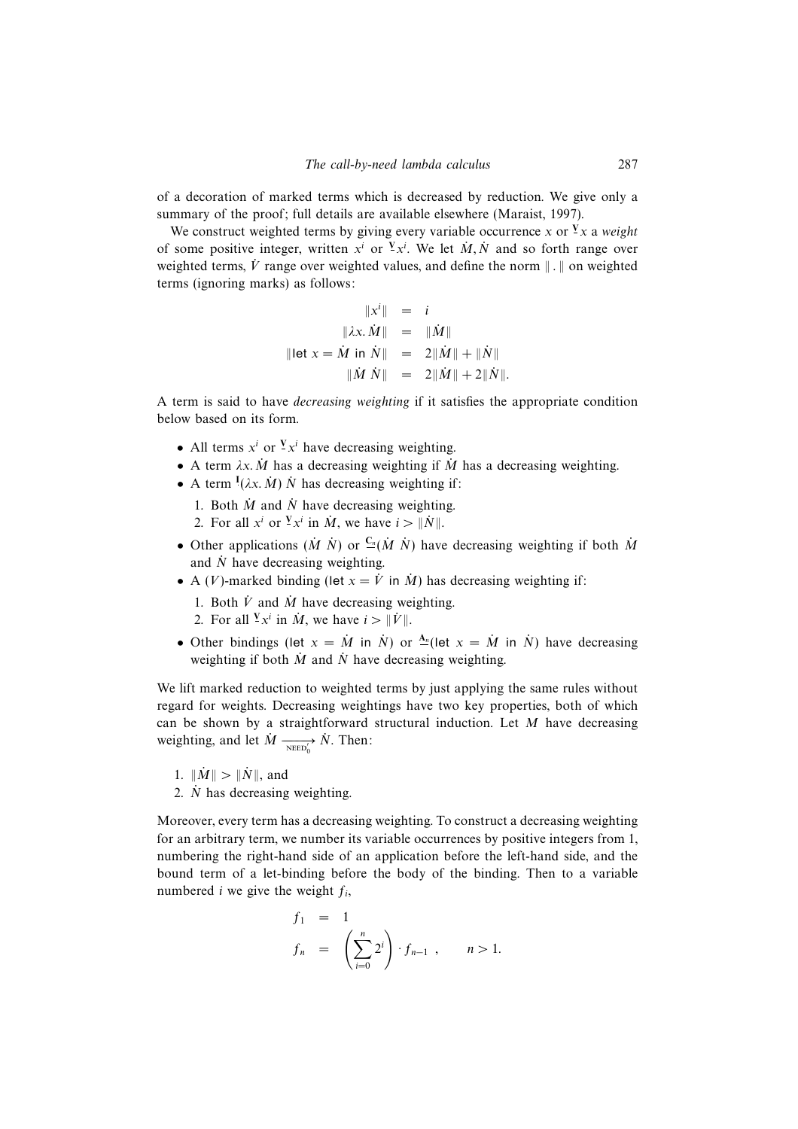of a decoration of marked terms which is decreased by reduction. We give only a summary of the proof; full details are available elsewhere (Maraist, 1997).

We construct weighted terms by giving every variable occurrence *x* or  $\frac{V}{X}$ *x* a *weight* of some positive integer, written  $x^i$  or  $\frac{V}{x}x^i$ . We let  $\dot{M}$ ,  $\dot{N}$  and so forth range over weighted terms,  $\dot{V}$  range over weighted values, and define the norm  $\| \cdot \|$  on weighted terms (ignoring marks) as follows:

$$
\|x^{i}\| = i
$$
  

$$
\|\lambda x.\dot{M}\| = \|\dot{M}\|
$$
  

$$
\|\text{let } x = \dot{M} \text{ in } \dot{N}\| = 2\|\dot{M}\| + \|\dot{N}\|
$$
  

$$
\|\dot{M}\dot{N}\| = 2\|\dot{M}\| + 2\|\dot{N}\|.
$$

A term is said to have decreasing weighting if it satisfies the appropriate condition below based on its form.

- All terms  $x^i$  or  $\overline{Y}x^i$  have decreasing weighting.
- A term  $λx$ . *M* has a decreasing weighting if *M* has a decreasing weighting.
- A term  $I(\lambda x. \dot{M})$   $\dot{N}$  has decreasing weighting if:
	- 1. Both  $\dot{M}$  and  $\dot{N}$  have decreasing weighting.
	- 2. For all  $x^i$  or  $\overline{Y}x^i$  in  $\dot{M}$ , we have  $i > ||\dot{N}||$ .
- Other applications  $(M \dot{N})$  or  $C_n(\dot{M} \dot{N})$  have decreasing weighting if both  $\dot{M}$ and *N*˙ have decreasing weighting.
- A (*V*)-marked binding (let  $x = \dot{V}$  in  $\dot{M}$ ) has decreasing weighting if:
	- 1. Both  $\dot{V}$  and  $\dot{M}$  have decreasing weighting.
	- 2. For all  $\frac{\mathbf{V}}{\mathbf{x}^i}$  in  $\dot{M}$ , we have  $i > \|\dot{V}\|$ .
- Other bindings (let  $x = \dot{M}$  in  $\dot{N}$ ) or  $\frac{A_n}{A}$  (let  $x = \dot{M}$  in  $\dot{N}$ ) have decreasing weighting if both  $\dot{M}$  and  $\dot{N}$  have decreasing weighting.

We lift marked reduction to weighted terms by just applying the same rules without regard for weights. Decreasing weightings have two key properties, both of which can be shown by a straightforward structural induction. Let *M* have decreasing weighting, and let  $\dot{M} \xrightarrow[\text{NEED}'_0]{} \dot{N}$ . Then:

- 1.  $\|\dot{M}\| > \|\dot{N}\|$ , and
- 2. *N*˙ has decreasing weighting.

Moreover, every term has a decreasing weighting. To construct a decreasing weighting for an arbitrary term, we number its variable occurrences by positive integers from 1, numbering the right-hand side of an application before the left-hand side, and the bound term of a let-binding before the body of the binding. Then to a variable numbered *i* we give the weight *fi*,

$$
f_1 = 1
$$
  
\n
$$
f_n = \left(\sum_{i=0}^n 2^i\right) \cdot f_{n-1}, \quad n > 1.
$$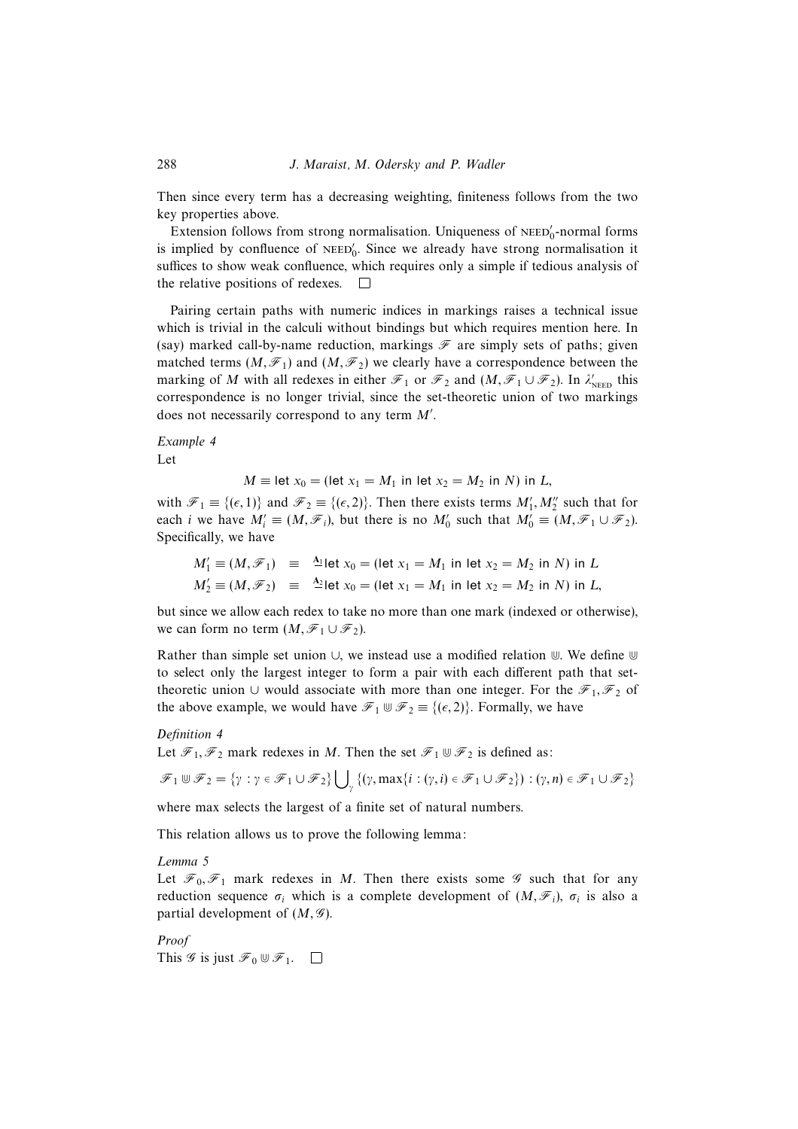Then since every term has a decreasing weighting, finiteness follows from the two key properties above.

Extension follows from strong normalisation. Uniqueness of  $NEED'_0$ -normal forms is implied by confluence of NEED'<sub>0</sub>. Since we already have strong normalisation it suffices to show weak confluence, which requires only a simple if tedious analysis of the relative positions of redexes.  $\Box$ 

Pairing certain paths with numeric indices in markings raises a technical issue which is trivial in the calculi without bindings but which requires mention here. In (say) marked call-by-name reduction, markings  $\mathcal F$  are simply sets of paths; given matched terms  $(M, \mathcal{F}_1)$  and  $(M, \mathcal{F}_2)$  we clearly have a correspondence between the marking of *M* with all redexes in either  $\mathcal{F}_1$  or  $\mathcal{F}_2$  and  $(M, \mathcal{F}_1 \cup \mathcal{F}_2)$ . In  $\lambda'_{NED}$  this correspondence is no longer trivial, since the set-theoretic union of two markings does not necessarily correspond to any term M'.

Example 4 Let

$$
M \equiv \text{let } x_0 = (\text{let } x_1 = M_1 \text{ in let } x_2 = M_2 \text{ in } N) \text{ in } L,
$$

with  $\mathcal{F}_1 \equiv \{(\epsilon, 1)\}\$  and  $\mathcal{F}_2 \equiv \{(\epsilon, 2)\}\$ . Then there exists terms  $M'_1, M''_2$  such that for each *i* we have  $M'_i \equiv (M, \mathcal{F}_i)$ , but there is no  $M'_0$  such that  $M'_0 \equiv (M, \mathcal{F}_1 \cup \mathcal{F}_2)$ . Specifically, we have

$$
M'_1 \equiv (M, \mathcal{F}_1) \equiv \frac{A_1}{2} \text{let } x_0 = (\text{let } x_1 = M_1 \text{ in let } x_2 = M_2 \text{ in } N) \text{ in } L
$$
  

$$
M'_2 \equiv (M, \mathcal{F}_2) \equiv \frac{A_2}{2} \text{let } x_0 = (\text{let } x_1 = M_1 \text{ in let } x_2 = M_2 \text{ in } N) \text{ in } L,
$$

but since we allow each redex to take no more than one mark (indexed or otherwise), we can form no term  $(M, \mathcal{F}_1 \cup \mathcal{F}_2)$ .

Rather than simple set union  $\cup$ , we instead use a modified relation  $\mathbb{U}$ . We define  $\mathbb{U}$ to select only the largest integer to form a pair with each different path that settheoretic union ∪ would associate with more than one integer. For the  $\mathcal{F}_1, \mathcal{F}_2$  of the above example, we would have  $\mathcal{F}_1 \cup \mathcal{F}_2 \equiv \{(\epsilon, 2)\}\.$  Formally, we have

#### Definition 4

Let  $\mathcal{F}_1, \mathcal{F}_2$  mark redexes in *M*. Then the set  $\mathcal{F}_1 \cup \mathcal{F}_2$  is defined as:

$$
\mathcal{F}_1 \cup \mathcal{F}_2 = \{ \gamma : \gamma \in \mathcal{F}_1 \cup \mathcal{F}_2 \} \bigcup_{\gamma} \{ (\gamma, \max\{i : (\gamma, i) \in \mathcal{F}_1 \cup \mathcal{F}_2 \}) : (\gamma, n) \in \mathcal{F}_1 \cup \mathcal{F}_2 \}
$$

where max selects the largest of a finite set of natural numbers.

This relation allows us to prove the following lemma:

#### Lemma 5

Let  $\mathcal{F}_0$ ,  $\mathcal{F}_1$  mark redexes in *M*. Then there exists some  $\mathcal G$  such that for any reduction sequence  $\sigma_i$  which is a complete development of  $(M, \mathscr{F}_i)$ ,  $\sigma_i$  is also a partial development of  $(M, \mathscr{G})$ .

Proof This  $\mathscr{G}$  is just  $\mathscr{F}_0 \cup \mathscr{F}_1$ .  $\Box$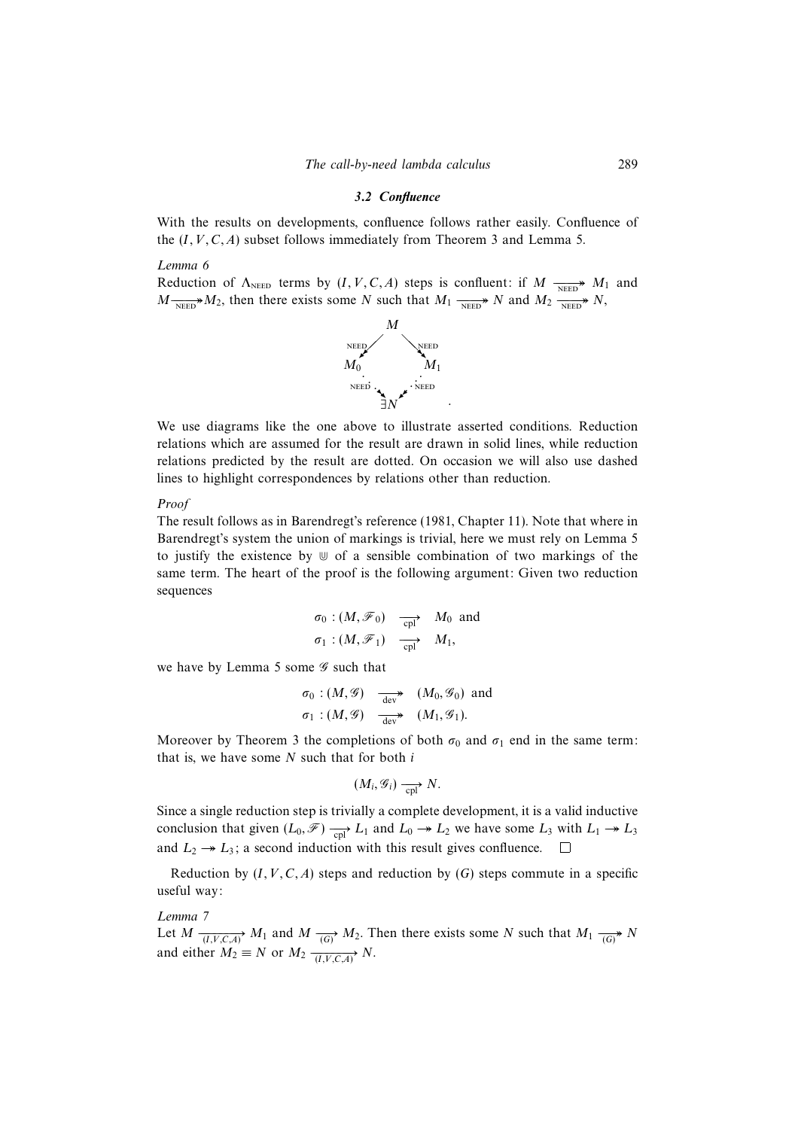#### *3.2 Confluence*

With the results on developments, confluence follows rather easily. Confluence of the (*I,V,C,A*) subset follows immediately from Theorem 3 and Lemma 5.

#### Lemma 6

Reduction of  $\Lambda_{\text{NEED}}$  terms by  $(I, V, C, A)$  steps is confluent: if  $M \rightarrow_{\text{NEED}} M_1$  and  $M\rightarrow\text{N-NED}^{\bullet}M_2$ , then there exists some *N* such that  $M_1 \rightarrow\text{N-NED}^{\bullet}N_1$  and  $M_2 \rightarrow\text{N-NED}^{\bullet}N_2$ 



We use diagrams like the one above to illustrate asserted conditions. Reduction relations which are assumed for the result are drawn in solid lines, while reduction relations predicted by the result are dotted. On occasion we will also use dashed lines to highlight correspondences by relations other than reduction.

#### Proof

The result follows as in Barendregt's reference (1981, Chapter 11). Note that where in Barendregt's system the union of markings is trivial, here we must rely on Lemma 5 to justify the existence by  $\mathbb U$  of a sensible combination of two markings of the same term. The heart of the proof is the following argument: Given two reduction sequences

$$
\sigma_0 : (M, \mathcal{F}_0) \xrightarrow[\text{cpl}]{\text{cpl}} M_0 \text{ and}
$$
\n $\sigma_1 : (M, \mathcal{F}_1) \xrightarrow[\text{cpl}]{\text{cpl}} M_1,$ 

we have by Lemma 5 some  $\mathscr G$  such that

$$
\sigma_0: (M, \mathscr{G}) \xrightarrow[\text{dev}]{\text{dev}} (M_0, \mathscr{G}_0) \text{ and}
$$

$$
\sigma_1: (M, \mathscr{G}) \xrightarrow[\text{dev}]{\text{dev}} (M_1, \mathscr{G}_1).
$$

Moreover by Theorem 3 the completions of both  $\sigma_0$  and  $\sigma_1$  end in the same term: that is, we have some *N* such that for both *i*

$$
(M_i, \mathscr{G}_i) \xrightarrow[\text{cpl}]{}
$$
 N.

Since a single reduction step is trivially a complete development, it is a valid inductive conclusion that given  $(L_0, \mathcal{F}) \longrightarrow L_1$  and  $L_0 \longrightarrow L_2$  we have some  $L_3$  with  $L_1 \longrightarrow L_3$ and  $L_2 \rightarrow L_3$ ; a second induction with this result gives confluence.  $\Box$ 

Reduction by  $(I, V, C, A)$  steps and reduction by  $(G)$  steps commute in a specific useful way:

#### Lemma 7

Let  $M \xrightarrow[I,V,C,A]} M_1$  and  $M \xrightarrow[G]} M_2$ . Then there exists some *N* such that  $M_1 \xrightarrow[G]} N$ and either  $M_2 \equiv N$  or  $M_2 \xrightarrow{(I,V,C,A)} N$ .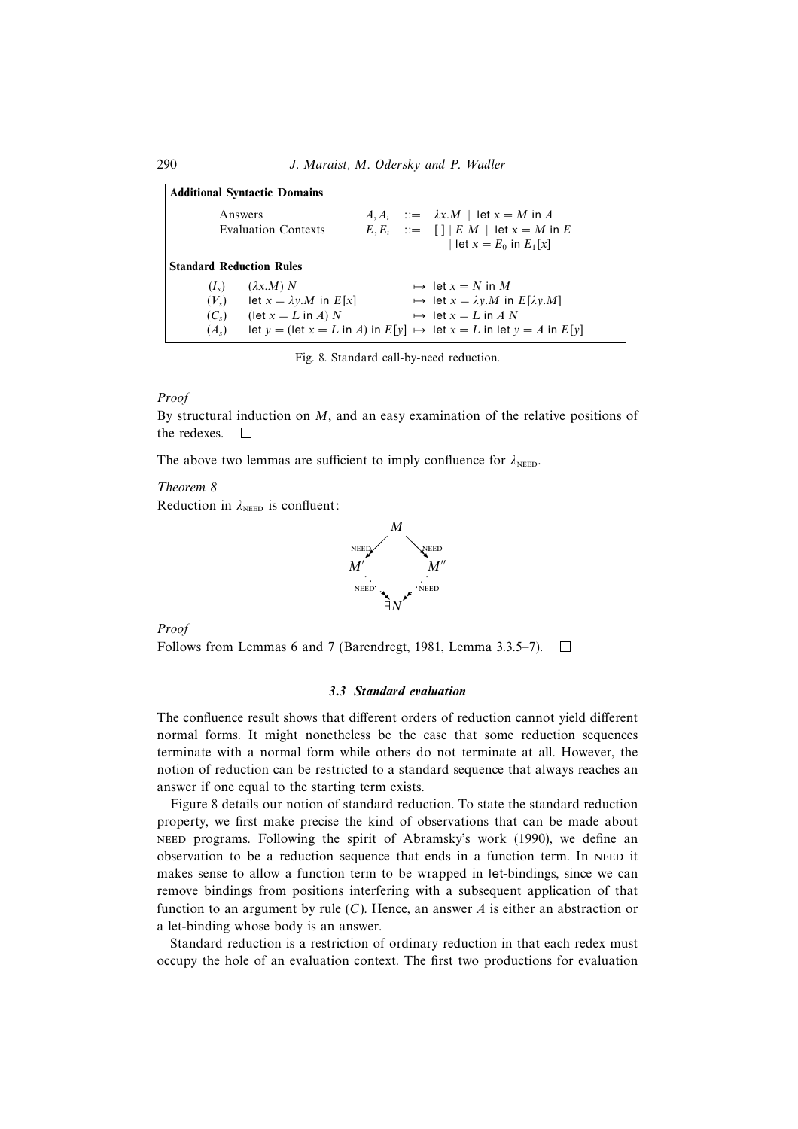| <b>Additional Syntactic Domains</b>        |  |  |                                                                                 |  |
|--------------------------------------------|--|--|---------------------------------------------------------------------------------|--|
| Answers                                    |  |  | $A, A_i$ ::= $\lambda x.M$   let $x = M$ in A                                   |  |
| <b>Evaluation Contexts</b>                 |  |  | $E, E_i$ ::= $[$ $]$ $]$ $E M$ $]$ let $x = M$ in $E$                           |  |
|                                            |  |  | $\vert \text{ let } x = E_0 \text{ in } E_1[x]$                                 |  |
| <b>Standard Reduction Rules</b>            |  |  |                                                                                 |  |
| $(\lambda x.M)$ N<br>$(I_s)$               |  |  | $\mapsto$ let $x = N$ in M                                                      |  |
| let $x = \lambda y.M$ in $E[x]$<br>$(V_s)$ |  |  | $\mapsto$ let $x = \lambda y.M$ in $E[\lambda y.M]$                             |  |
| $(C_s)$<br>$\det x = L$ in A) N            |  |  | $\mapsto$ let $x = L$ in A N                                                    |  |
| $(A_{s})$                                  |  |  | let $y = (let x = L in A)$ in $E[y] \mapsto let x = L$ in let $y = A$ in $E[y]$ |  |

Fig. 8. Standard call-by-need reduction.

#### Proof

By structural induction on *M*, and an easy examination of the relative positions of the redexes.  $\overline{\phantom{a}}$ 

The above two lemmas are sufficient to imply confluence for  $\lambda_{\text{NEED}}$ .

Theorem 8 Reduction in  $λ_{NEED}$  is confluent:



Proof

Follows from Lemmas 6 and 7 (Barendregt, 1981, Lemma 3.3.5–7).  $\Box$ 

#### *3.3 Standard evaluation*

The confluence result shows that different orders of reduction cannot yield different normal forms. It might nonetheless be the case that some reduction sequences terminate with a normal form while others do not terminate at all. However, the notion of reduction can be restricted to a standard sequence that always reaches an answer if one equal to the starting term exists.

Figure 8 details our notion of standard reduction. To state the standard reduction property, we first make precise the kind of observations that can be made about need programs. Following the spirit of Abramsky's work (1990), we define an observation to be a reduction sequence that ends in a function term. In NEED it makes sense to allow a function term to be wrapped in let-bindings, since we can remove bindings from positions interfering with a subsequent application of that function to an argument by rule (*C*). Hence, an answer *A* is either an abstraction or a let-binding whose body is an answer.

Standard reduction is a restriction of ordinary reduction in that each redex must occupy the hole of an evaluation context. The first two productions for evaluation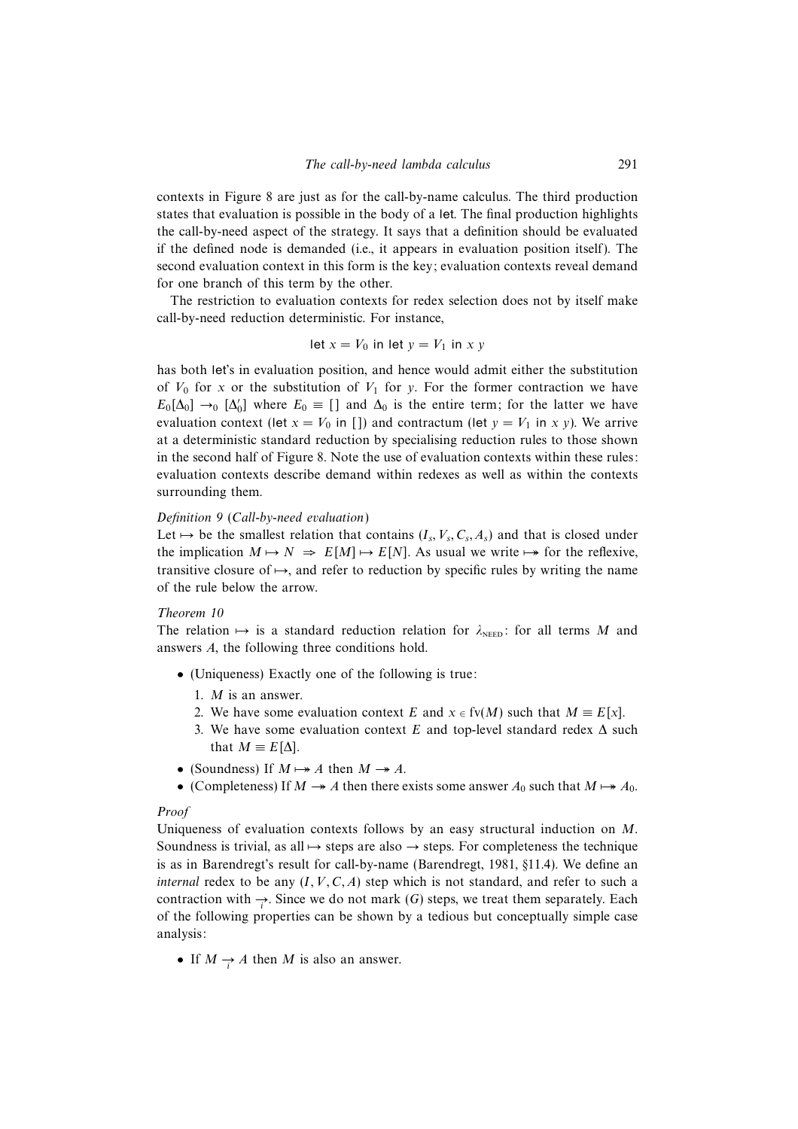contexts in Figure 8 are just as for the call-by-name calculus. The third production states that evaluation is possible in the body of a let. The final production highlights the call-by-need aspect of the strategy. It says that a definition should be evaluated if the defined node is demanded (i.e., it appears in evaluation position itself). The second evaluation context in this form is the key; evaluation contexts reveal demand for one branch of this term by the other.

The restriction to evaluation contexts for redex selection does not by itself make call-by-need reduction deterministic. For instance,

let 
$$
x = V_0
$$
 in let  $y = V_1$  in x y

has both let's in evaluation position, and hence would admit either the substitution of  $V_0$  for *x* or the substitution of  $V_1$  for *y*. For the former contraction we have  $E_0[\Delta_0] \rightarrow_0 [\Delta'_0]$  where  $E_0 \equiv []$  and  $\Delta_0$  is the entire term; for the latter we have evaluation context (let  $x = V_0$  in []) and contractum (let  $y = V_1$  in *x y*). We arrive at a deterministic standard reduction by specialising reduction rules to those shown in the second half of Figure 8. Note the use of evaluation contexts within these rules: evaluation contexts describe demand within redexes as well as within the contexts surrounding them.

#### Definition 9 (Call-by-need evaluation)

Let  $\mapsto$  be the smallest relation that contains ( $I_s, V_s, C_s, A_s$ ) and that is closed under the implication  $M \mapsto N \Rightarrow E[M] \mapsto E[N]$ . As usual we write  $\mapsto$  for the reflexive, transitive closure of  $\rightarrow$ , and refer to reduction by specific rules by writing the name of the rule below the arrow.

#### Theorem 10

The relation  $\mapsto$  is a standard reduction relation for  $\lambda_{\text{NEED}}$ : for all terms *M* and answers *A*, the following three conditions hold.

- (Uniqueness) Exactly one of the following is true:
	- 1. *M* is an answer.
	- 2. We have some evaluation context *E* and  $x \in f_v(M)$  such that  $M \equiv E[x]$ .
	- 3. We have some evaluation context  $E$  and top-level standard redex  $\Delta$  such that  $M \equiv E[\Delta]$ .
- (Soundness) If  $M \mapsto A$  then  $M \rightarrow A$ .
- (Completeness) If  $M \rightarrow A$  then there exists some answer  $A_0$  such that  $M \mapsto A_0$ .

#### Proof

Uniqueness of evaluation contexts follows by an easy structural induction on *M*. Soundness is trivial, as all  $\mapsto$  steps are also  $\rightarrow$  steps. For completeness the technique is as in Barendregt's result for call-by-name (Barendregt, 1981, §11.4). We define an internal redex to be any (*I,V,C,A*) step which is not standard, and refer to such a contraction with  $\rightarrow$ *i*. Since we do not mark (*G*) steps, we treat them separately. Each of the following properties can be shown by a tedious but conceptually simple case analysis:

• If  $M \rightarrow A$  then  $M$  is also an answer.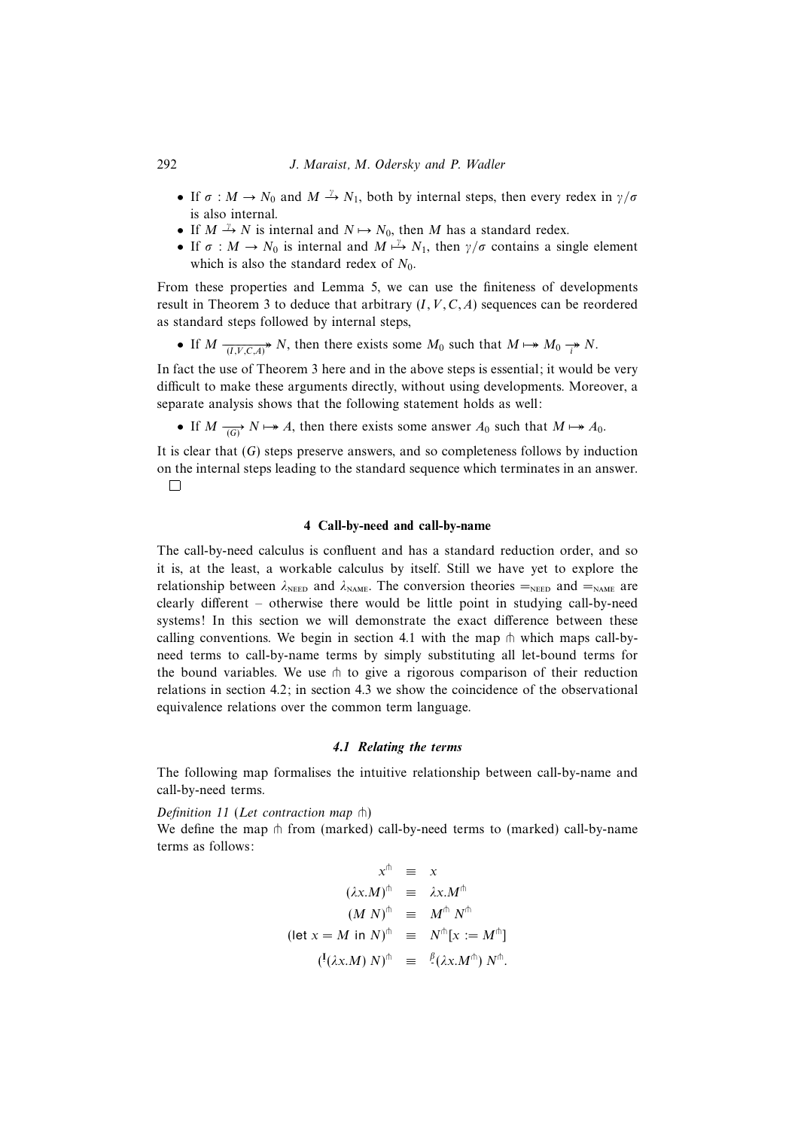- If  $\sigma : M \to N_0$  and  $M \xrightarrow{\gamma} N_1$ , both by internal steps, then every redex in  $\gamma/\sigma$ is also internal.
- If  $M \xrightarrow{\gamma} N$  is internal and  $N \mapsto N_0$ , then *M* has a standard redex.
- If  $\sigma : M \to N_0$  is internal and  $M \xrightarrow{\gamma} N_1$ , then  $\gamma/\sigma$  contains a single element which is also the standard redex of  $N_0$ .

From these properties and Lemma 5, we can use the finiteness of developments result in Theorem 3 to deduce that arbitrary (*I,V,C,A*) sequences can be reordered as standard steps followed by internal steps,

• If  $M \xrightarrow[(*I*,*V*,*C*,*A*)^*} N$ , then there exists some  $M_0$  such that  $M \mapsto M_0 \xrightarrow[*I*] N$ .

In fact the use of Theorem 3 here and in the above steps is essential; it would be very difficult to make these arguments directly, without using developments. Moreover, a separate analysis shows that the following statement holds as well:

• If  $M \xrightarrow[{\text{G}}]{} N \mapsto A$ , then there exists some answer  $A_0$  such that  $M \mapsto A_0$ .

It is clear that  $(G)$  steps preserve answers, and so completeness follows by induction on the internal steps leading to the standard sequence which terminates in an answer.  $\Box$ 

#### **4 Call-by-need and call-by-name**

The call-by-need calculus is confluent and has a standard reduction order, and so it is, at the least, a workable calculus by itself. Still we have yet to explore the relationship between  $\lambda_{\text{NEFD}}$  and  $\lambda_{\text{NAME}}$ . The conversion theories  $=_{\text{NEFD}}$  and  $=_{\text{NAME}}$  are clearly different – otherwise there would be little point in studying call-by-need systems! In this section we will demonstrate the exact difference between these calling conventions. We begin in section 4.1 with the map  $\uparrow$  which maps call-byneed terms to call-by-name terms by simply substituting all let-bound terms for the bound variables. We use  $\phi$  to give a rigorous comparison of their reduction relations in section 4.2; in section 4.3 we show the coincidence of the observational equivalence relations over the common term language.

#### *4.1 Relating the terms*

The following map formalises the intuitive relationship between call-by-name and call-by-need terms.

#### Definition 11 (Let contraction map  $\uparrow$ )

We define the map  $\pitchfork$  from (marked) call-by-need terms to (marked) call-by-name terms as follows:

$$
x^{\uparrow} \equiv x
$$
  
\n
$$
(\lambda x.M)^{\uparrow} \equiv \lambda x.M^{\uparrow}
$$
  
\n
$$
(M N)^{\uparrow} \equiv M^{\uparrow} N^{\uparrow}
$$
  
\n
$$
(\text{let } x = M \text{ in } N)^{\uparrow} \equiv N^{\uparrow\uparrow} [x := M^{\uparrow\uparrow}]
$$
  
\n
$$
(\overline{I}(\lambda x.M) N)^{\uparrow\uparrow} \equiv \frac{\beta}{\mu} (\lambda x.M^{\uparrow\uparrow}) N^{\uparrow\uparrow}.
$$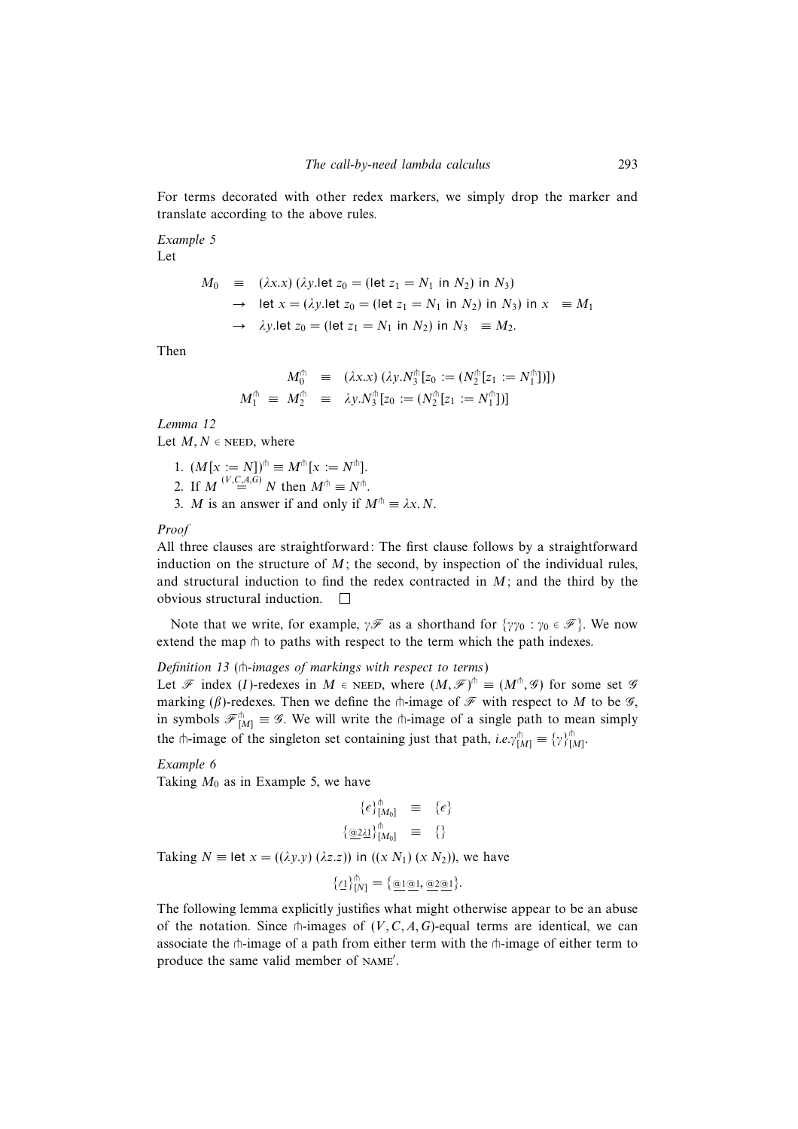For terms decorated with other redex markers, we simply drop the marker and translate according to the above rules.

Example 5 Let

$$
M_0 \equiv (\lambda x.x) (\lambda y.\text{let } z_0 = (\text{let } z_1 = N_1 \text{ in } N_2) \text{ in } N_3)
$$
  
\n
$$
\rightarrow \text{let } x = (\lambda y.\text{let } z_0 = (\text{let } z_1 = N_1 \text{ in } N_2) \text{ in } N_3) \text{ in } x \equiv M_1
$$
  
\n
$$
\rightarrow \lambda y.\text{let } z_0 = (\text{let } z_1 = N_1 \text{ in } N_2) \text{ in } N_3 \equiv M_2.
$$

Then

$$
M_0^{\uparrow\uparrow} \equiv (\lambda x.x) (\lambda y.N_3^{\uparrow\uparrow}[z_0 := (N_2^{\uparrow\uparrow}[z_1 := N_1^{\uparrow\uparrow}])])
$$
  

$$
M_1^{\uparrow\uparrow} \equiv M_2^{\uparrow\uparrow} \equiv \lambda y.N_3^{\uparrow\uparrow}[z_0 := (N_2^{\uparrow\uparrow}[z_1 := N_1^{\uparrow\uparrow}])]
$$

Lemma 12

Let  $M, N \in \text{NEED}$ , where

1.  $(M[x := N])^{\uparrow} \equiv M^{\uparrow} [x := N^{\uparrow}].$ 2. If  $M \stackrel{(V,C,A,G)}{=} N$  then  $M^{\uparrow} \equiv N^{\uparrow}$ . 3. *M* is an answer if and only if  $M^{\dagger} \equiv \lambda x. N$ .

#### Proof

All three clauses are straightforward: The first clause follows by a straightforward induction on the structure of *M*; the second, by inspection of the individual rules, and structural induction to find the redex contracted in  $M$ ; and the third by the obvious structural induction.  $\Box$ 

Note that we write, for example,  $\gamma \mathscr{F}$  as a shorthand for  $\{\gamma \gamma_0 : \gamma_0 \in \mathscr{F}\}\)$ . We now extend the map  $\pitchfork$  to paths with respect to the term which the path indexes.

#### Definition 13 ( $\uparrow$ -images of markings with respect to terms)

Let F index (*I*)-redexes in  $M \in$  NEED, where  $(M, \mathcal{F})^{\uparrow} \equiv (M^{\uparrow}, \mathcal{G})$  for some set  $\mathcal{G}$ marking ( $\beta$ )-redexes. Then we define the  $\phi$ -image of  $\mathcal F$  with respect to M to be  $\mathcal G$ , in symbols  $\mathcal{F}_{[M]}^{\uparrow} \equiv \mathcal{G}$ . We will write the  $\uparrow$ -image of a single path to mean simply the  $\phi$ -image of the singleton set containing just that path, i.e. $\gamma_{[M]}^{\phi} \equiv {\gamma \brace_{[M]}^{\phi}}$ .

Example 6

Taking  $M_0$  as in Example 5, we have

$$
\begin{aligned}\n\{\epsilon\}_{[M_0]}^{\pitchfork} & \equiv \{\epsilon\} \\
\{\underline{\textcircled{221}}\}_{[M_0]}^{\pitchfork} & \equiv \{\}\n\end{aligned}
$$

Taking  $N \equiv$  let  $x = ((\lambda y.y)(\lambda z.z))$  in  $((x N_1) (x N_2))$ , we have

$$
\{\underline{\ell 1}\}_{[N]}^{\uparrow\uparrow} = \{\underline{\textcircled{a1}}\underline{\textcircled{a1}}, \underline{\textcircled{a2}}\underline{\textcircled{1}}\}.
$$

The following lemma explicitly justifies what might otherwise appear to be an abuse of the notation. Since  $\pitchfork$ -images of  $(V, C, A, G)$ -equal terms are identical, we can associate the  $\phi$ -image of a path from either term with the  $\phi$ -image of either term to produce the same valid member of NAME'.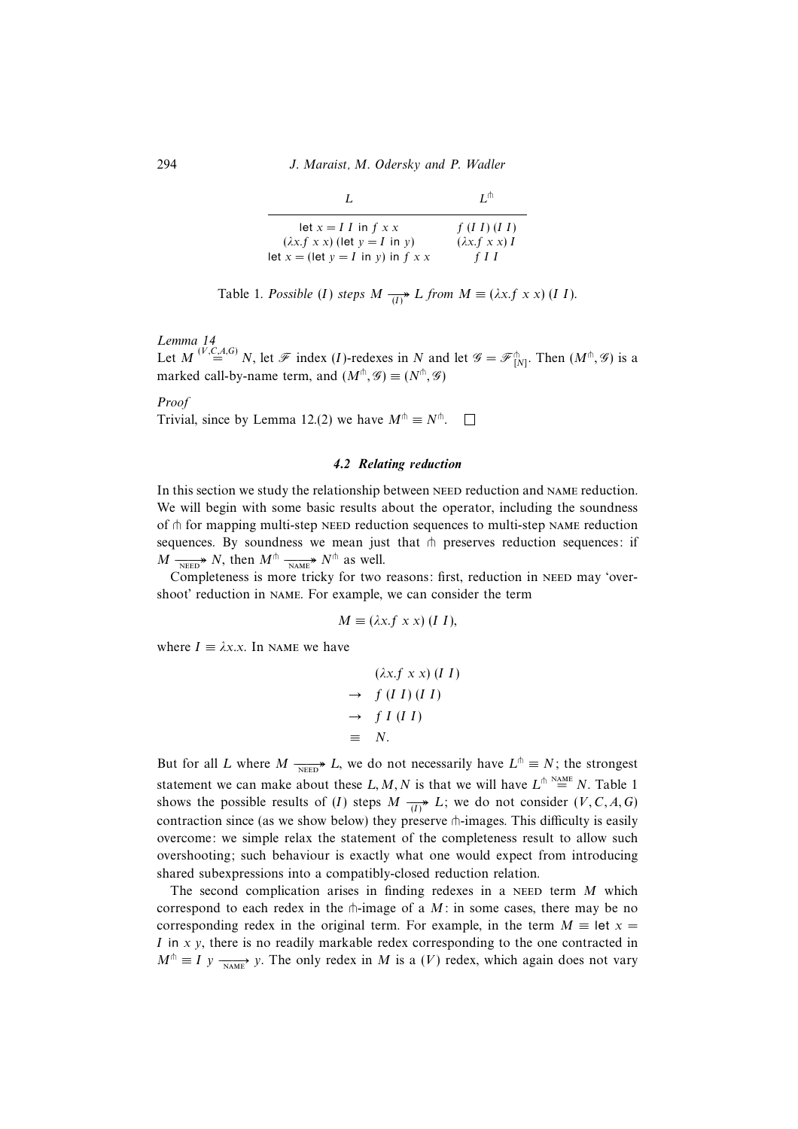294 J. Maraist, M. Odersky and P. Wadler

|                                              | $I \oplus$            |
|----------------------------------------------|-----------------------|
| let $x = I I$ in $f x x$                     | f(II)(II)             |
| $(\lambda x.f x x)$ (let $y = I$ in y)       | $(\lambda x.f x x) I$ |
| let $x =$ (let $y = I$ in y) in $f \times x$ | f I I                 |

Table 1. Possible (*I*) steps  $M \xrightarrow[*I*] N^*$   $\longrightarrow$  *L* from  $M \equiv (\lambda x.f \times x)$  (*I I*).

Lemma 14 Let  $M \stackrel{(V,C,A,G)}{=} N$ , let  $\mathcal{F}$  index (*I*)-redexes in *N* and let  $\mathcal{G} = \mathcal{F}_{[N]}^{\uparrow}$ . Then  $(M^{\uparrow\uparrow}, \mathcal{G})$  is a marked call-by-name term, and  $(M^{\uparrow}, \mathscr{G}) \equiv (N^{\uparrow}, \mathscr{G})$ 

Proof

Trivial, since by Lemma 12.(2) we have  $M^{\dagger} \equiv N^{\dagger}$ .  $\Box$ 

#### *4.2 Relating reduction*

In this section we study the relationship between NEED reduction and NAME reduction. We will begin with some basic results about the operator, including the soundness of  $\phi$  for mapping multi-step need reduction sequences to multi-step name reduction sequences. By soundness we mean just that  $\pitchfork$  preserves reduction sequences: if  $M \xrightarrow[NEED]{N} N$ , then  $M^{\uparrow} \xrightarrow[NAME]{N^{\uparrow}} N^{\uparrow}$  as well.

Completeness is more tricky for two reasons: first, reduction in NEED may 'overshoot' reduction in name. For example, we can consider the term

$$
M \equiv (\lambda x.f \times x) (I I),
$$

where  $I \equiv \lambda x.x$ . In NAME we have

$$
(\lambda x.f \times x) (I I)
$$
  
\n
$$
\rightarrow f (I I) (I I)
$$
  
\n
$$
\rightarrow f I (I I)
$$
  
\n
$$
\equiv N.
$$

But for all *L* where  $M \xrightarrow{\text{NEED}} L$ , we do not necessarily have  $L^{\uparrow} \equiv N$ ; the strongest statement we can make about these  $L, M, N$  is that we will have  $L^{\uparrow} \stackrel{\text{NAME}}{=} N$ . Table 1 shows the possible results of (*I*) steps  $M \xrightarrow[*(I)*]$  *L*; we do not consider (*V*, *C*, *A*, *G*) contraction since (as we show below) they preserve  $\phi$ -images. This difficulty is easily overcome: we simple relax the statement of the completeness result to allow such overshooting; such behaviour is exactly what one would expect from introducing shared subexpressions into a compatibly-closed reduction relation.

The second complication arises in finding redexes in a NEED term *M* which correspond to each redex in the  $\phi$ -image of a *M*: in some cases, there may be no corresponding redex in the original term. For example, in the term  $M \equiv$  let  $x =$ *I* in *x y*, there is no readily markable redex corresponding to the one contracted in  $M^{\uparrow} \equiv I$  *y*  $\frac{1}{N^{\text{AMF}}}$  *y*. The only redex in *M* is a (*V*) redex, which again does not vary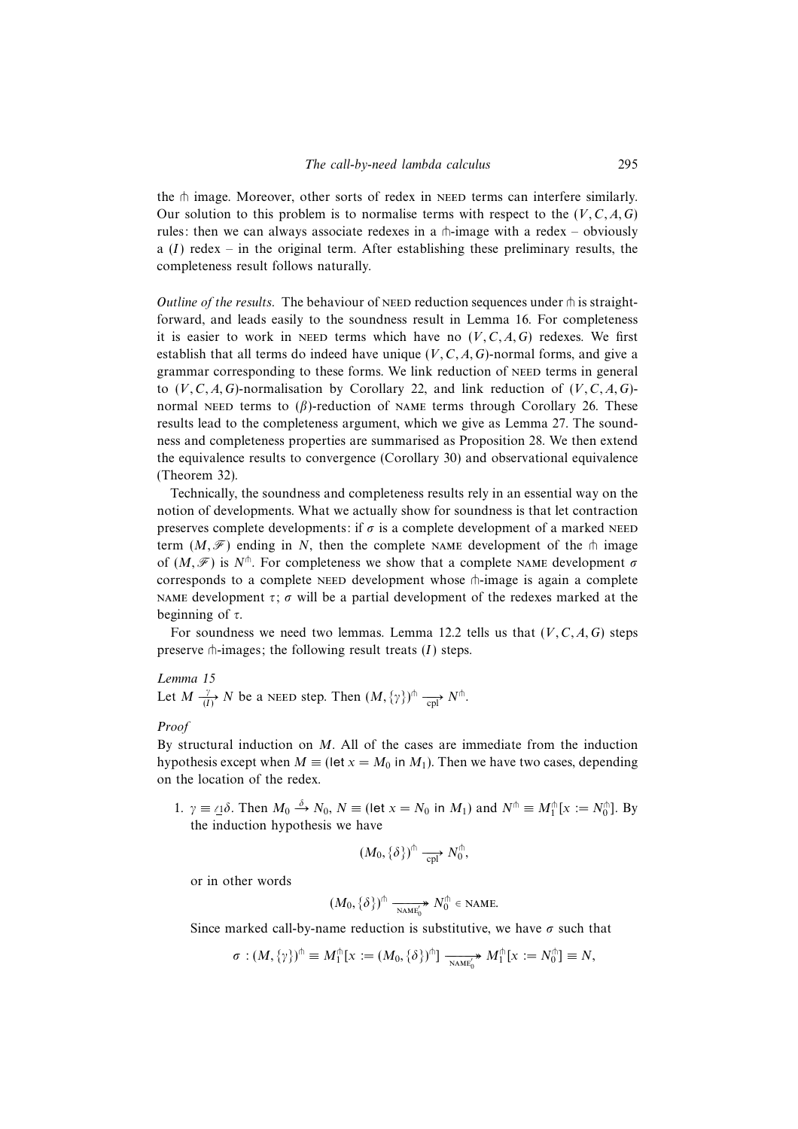the  $\phi$  image. Moreover, other sorts of redex in NEED terms can interfere similarly. Our solution to this problem is to normalise terms with respect to the  $(V, C, A, G)$ rules: then we can always associate redexes in a  $\phi$ -image with a redex – obviously a  $(I)$  redex – in the original term. After establishing these preliminary results, the completeness result follows naturally.

Outline of the results. The behaviour of NEED reduction sequences under  $\phi$  is straightforward, and leads easily to the soundness result in Lemma 16. For completeness it is easier to work in NEED terms which have no  $(V, C, A, G)$  redexes. We first establish that all terms do indeed have unique (*V , C, A, G*)-normal forms, and give a grammar corresponding to these forms. We link reduction of need terms in general to  $(V, C, A, G)$ -normalisation by Corollary 22, and link reduction of  $(V, C, A, G)$ normal NEED terms to  $(\beta)$ -reduction of NAME terms through Corollary 26. These results lead to the completeness argument, which we give as Lemma 27. The soundness and completeness properties are summarised as Proposition 28. We then extend the equivalence results to convergence (Corollary 30) and observational equivalence (Theorem 32).

Technically, the soundness and completeness results rely in an essential way on the notion of developments. What we actually show for soundness is that let contraction preserves complete developments: if  $\sigma$  is a complete development of a marked NEED term  $(M, \mathcal{F})$  ending in N, then the complete NAME development of the  $\uparrow$  image of  $(M,\mathcal{F})$  is  $N^{\uparrow}$ . For completeness we show that a complete NAME development  $\sigma$ corresponds to a complete NEED development whose  $\phi$ -image is again a complete name development *τ*; *σ* will be a partial development of the redexes marked at the beginning of *τ*.

For soundness we need two lemmas. Lemma 12.2 tells us that  $(V, C, A, G)$  steps preserve  $\phi$ -images; the following result treats (*I*) steps.

#### Lemma 15

Let  $M \frac{\gamma}{(I)}$  *N* be a NEED step. Then  $(M, \{\gamma\})^{\dagger}$   $\frac{}{\text{cpl}}$   $N^{\dagger}$ .

#### Proof

By structural induction on *M*. All of the cases are immediate from the induction hypothesis except when  $M \equiv (\text{let } x = M_0 \text{ in } M_1)$ . Then we have two cases, depending on the location of the redex.

1.  $\gamma \equiv \text{ln } M_0 \xrightarrow{\delta} N_0$ ,  $N \equiv (\text{let } x = N_0 \text{ in } M_1)$  and  $N^{\text{th}} \equiv M_1^{\text{th}}[x := N_0^{\text{th}}]$ . By the induction hypothesis we have

$$
(M_0,\{\delta\})^{\pitchfork} \xrightarrow[\text{cpl}]{}
$$
  $N_0^{\pitchfork}$ ,

or in other words

$$
(M_0,\{\delta\})^{\pitchfork}\xrightarrow[\text{Name}'_0]{\text{Name}'_0} N_0^{\pitchfork}\in\text{NAME}.
$$

Since marked call-by-name reduction is substitutive, we have  $\sigma$  such that

$$
\sigma:(M,\{\gamma\})^{\pitchfork}\equiv M_{1}^{\pitchfork}[x:=(M_{0},\{\delta\})^{\pitchfork}]\xrightarrow[N_{\text{AME}'_{0}} M_{1}^{\pitchfork}[x:=N_{0}^{\pitchfork}]\equiv N,
$$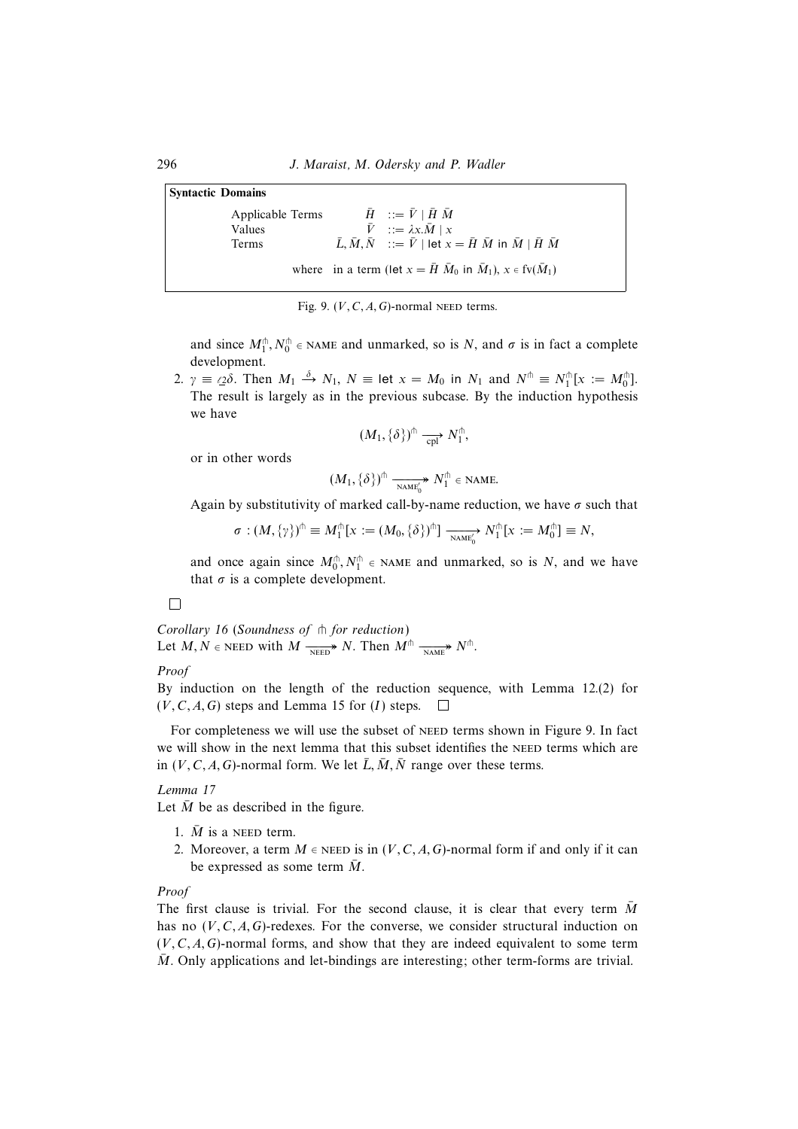| <b>Syntactic Domains</b>            |                                                                                                                                                                                  |
|-------------------------------------|----------------------------------------------------------------------------------------------------------------------------------------------------------------------------------|
| Applicable Terms<br>Values<br>Terms | $H \nightharpoonup = V   H M$<br>$\bar{V}$ ::= $\lambda x.\bar{M}$   x<br>$\bar{L}, \bar{M}, \bar{N}$ ::= $\bar{V}$   let $x = \bar{H} \bar{M}$ in $\bar{M}$   $\bar{H} \bar{M}$ |
|                                     | where in a term (let $x = H M_0$ in $M_1$ ), $x \in f v(M_1)$                                                                                                                    |

Fig. 9.  $(V, C, A, G)$ -normal NEED terms.

and since  $M_1^{\uparrow}, N_0^{\uparrow} \in \text{NAME}$  and unmarked, so is *N*, and  $\sigma$  is in fact a complete development.

2.  $\gamma \equiv \rho_2 \delta$ . Then  $M_1 \xrightarrow{\delta} N_1$ ,  $N \equiv$  let  $x = M_0$  in  $N_1$  and  $N^{\uparrow} \equiv N_1^{\uparrow} [x := M_0^{\uparrow}]$ . The result is largely as in the previous subcase. By the induction hypothesis we have

$$
(M_1,\{\delta\})^{\pitchfork} \xrightarrow[\text{cpl}]{}
$$
  $N_1^{\pitchfork}$ ,

or in other words

$$
(M_1,\{\delta\})^{\pitchfork}\xrightarrow[\text{Name}'_0]{\text{Name}'_1} N_1^{\pitchfork}\in\text{NAME}.
$$

Again by substitutivity of marked call-by-name reduction, we have *σ* such that

$$
\sigma:(M,\{\gamma\})^{\uparrow\!\!\uparrow}\equiv M_1^{\uparrow\!\!\uparrow}[x:=(M_0,\{\delta\})^{\uparrow\!\!\uparrow}]\xrightarrow[N\mathrm{AME}_0']{N_1^{\uparrow\!\!\uparrow}[x:=M_0^{\uparrow\!\!\uparrow}]} \equiv N,
$$

and once again since  $M_0^{\uparrow}, N_1^{\uparrow} \in \text{NAME}$  and unmarked, so is *N*, and we have that  $\sigma$  is a complete development.

#### $\Box$

Corollary 16 (Soundness of  $\uparrow$  for reduction) Let  $M, N \in \text{NEED with } M \xrightarrow{\text{NEED}} N$ . Then  $M^{\uparrow} \xrightarrow{\text{NATE}} N^{\uparrow}$ .

#### Proof

By induction on the length of the reduction sequence, with Lemma 12.(2) for  $(V, C, A, G)$  steps and Lemma 15 for  $(I)$  steps.  $\Box$ 

For completeness we will use the subset of NEED terms shown in Figure 9. In fact we will show in the next lemma that this subset identifies the NEED terms which are in  $(V, C, A, G)$ -normal form. We let  $\overline{L}, \overline{M}, \overline{N}$  range over these terms.

#### Lemma 17

Let  $\bar{M}$  be as described in the figure.

- 1.  $\overline{M}$  is a NEED term.
- 2. Moreover, a term  $M \in \text{NEED}$  is in  $(V, C, A, G)$ -normal form if and only if it can be expressed as some term  $\overline{M}$ .

Proof

The first clause is trivial. For the second clause, it is clear that every term  $\bar{M}$ has no  $(V, C, A, G)$ -redexes. For the converse, we consider structural induction on (*V , C, A, G*)-normal forms, and show that they are indeed equivalent to some term  $\overline{M}$ . Only applications and let-bindings are interesting; other term-forms are trivial.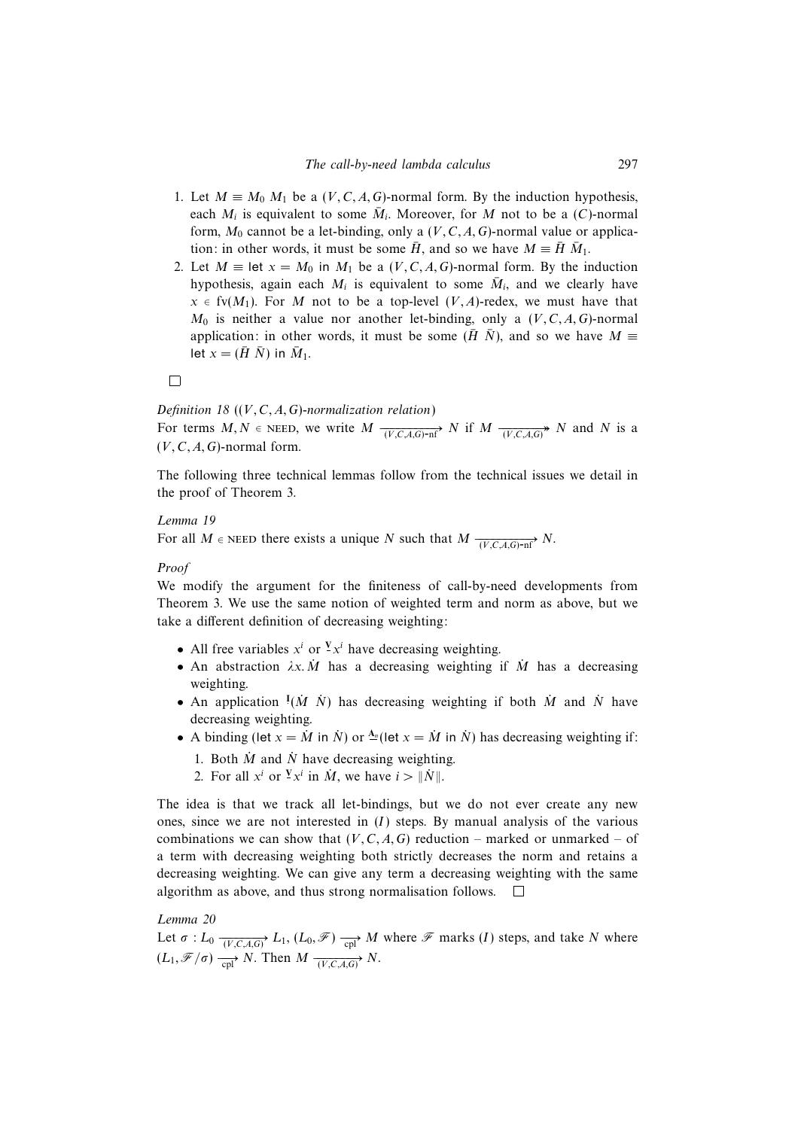- 1. Let  $M \equiv M_0 M_1$  be a  $(V, C, A, G)$ -normal form. By the induction hypothesis, each  $M_i$  is equivalent to some  $\overline{M}_i$ . Moreover, for M not to be a (C)-normal form,  $M_0$  cannot be a let-binding, only a  $(V, C, A, G)$ -normal value or application: in other words, it must be some  $\bar{H}$ , and so we have  $M \equiv \bar{H} \bar{M}_1$ .
- 2. Let  $M \equiv$  let  $x = M_0$  in  $M_1$  be a  $(V, C, A, G)$ -normal form. By the induction hypothesis, again each  $M_i$  is equivalent to some  $\overline{M}_i$ , and we clearly have  $x \in f(v(M_1))$ . For *M* not to be a top-level  $(V, A)$ -redex, we must have that  $M_0$  is neither a value nor another let-binding, only a  $(V, C, A, G)$ -normal application: in other words, it must be some ( $\overline{H} \ \overline{N}$ ), and so we have  $M \equiv$ let  $x = (\bar{H} \bar{N})$  in  $\bar{M}_1$ .

 $\Box$ 

#### Definition 18 ((*V , C, A, G*)-normalization relation)

For terms  $M, N \in \text{NEED}$ , we write  $M \frac{V}{(V, C, A, G)-n} \times N$  if  $M \frac{V}{(V, C, A, G)} \times N$  and  $N$  is a  $(V, C, A, G)$ -normal form.

The following three technical lemmas follow from the technical issues we detail in the proof of Theorem 3.

#### Lemma 19

For all *M* ∈ NEED there exists a unique *N* such that  $M \frac{V}{V, C, A, G)-n}$  N.

Proof

We modify the argument for the finiteness of call-by-need developments from Theorem 3. We use the same notion of weighted term and norm as above, but we take a different definition of decreasing weighting:

- All free variables  $x^i$  or  $y^i x^i$  have decreasing weighting.
- An abstraction *λx. M*˙ has a decreasing weighting if *M*˙ has a decreasing weighting.
- An application **<sup>I</sup>** (*M*˙ *N*˙ ) has decreasing weighting if both *M*˙ and *N*˙ have decreasing weighting.
- A binding (let  $x = \dot{M}$  in  $\dot{N}$ ) or  $\frac{\Delta_n}{n}$  (let  $x = \dot{M}$  in  $\dot{N}$ ) has decreasing weighting if:
	- 1. Both  $\dot{M}$  and  $\dot{N}$  have decreasing weighting.
	- 2. For all  $x^i$  or  $\overline{Y}x^i$  in  $\dot{M}$ , we have  $i > ||\dot{N}||$ .

The idea is that we track all let-bindings, but we do not ever create any new ones, since we are not interested in  $(I)$  steps. By manual analysis of the various combinations we can show that  $(V, C, A, G)$  reduction – marked or unmarked – of a term with decreasing weighting both strictly decreases the norm and retains a decreasing weighting. We can give any term a decreasing weighting with the same algorithm as above, and thus strong normalisation follows.  $\Box$ 

Lemma 20

Let  $\sigma$  :  $L_0$   $\frac{}{(V, C, A, G)}$   $L_1$ ,  $(L_0, \mathcal{F})$   $\frac{}{cpl}$  *M* where  $\mathcal F$  marks (*I*) steps, and take *N* where  $(L_1, \mathscr{F}/\sigma) \longrightarrow N$ . Then  $M \longrightarrow (V, C, A, G)$ <sup>→</sup> *N*.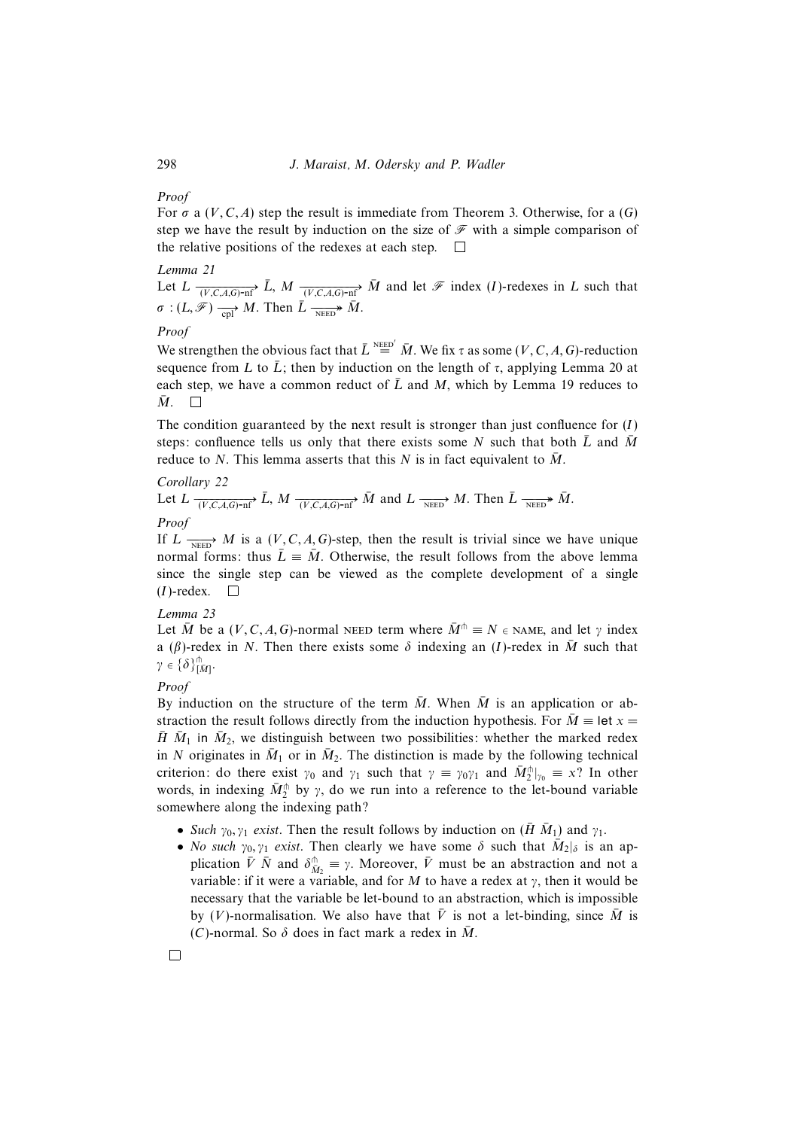#### Proof

For  $\sigma$  a (*V*, *C*, *A*) step the result is immediate from Theorem 3. Otherwise, for a (*G*) step we have the result by induction on the size of  $\mathcal F$  with a simple comparison of the relative positions of the redexes at each step.  $\Box$ 

#### Lemma 21

Let  $L \xrightarrow[(V, C, A, G) - n\mathbf{f}]{\mathbf{L}}$ ,  $M \xrightarrow[(V, C, A, G) - n\mathbf{f}]{}$  *M* and let  $\mathcal{F}$  index (*I*)-redexes in *L* such that  $\sigma$  : ( $L, \mathscr{F}$ )  $\longrightarrow_{\text{cpl}} M$ . Then  $\overline{L} \longrightarrow_{\text{NEED}} M$ .

#### Proof

We strengthen the obvious fact that  $\overline{L}^{\text{NEED}'}$   $\overline{M}$ . We fix  $\tau$  as some (*V*, *C*, *A*, *G*)-reduction sequence from *L* to  $\overline{L}$ ; then by induction on the length of  $\tau$ , applying Lemma 20 at each step, we have a common reduct of  $\overline{L}$  and  $M$ , which by Lemma 19 reduces to  $\bar{M}$ .  $\Box$ 

The condition guaranteed by the next result is stronger than just confluence for (*I*) steps: confluence tells us only that there exists some *N* such that both  $\bar{L}$  and  $\bar{M}$ reduce to *N*. This lemma asserts that this *N* is in fact equivalent to  $\overline{M}$ .

#### Corollary 22

Let 
$$
L \xrightarrow{(V, C, A, G)-nf} \bar{L}
$$
,  $M \xrightarrow{(V, C, A, G)-nf} \bar{M}$  and  $L \xrightarrow{\text{NEED}} M$ . Then  $\bar{L} \xrightarrow{\text{NEED}} \bar{M}$ .

#### Proof

If *L*  $\frac{1}{N \text{ EED}}$  *M* is a (*V, C, A, G*)-step, then the result is trivial since we have unique normal forms: thus  $\bar{L} \equiv \bar{M}$ . Otherwise, the result follows from the above lemma since the single step can be viewed as the complete development of a single (*I*)-redex.  $\Box$ 

#### Lemma 23

Let  $\overline{M}$  be a (*V*, C, A, G)-normal need term where  $\overline{M}$ <sup> $\uparrow$ </sup> =  $N \in N$  and let *γ* index a ( $\beta$ )-redex in *N*. Then there exists some  $\delta$  indexing an (*I*)-redex in  $\overline{M}$  such that  $\gamma \in \big\{ \delta \big\}_{\tilde{[M]}}^{\pitchfork}.$ 

#### Proof

By induction on the structure of the term  $\overline{M}$ . When  $\overline{M}$  is an application or abstraction the result follows directly from the induction hypothesis. For  $\overline{M} \equiv$  let  $x =$  $\bar{H} \bar{M}_1$  in  $\bar{M}_2$ , we distinguish between two possibilities: whether the marked redex in *N* originates in  $\bar{M}_1$  or in  $\bar{M}_2$ . The distinction is made by the following technical criterion: do there exist  $\gamma_0$  and  $\gamma_1$  such that  $\gamma = \gamma_0 \gamma_1$  and  $\bar{M}_2^{\dagger} |_{\gamma_0} \equiv x$ ? In other words, in indexing  $\bar{M}_2^{\uparrow}$  by *γ*, do we run into a reference to the let-bound variable somewhere along the indexing path?

- Such  $\gamma_0, \gamma_1$  exist. Then the result follows by induction on  $(\bar{H} \bar{M}_1)$  and  $\gamma_1$ .
- *No such*  $\gamma_0, \gamma_1$  *exist.* Then clearly we have some  $\delta$  such that  $\overline{M}_2|_{\delta}$  is an application  $\bar{V} \bar{N}$  and  $\delta_{\bar{M}_2}^{\uparrow} \equiv \gamma$ . Moreover,  $\bar{V}$  must be an abstraction and not a variable: if it were a variable, and for *M* to have a redex at *γ*, then it would be necessary that the variable be let-bound to an abstraction, which is impossible by (*V*)-normalisation. We also have that  $\bar{V}$  is not a let-binding, since  $\bar{M}$  is (*C*)-normal. So  $\delta$  does in fact mark a redex in  $\overline{M}$ .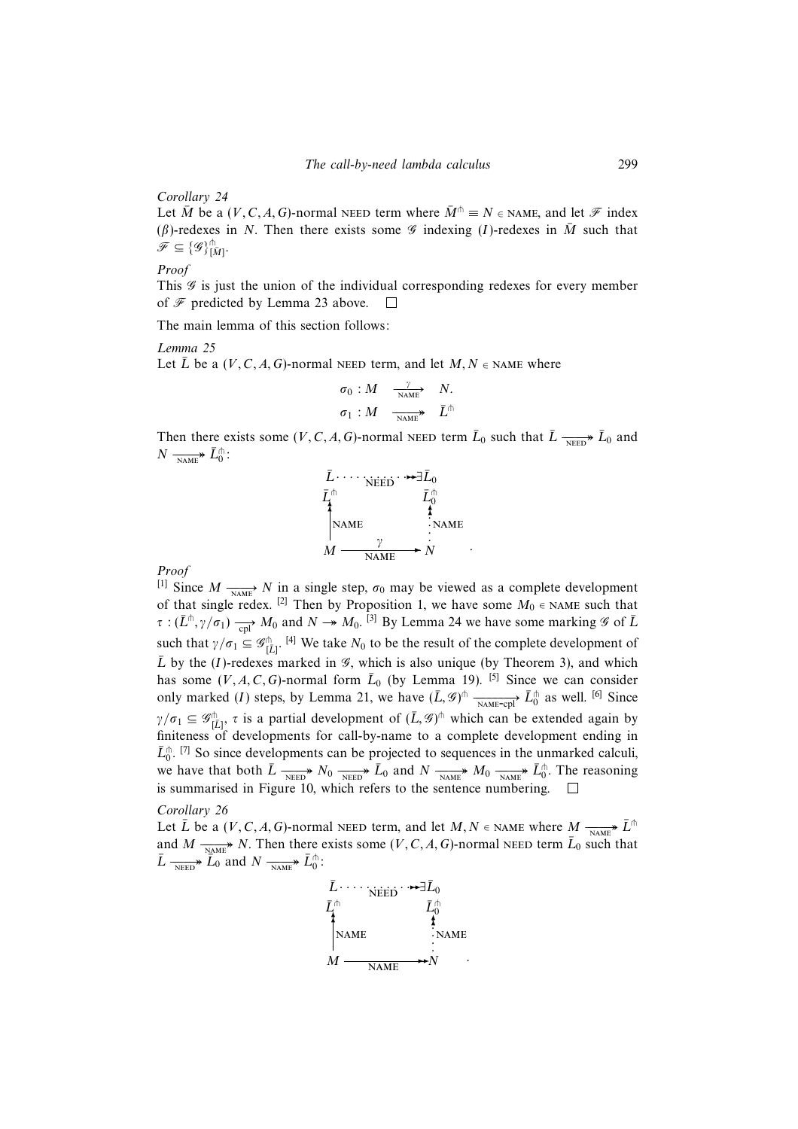Corollary 24

Let  $\overline{M}$  be a (*V*, *C*, *A*, *G*)-normal need term where  $\overline{M}$ <sup> $\uparrow$ </sup>  $\equiv$  *N*  $\in$  NAME, and let  $\mathcal{F}$  index (*β*)-redexes in *N*. Then there exists some  $\mathscr G$  indexing (*I*)-redexes in  $\overline M$  such that  $\mathscr{F} \subseteq \{\mathscr{G}\}_{[\bar{M}]}^{\pitchfork}.$ 

Proof

This  $\mathscr G$  is just the union of the individual corresponding redexes for every member of  $\mathcal F$  predicted by Lemma 23 above.  $\Box$ 

The main lemma of this section follows:

Lemma 25

Let  $\overline{L}$  be a (*V*, C, A, G)-normal need term, and let  $M, N \in \text{NAME}$  where

$$
\begin{array}{ccccc}\n\sigma_0: M & \xrightarrow[\text{NAME}]{\gamma} & N. \\
\sigma_1: M & \xrightarrow[\text{NAME}]{\gamma} & \bar{L}^{\pitchfork}\n\end{array}
$$

Then there exists some (*V, C, A, G*)-normal NEED term  $\bar{L}_0$  such that  $\bar{L}_{\text{per}} \to \bar{L}_0$  and  $N \xrightarrow[\text{Name}]{\text{NAME}} \bar{L}_0^{\pitchfork}$ :



Proof

<sup>[1]</sup> Since *M*  $\frac{1}{N \text{ AME}}$  *N* in a single step,  $\sigma_0$  may be viewed as a complete development of that single redex. <sup>[2]</sup> Then by Proposition 1, we have some  $M_0 \in N$ AME such that  $\tau$  :  $(\bar{L}^{\uparrow}, \gamma/\sigma_1) \xrightarrow[\text{cpl}]{ } M_0$  and  $N \rightarrow M_0$ . <sup>[3]</sup> By Lemma 24 we have some marking  $\mathscr G$  of  $\bar{L}$ such that  $\gamma/\sigma_1 \subseteq \mathscr{G}^{\pitchfork}_{[\tilde{L}]}$ . <sup>[4]</sup> We take  $N_0$  to be the result of the complete development of  $\overline{L}$  by the (*I*)-redexes marked in  $\mathscr{G}$ , which is also unique (by Theorem 3), and which has some  $(V, A, C, G)$ -normal form  $\overline{L}_0$  (by Lemma 19). <sup>[5]</sup> Since we can consider only marked (*I*) steps, by Lemma 21, we have  $(\bar{L}, \mathscr{G})^{\pitchfork}$   $\frac{1}{NAME-\text{cpl}}$   $\bar{L}_0^{\pitchfork}$  as well. [6] Since  $\gamma/\sigma_1 \subseteq \mathscr{G}_{[\bar{L}]}^{\uparrow}$ , *τ* is a partial development of  $(\bar{L}, \mathscr{G})^{\uparrow}$  which can be extended again by finiteness of developments for call-by-name to a complete development ending in  $\bar{L}_0^{\uparrow}$ . <sup>[7]</sup> So since developments can be projected to sequences in the unmarked calculi, we have that both  $\bar{L}$   $\frac{1}{\text{NED}}$   $N_0$   $\frac{1}{\text{NAD}}$   $\bar{L}_0$  and  $N$   $\frac{1}{\text{NAME}}$   $M_0$   $\frac{1}{\text{NAME}}$   $\bar{L}_0$ . The reasoning is summarised in Figure 10, which refers to the sentence numbering.

Corollary 26

Let  $\bar{L}$  be a (*V, C, A, G*)-normal need term, and let  $M, N \in \text{NAME}$  where  $M \xrightarrow[N\text{AME}]{N} \bar{L}^{\text{th}}$ and *M*  $\frac{N_{\text{AME}}}{N_{\text{AME}}}$  *N*. Then there exists some (*V*, *C*, *A*, *G*)-normal NEED term  $\bar{L}_0$  such that  $\bar{L} \longrightarrow \bar{L}_0$  and  $N \longrightarrow L_0^+$  *L*<sup> $\uparrow$ </sup>

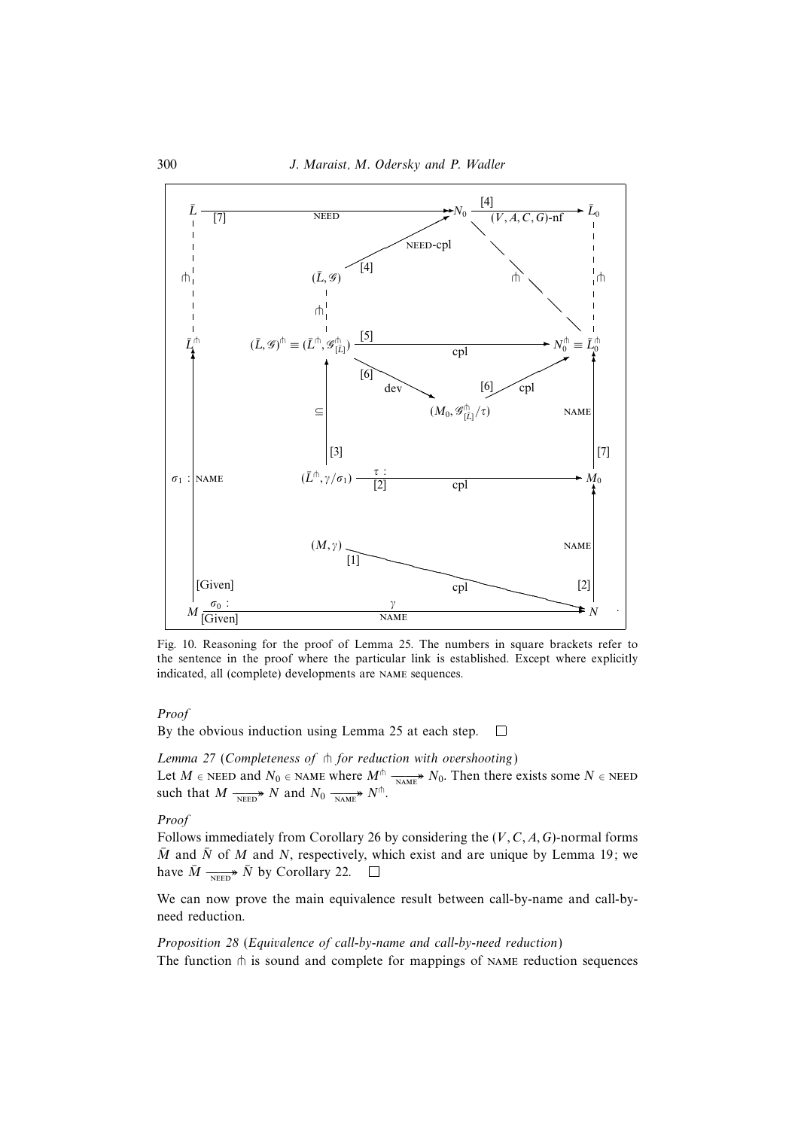

Fig. 10. Reasoning for the proof of Lemma 25. The numbers in square brackets refer to the sentence in the proof where the particular link is established. Except where explicitly indicated, all (complete) developments are name sequences.

#### Proof

By the obvious induction using Lemma 25 at each step.  $\Box$ 

Lemma 27 (Completeness of  $\phi$  for reduction with overshooting) Let *M* ∈ NEED and  $N_0$  ∈ NAME where  $M^{\text{th}}$   $\frac{ }{\text{NAME}}$  *N*<sub>0</sub>. Then there exists some  $N \in \text{NEED}$ such that  $M \xrightarrow{\text{NEED}} N$  and  $N_0 \xrightarrow{\text{NAME}} N^{\uparrow}$ .

#### Proof

Follows immediately from Corollary 26 by considering the (*V , C, A, G*)-normal forms  $\overline{M}$  and  $\overline{N}$  of *M* and *N*, respectively, which exist and are unique by Lemma 19; we have  $\bar{M}$   $\frac{}{\text{NEED}}$ <sup>→</sup>  $\bar{N}$  by Corollary 22.  $\Box$ 

We can now prove the main equivalence result between call-by-name and call-byneed reduction.

Proposition 28 (Equivalence of call-by-name and call-by-need reduction) The function  $\phi$  is sound and complete for mappings of NAME reduction sequences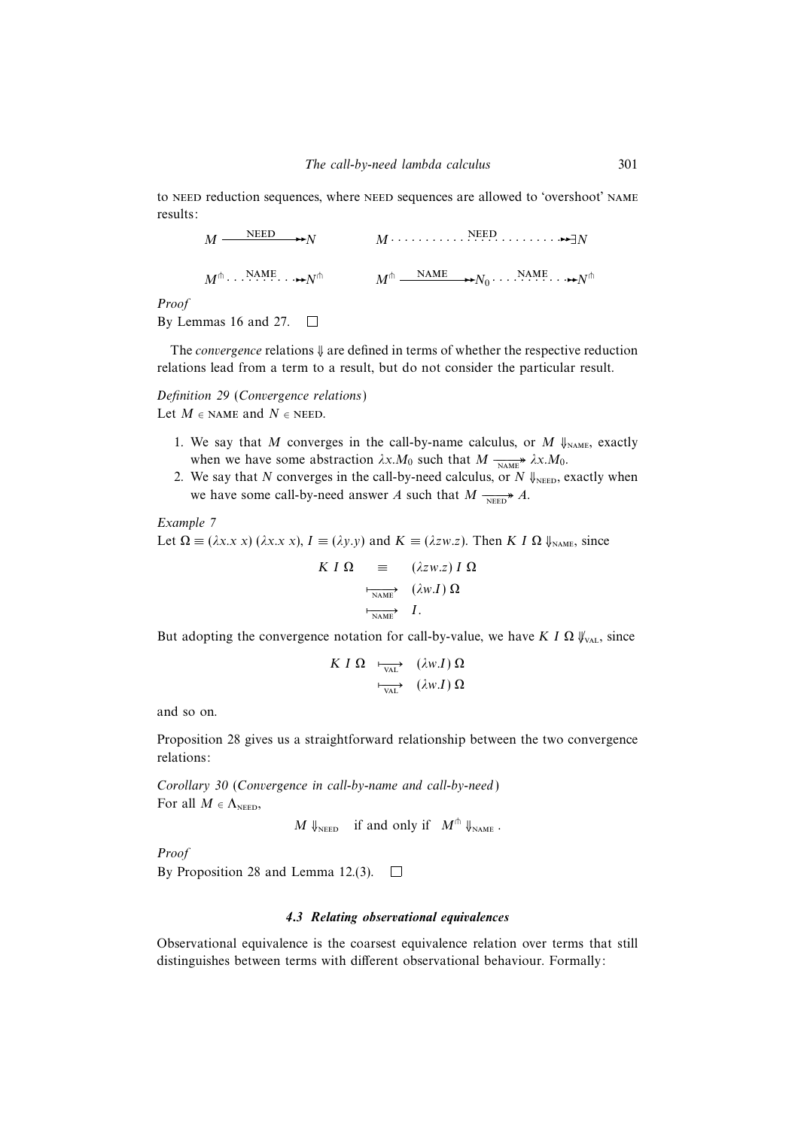to NEED reduction sequences, where NEED sequences are allowed to 'overshoot' NAME results:

 $M^{\pitchfork}$   $\cdots$ <sup>NAME</sup>  $\cdots \rightarrow N^{\pitchfork}$  *M<sup>th</sup>*  $\cdots$  NAME  $\rightarrow$   $N_0$   $\cdots$   $\cdots$   $\cdots \rightarrow N^{\pitchfork}$ *M N* need ✲✲ *M* ∃*N* .......................... need ✲✲

Proof

By Lemmas 16 and 27.  $\Box$ 

The *convergence* relations  $\psi$  are defined in terms of whether the respective reduction relations lead from a term to a result, but do not consider the particular result.

Definition 29 (Convergence relations) Let  $M \in \text{NAME}$  and  $N \in \text{NEED}$ .

- 1. We say that *M* converges in the call-by-name calculus, or  $M \Downarrow_{NAME}$ , exactly when we have some abstraction  $\lambda x.M_0$  such that  $M \rightarrow \lambda x.M_0$ .
- 2. We say that *N* converges in the call-by-need calculus, or  $N \Downarrow_{\text{NEED}}$ , exactly when we have some call-by-need answer *A* such that  $M \rightarrow P$

Example 7

Let  $\Omega = (\lambda x.x)(\lambda x.x), I = (\lambda y.y)$  and  $K = (\lambda zw.z)$ . Then *K* I  $\Omega \psi_{\text{NAME}}$ , since

$$
KI \Omega \equiv (\lambda z w. z) I \Omega
$$
  
\n
$$
\xrightarrow[\text{NAME}]{\text{NAME}} ( \lambda w. I) \Omega
$$

But adopting the convergence notation for call-by-value, we have *K I*  $\Omega$   $\psi_{\text{val}}$ , since

$$
K I \Omega \xrightarrow[\text{VAL}]{}
$$
  $(\lambda w.I) \Omega$   

$$
\xrightarrow[\text{VAL}]{}
$$
  $(\lambda w.I) \Omega$ 

and so on.

Proposition 28 gives us a straightforward relationship between the two convergence relations:

Corollary 30 (Convergence in call-by-name and call-by-need) For all  $M \in \Lambda_{\text{NEED}}$ ,

$$
M \Downarrow_{\text{NEED}}
$$
 if and only if  $M^{\uparrow \uparrow} \Downarrow_{\text{NAME}}$ .

Proof

By Proposition 28 and Lemma 12.(3).  $\square$ 

#### *4.3 Relating observational equivalences*

Observational equivalence is the coarsest equivalence relation over terms that still distinguishes between terms with different observational behaviour. Formally: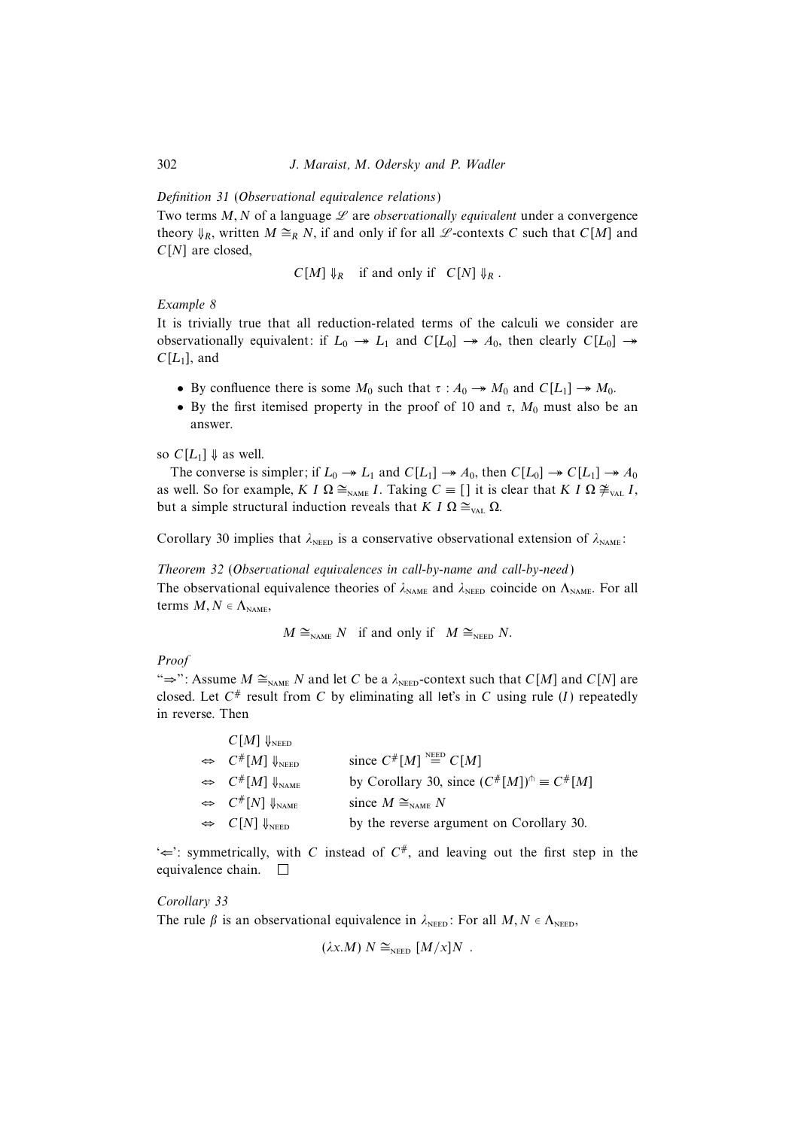#### Definition 31 (Observational equivalence relations)

Two terms  $M, N$  of a language  $L$  are *observationally equivalent* under a convergence theory  $\Downarrow$ <sub>*R*</sub>, written *M* ≅*R N*, if and only if for all *L*-contexts *C* such that *C*[*M*] and *C*[*N*] are closed,

$$
C[M] \Downarrow_R
$$
 if and only if  $C[N] \Downarrow_R$ .

Example 8

It is trivially true that all reduction-related terms of the calculi we consider are observationally equivalent: if  $L_0 \rightarrow L_1$  and  $C[L_0] \rightarrow A_0$ , then clearly  $C[L_0] \rightarrow$  $C[L_1]$ , and

- By confluence there is some  $M_0$  such that  $\tau : A_0 \to M_0$  and  $C[L_1] \to M_0$ .
- By the first itemised property in the proof of 10 and  $\tau$ ,  $M_0$  must also be an answer.

so  $C[L_1] \Downarrow$  as well.

The converse is simpler; if  $L_0 \rightarrow L_1$  and  $C[L_1] \rightarrow A_0$ , then  $C[L_0] \rightarrow C[L_1] \rightarrow A_0$ as well. So for example, *K I*  $\Omega \cong_{NAME} I$ . Taking  $C \equiv []$  it is clear that *K I*  $\Omega \not\cong_{VAL} I$ , but a simple structural induction reveals that *K I* Ω  $\cong$ <sub>VAL</sub> Ω.

Corollary 30 implies that  $\lambda_{\text{NEED}}$  is a conservative observational extension of  $\lambda_{\text{NAME}}$ :

Theorem 32 (Observational equivalences in call-by-name and call-by-need) The observational equivalence theories of  $\lambda_{\text{NAME}}$  and  $\lambda_{\text{NEED}}$  coincide on  $\Lambda_{\text{NAME}}$ . For all terms  $M, N \in \Lambda_{\text{NAME}}$ ,

$$
M \cong_{\text{NAME}} N
$$
 if and only if  $M \cong_{\text{NEED}} N$ .

#### Proof

" $\Rightarrow$ ": Assume *M*  $\cong$ <sub>NAME</sub> *N* and let *C* be a  $\lambda_{\text{NEED}}$ -context such that *C*[*M*] and *C*[*N*] are closed. Let  $C^*$  result from *C* by eliminating all let's in *C* using rule (*I*) repeatedly in reverse. Then

| $C[M] \Downarrow_{\text{NEED}}$                     |                                                           |
|-----------------------------------------------------|-----------------------------------------------------------|
| $\Leftrightarrow$ $C^*[M] \Downarrow_{\text{NEED}}$ | since $C^*[M] \stackrel{\text{NEED}}{=} C[M]$             |
| $\Leftrightarrow$ $C^*[M] \Downarrow_{\text{NAME}}$ | by Corollary 30, since $(C^*[M])^{\dagger} \equiv C^*[M]$ |
| $\Leftrightarrow$ $C^*[N] \Downarrow_{\text{NAME}}$ | since $M \cong_{\text{NAME}} N$                           |
| $\Leftrightarrow$ $C[N] \Downarrow_{\text{NEED}}$   | by the reverse argument on Corollary 30.                  |

' $\Leftarrow$ ': symmetrically, with *C* instead of  $C^*$ , and leaving out the first step in the equivalence chain.

#### Corollary 33

The rule  $\beta$  is an observational equivalence in  $\lambda_{\text{NEED}}$ : For all  $M, N \in \Lambda_{\text{NEED}}$ ,

$$
(\lambda x.M) N \cong_{\text{NEED}} [M/x]N .
$$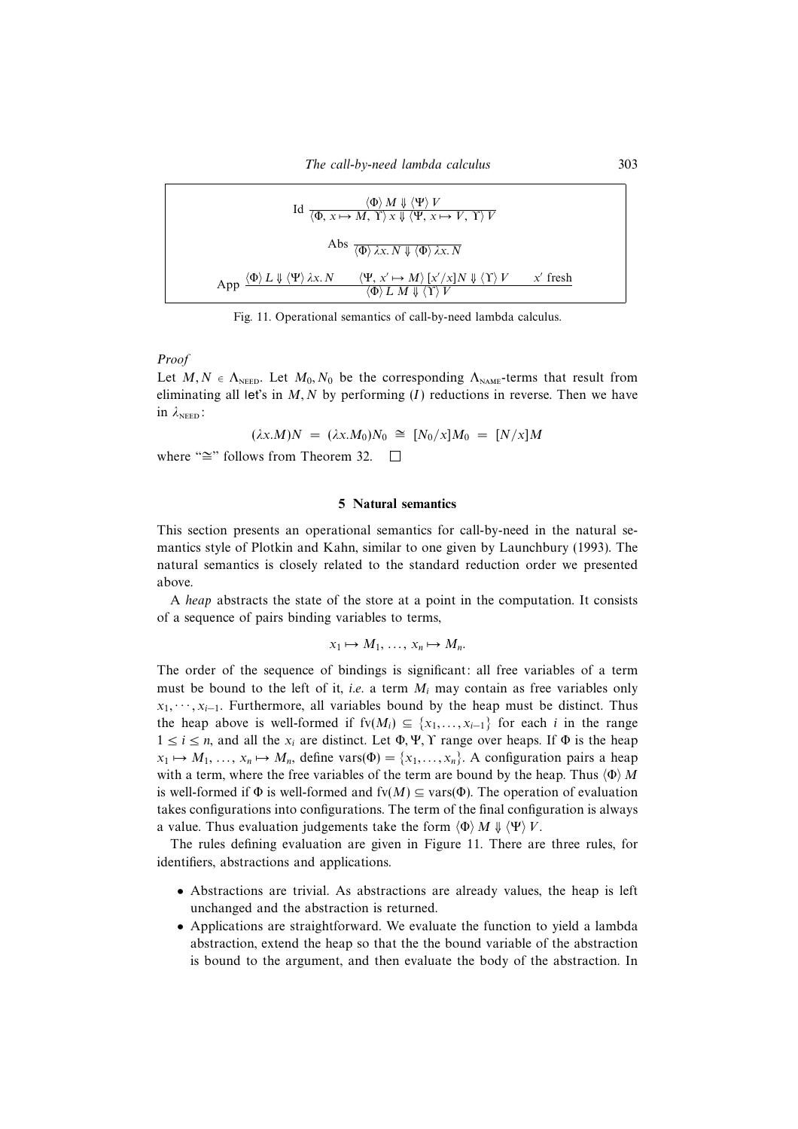| Id $\langle \Phi \rangle M \Downarrow \langle \Psi \rangle V$<br>$\langle \Phi, x \mapsto M, \Upsilon \rangle x \Downarrow \langle \Psi, x \mapsto V, \Upsilon \rangle V$                                                                     |  |
|-----------------------------------------------------------------------------------------------------------------------------------------------------------------------------------------------------------------------------------------------|--|
| Abs $\overline{\langle \Phi \rangle \lambda x. N \Downarrow \langle \Phi \rangle \lambda x. N}$                                                                                                                                               |  |
| App $\langle \Phi \rangle L \Downarrow \langle \Psi \rangle \lambda x. N$ $\langle \Psi, x' \mapsto M \rangle [x'/x] N \Downarrow \langle Y \rangle V$ x' fresh<br>$\langle \Phi \rangle$ $L$ $M$ $\Downarrow$ $\langle \Upsilon \rangle$ $V$ |  |

Fig. 11. Operational semantics of call-by-need lambda calculus.

#### Proof

Let  $M, N \in \Lambda_{\text{NEFD}}$ . Let  $M_0, N_0$  be the corresponding  $\Lambda_{\text{NAME}}$ -terms that result from eliminating all let's in *M,N* by performing (*I*) reductions in reverse. Then we have in  $\lambda_{\text{NEED}}$ :

$$
(\lambda x.M)N = (\lambda x.M_0)N_0 \cong [N_0/x]M_0 = [N/x]M
$$

where "∼=" follows from Theorem 32.  $\Box$ 

#### **5 Natural semantics**

This section presents an operational semantics for call-by-need in the natural semantics style of Plotkin and Kahn, similar to one given by Launchbury (1993). The natural semantics is closely related to the standard reduction order we presented above.

A heap abstracts the state of the store at a point in the computation. It consists of a sequence of pairs binding variables to terms,

$$
x_1 \mapsto M_1, \ldots, x_n \mapsto M_n.
$$

The order of the sequence of bindings is significant: all free variables of a term must be bound to the left of it, *i.e.* a term  $M_i$  may contain as free variables only *x*<sub>1</sub>, ···, *x<sub>i−1</sub>*. Furthermore, all variables bound by the heap must be distinct. Thus the heap above is well-formed if  $fv(M_i) \subseteq \{x_1, \ldots, x_{i-1}\}\$  for each *i* in the range  $1 \le i \le n$ , and all the  $x_i$  are distinct. Let  $\Phi, \Psi, \Upsilon$  range over heaps. If  $\Phi$  is the heap  $x_1 \mapsto M_1, \ldots, x_n \mapsto M_n$ , define vars( $\Phi$ ) = { $x_1, \ldots, x_n$ }. A configuration pairs a heap with a term, where the free variables of the term are bound by the heap. Thus  $\langle \Phi \rangle M$ is well-formed if  $\Phi$  is well-formed and  $f(v(M)) \subseteq \text{vars}(\Phi)$ . The operation of evaluation takes configurations into configurations. The term of the final configuration is always a value. Thus evaluation judgements take the form  $\langle \Phi \rangle M \Downarrow \langle \Psi \rangle V$ .

The rules defining evaluation are given in Figure 11. There are three rules, for identifiers, abstractions and applications.

- Abstractions are trivial. As abstractions are already values, the heap is left unchanged and the abstraction is returned.
- Applications are straightforward. We evaluate the function to yield a lambda abstraction, extend the heap so that the the bound variable of the abstraction is bound to the argument, and then evaluate the body of the abstraction. In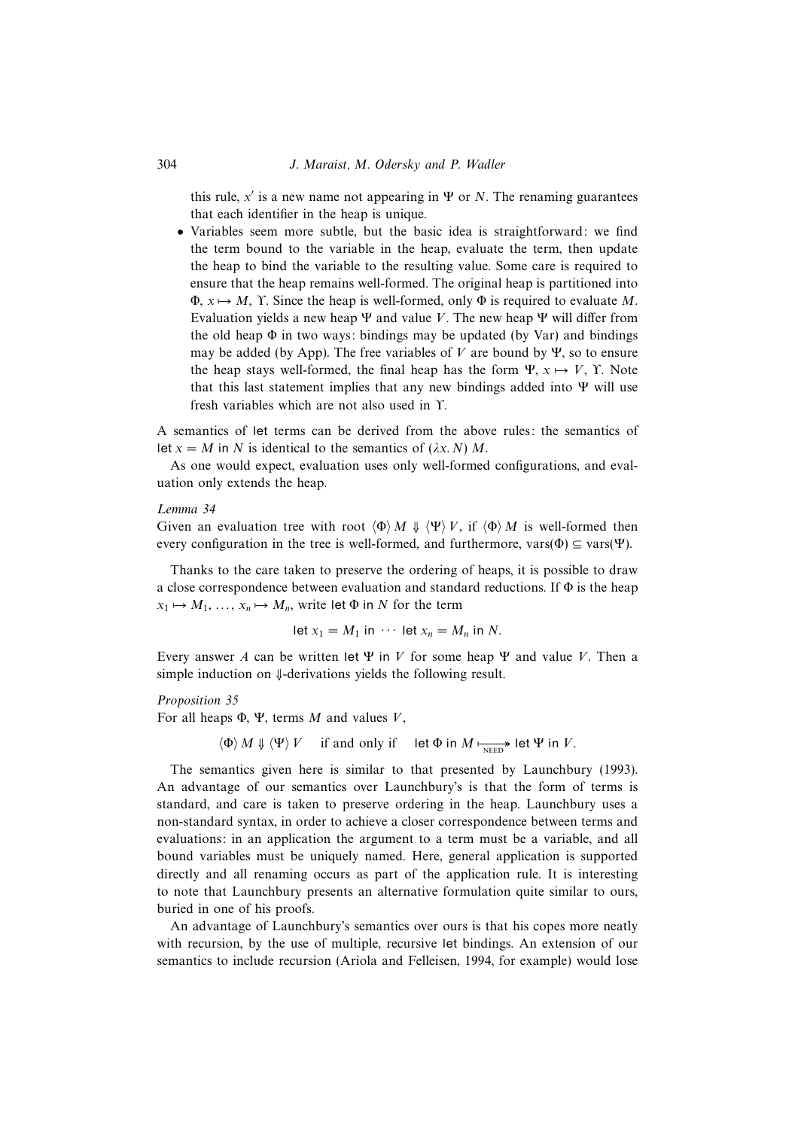this rule,  $x'$  is a new name not appearing in  $\Psi$  or *N*. The renaming guarantees that each identifier in the heap is unique.

• Variables seem more subtle, but the basic idea is straightforward: we find the term bound to the variable in the heap, evaluate the term, then update the heap to bind the variable to the resulting value. Some care is required to ensure that the heap remains well-formed. The original heap is partitioned into  $\Phi$ ,  $x \mapsto M$ ,  $\Upsilon$ . Since the heap is well-formed, only  $\Phi$  is required to evaluate M. Evaluation yields a new heap Ψ and value *V*. The new heap Ψ will differ from the old heap  $\Phi$  in two ways: bindings may be updated (by Var) and bindings may be added (by App). The free variables of *V* are bound by Ψ, so to ensure the heap stays well-formed, the final heap has the form  $\Psi$ ,  $x \mapsto V$ ,  $\Upsilon$ . Note that this last statement implies that any new bindings added into  $\Psi$  will use fresh variables which are not also used in Υ.

A semantics of let terms can be derived from the above rules: the semantics of let  $x = M$  in *N* is identical to the semantics of  $(\lambda x. N) M$ .

As one would expect, evaluation uses only well-formed configurations, and evaluation only extends the heap.

#### Lemma 34

Given an evaluation tree with root  $\langle \Phi \rangle M \Downarrow \langle \Psi \rangle V$ , if  $\langle \Phi \rangle M$  is well-formed then every configuration in the tree is well-formed, and furthermore, vars( $\Phi$ )  $\subseteq$  vars( $\Psi$ ).

Thanks to the care taken to preserve the ordering of heaps, it is possible to draw a close correspondence between evaluation and standard reductions. If  $\Phi$  is the heap  $x_1 \mapsto M_1, \ldots, x_n \mapsto M_n$ , write let  $\Phi$  in *N* for the term

let  $x_1 = M_1$  in  $\cdots$  let  $x_n = M_n$  in *N*.

Every answer *A* can be written let Ψ in *V* for some heap Ψ and value *V*. Then a simple induction on ↓ derivations yields the following result.

#### Proposition 35

For all heaps Φ, Ψ, terms *M* and values *V*,

 $\langle \Phi \rangle M \Downarrow \langle \Psi \rangle V$  if and only if let  $\Phi$  in *M*  $\mapsto$  let  $\Psi$  in *V*.

The semantics given here is similar to that presented by Launchbury (1993). An advantage of our semantics over Launchbury's is that the form of terms is standard, and care is taken to preserve ordering in the heap. Launchbury uses a non-standard syntax, in order to achieve a closer correspondence between terms and evaluations: in an application the argument to a term must be a variable, and all bound variables must be uniquely named. Here, general application is supported directly and all renaming occurs as part of the application rule. It is interesting to note that Launchbury presents an alternative formulation quite similar to ours, buried in one of his proofs.

An advantage of Launchbury's semantics over ours is that his copes more neatly with recursion, by the use of multiple, recursive let bindings. An extension of our semantics to include recursion (Ariola and Felleisen, 1994, for example) would lose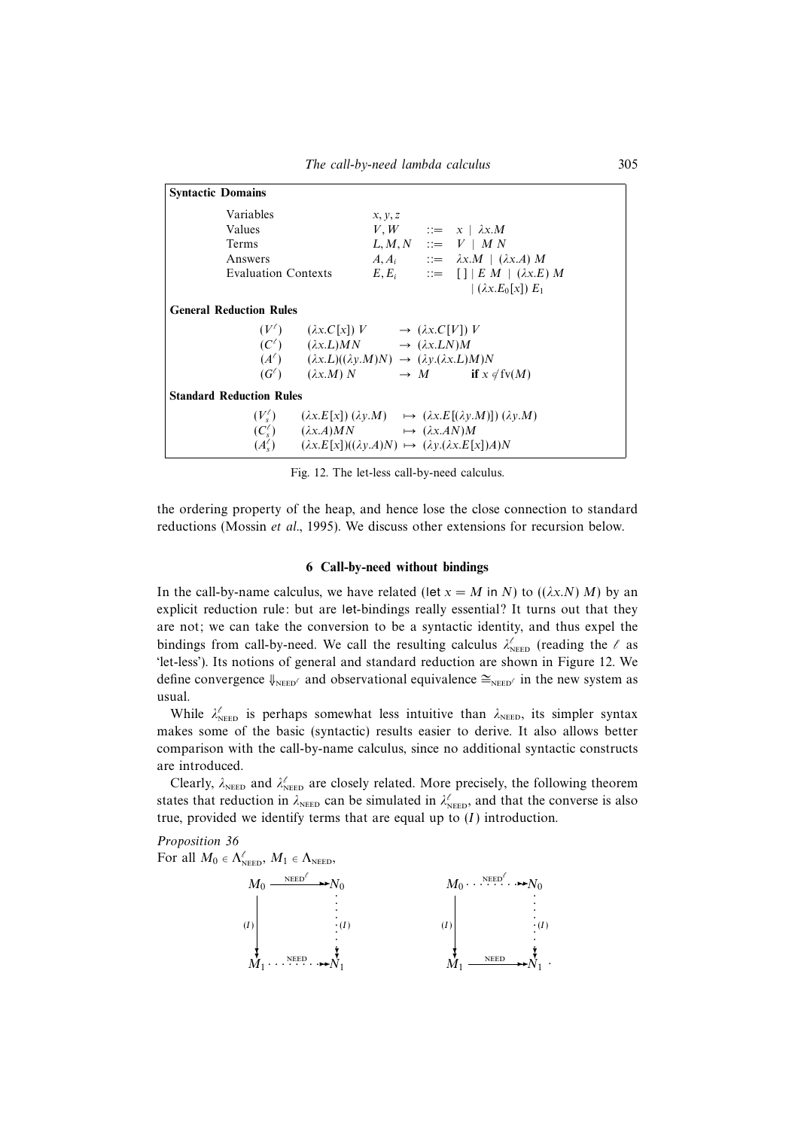The call-by-need lambda calculus 305

| <b>Syntactic Domains</b>        |                                                                                                                                                                                                                                                                                                                    |
|---------------------------------|--------------------------------------------------------------------------------------------------------------------------------------------------------------------------------------------------------------------------------------------------------------------------------------------------------------------|
| Variables                       | x, y, z                                                                                                                                                                                                                                                                                                            |
| Values                          | $V, W$ ::= $x \mid \lambda x.M$                                                                                                                                                                                                                                                                                    |
| <b>Terms</b>                    | $L, M, N \quad ::= \quad V \mid M N$                                                                                                                                                                                                                                                                               |
| Answers                         | $A, A_i$ ::= $\lambda x.M$   ( $\lambda x.A$ ) M                                                                                                                                                                                                                                                                   |
| <b>Evaluation Contexts</b>      | $E, E_i$ ::= $\lceil \cdot \rceil$ $\lfloor E \cdot M \rfloor \cdot (\lambda x.E) \cdot M$<br>$(\lambda x.E_0[x]) E_1$                                                                                                                                                                                             |
| <b>General Reduction Rules</b>  |                                                                                                                                                                                                                                                                                                                    |
|                                 | $\begin{array}{lll} (V^{\ell}) & (\lambda x.C[x]) \: V & \to (\lambda x.C[V]) \: V \\ (C^{\ell}) & (\lambda x.L)MN & \to (\lambda x.LN)M \end{array}$<br>$(A^{\ell})$ $(\lambda x.L)((\lambda y.M)N) \rightarrow (\lambda y.(\lambda x.L)M)N$<br>$(G^{\ell})$ $(\lambda x.M) N \rightarrow M$ if $x \notin f_V(M)$ |
| <b>Standard Reduction Rules</b> |                                                                                                                                                                                                                                                                                                                    |
|                                 | $(V_s^{\ell})$ $(\lambda x.E[x]) (\lambda y.M) \rightarrow (\lambda x.E[(\lambda y.M)]) (\lambda y.M)$<br>$(C_s^{\ell})$ $(\lambda x.A)MN$ $\rightarrow (\lambda x.AN)M$<br>$(A_s^{\ell})$ $(\lambda x.E[x])((\lambda y.A)N) \mapsto (\lambda y.(\lambda x.E[x])A)N$                                               |

Fig. 12. The let-less call-by-need calculus.

the ordering property of the heap, and hence lose the close connection to standard reductions (Mossin et al., 1995). We discuss other extensions for recursion below.

#### **6 Call-by-need without bindings**

In the call-by-name calculus, we have related (let  $x = M$  in *N*) to (( $\lambda x.N$ ) *M*) by an explicit reduction rule: but are let-bindings really essential? It turns out that they are not; we can take the conversion to be a syntactic identity, and thus expel the bindings from call-by-need. We call the resulting calculus  $\lambda'_{NEED}$  (reading the  $\ell$  as 'let-less'). Its notions of general and standard reduction are shown in Figure 12. We define convergence  $\Downarrow_{\text{NEED}'}$  and observational equivalence ≅<sub>NEED</sub><sup>*i*</sup> in the new system as usual.

While  $\lambda_{\text{NEED}}^{\ell}$  is perhaps somewhat less intuitive than  $\lambda_{\text{NEED}}$ , its simpler syntax makes some of the basic (syntactic) results easier to derive. It also allows better comparison with the call-by-name calculus, since no additional syntactic constructs are introduced.

Clearly,  $\lambda_{\text{NEED}}$  and  $\lambda'_{\text{NEED}}$  are closely related. More precisely, the following theorem states that reduction in  $\lambda_{\text{NEED}}$  can be simulated in  $\lambda'_{\text{NEED}}$ , and that the converse is also true, provided we identify terms that are equal up to (*I*) introduction.

Proposition 36

For all  $M_0 \in \Lambda_{\text{NEED}}^{\ell}$ ,  $M_1 \in \Lambda_{\text{NEED}}$ ,

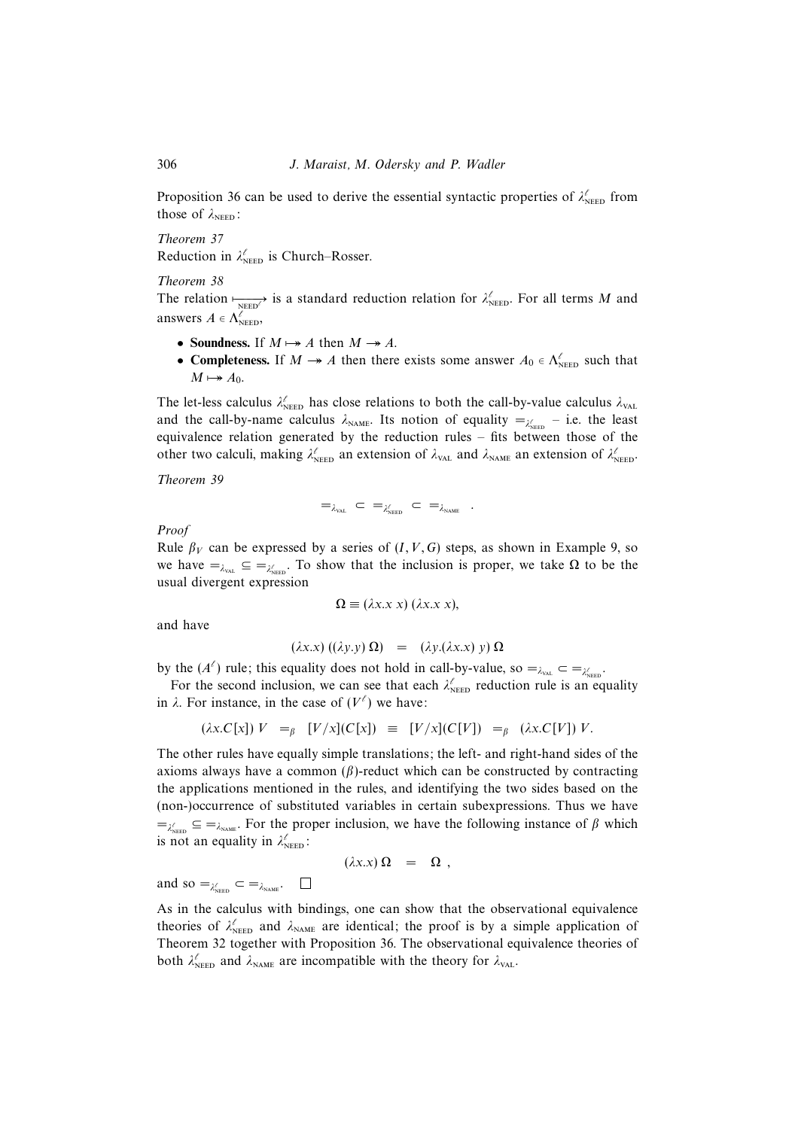Proposition 36 can be used to derive the essential syntactic properties of  $\lambda'_{\text{NEED}}$  from those of  $\lambda_{\text{NEED}}$ :

Theorem 37 Reduction in  $\lambda_{\text{NEED}}^{\ell}$  is Church–Rosser.

Theorem 38

The relation  $\frac{1}{N\text{EED}'}$  is a standard reduction relation for  $\lambda'_{N\text{EED}}$ . For all terms *M* and answers  $A \in \Lambda_{\text{NEED}}^{\ell}$ 

- **Soundness.** If  $M \mapsto A$  then  $M \rightarrow A$ .
- **Completeness.** If  $M \rightarrow A$  then there exists some answer  $A_0 \in \Lambda_{\text{NEED}}^{\ell}$  such that  $M \mapsto A_0$ .

The let-less calculus  $\lambda'_{\text{NEED}}$  has close relations to both the call-by-value calculus  $\lambda_{\text{VAL}}$ and the call-by-name calculus  $\lambda_{\text{NAME}}$ . Its notion of equality  $=_{\lambda'_{\text{NEED}}}$  – i.e. the least equivalence relation generated by the reduction rules – fits between those of the other two calculi, making  $\lambda_{\text{NEED}}^{\ell}$  an extension of  $\lambda_{\text{VAL}}$  and  $\lambda_{\text{NAME}}$  an extension of  $\lambda_{\text{NEED}}^{\ell}$ .

Theorem 39

$$
=_{\lambda_{\text{val}}} \ \subset \ =_{\lambda_{\text{nead}}'} \ \subset \ =_{\lambda_{\text{name}}} \ .
$$

Proof

Rule  $\beta_V$  can be expressed by a series of  $(I, V, G)$  steps, as shown in Example 9, so we have  $=_{\lambda_{\text{val}}} \subseteq =_{\lambda'_{\text{NEED}}}$ . To show that the inclusion is proper, we take  $\Omega$  to be the usual divergent expression

$$
\Omega \equiv (\lambda x.x)(\lambda x.x),
$$

and have

$$
(\lambda x.x) ((\lambda y.y) \Omega) = (\lambda y.(\lambda x.x) y) \Omega
$$

by the (*A<sup>c</sup>*) rule; this equality does not hold in call-by-value, so  $=_{\lambda_{\text{val}}} c =_{\lambda_{\text{NED}}'}.$ 

For the second inclusion, we can see that each  $\lambda_{\text{NEED}}^{\ell}$  reduction rule is an equality in  $\lambda$ . For instance, in the case of  $(V^{\ell})$  we have:

$$
(\lambda x.C[x]) V =_{\beta} [V/x](C[x]) \equiv [V/x](C[V]) =_{\beta} (\lambda x.C[V]) V.
$$

The other rules have equally simple translations; the left- and right-hand sides of the axioms always have a common  $(\beta)$ -reduct which can be constructed by contracting the applications mentioned in the rules, and identifying the two sides based on the (non-)occurrence of substituted variables in certain subexpressions. Thus we have  $=_{\lambda'_{\text{NEED}}} \subseteq =_{\lambda_{\text{NAME}}}$ . For the proper inclusion, we have the following instance of  $\beta$  which is not an equality in  $\lambda'_{\text{NEED}}$ :

 $(\lambda x.x) \Omega = \Omega$ ,

and so  $=_{\lambda'_{\text{NEED}}} \subset =_{\lambda_{\text{NAME}}}$ .

As in the calculus with bindings, one can show that the observational equivalence theories of  $\lambda_{\text{NEED}}^{\ell}$  and  $\lambda_{\text{NAME}}$  are identical; the proof is by a simple application of Theorem 32 together with Proposition 36. The observational equivalence theories of both  $\lambda_{\text{NEED}}^{\ell}$  and  $\lambda_{\text{NAME}}$  are incompatible with the theory for  $\lambda_{\text{VAL}}$ .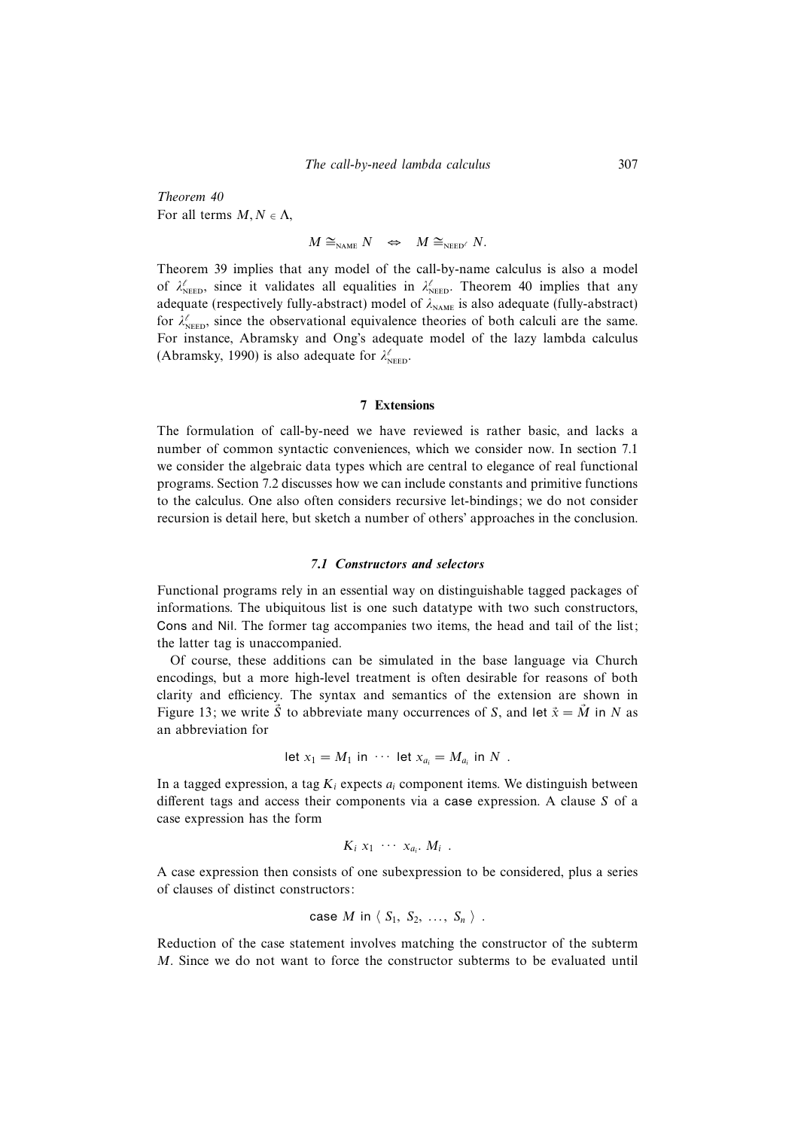Theorem 40 For all terms  $M, N \in \Lambda$ ,

$$
M \cong_{\text{name}} N \iff M \cong_{\text{NEED}^{\ell}} N.
$$

Theorem 39 implies that any model of the call-by-name calculus is also a model of  $\lambda'_{\text{NEED}}$ , since it validates all equalities in  $\lambda'_{\text{NEED}}$ . Theorem 40 implies that any adequate (respectively fully-abstract) model of *λ*name is also adequate (fully-abstract) for  $\lambda'_{NEED}$ , since the observational equivalence theories of both calculi are the same. For instance, Abramsky and Ong's adequate model of the lazy lambda calculus (Abramsky, 1990) is also adequate for  $\lambda'_{\text{NEED}}$ .

#### **7 Extensions**

The formulation of call-by-need we have reviewed is rather basic, and lacks a number of common syntactic conveniences, which we consider now. In section 7.1 we consider the algebraic data types which are central to elegance of real functional programs. Section 7.2 discusses how we can include constants and primitive functions to the calculus. One also often considers recursive let-bindings; we do not consider recursion is detail here, but sketch a number of others' approaches in the conclusion.

#### *7.1 Constructors and selectors*

Functional programs rely in an essential way on distinguishable tagged packages of informations. The ubiquitous list is one such datatype with two such constructors, Cons and Nil. The former tag accompanies two items, the head and tail of the list; the latter tag is unaccompanied.

Of course, these additions can be simulated in the base language via Church encodings, but a more high-level treatment is often desirable for reasons of both clarity and efficiency. The syntax and semantics of the extension are shown in Figure 13; we write  $\vec{S}$  to abbreviate many occurrences of *S*, and let  $\vec{x} = \vec{M}$  in *N* as an abbreviation for

let 
$$
x_1 = M_1
$$
 in  $\cdots$  let  $x_{a_i} = M_{a_i}$  in N.

In a tagged expression, a tag  $K_i$  expects  $a_i$  component items. We distinguish between different tags and access their components via a case expression. A clause *S* of a case expression has the form

$$
K_i x_1 \cdots x_{a_i}. M_i.
$$

A case expression then consists of one subexpression to be considered, plus a series of clauses of distinct constructors:

case 
$$
M
$$
 in  $\langle S_1, S_2, \ldots, S_n \rangle$ .

Reduction of the case statement involves matching the constructor of the subterm *M*. Since we do not want to force the constructor subterms to be evaluated until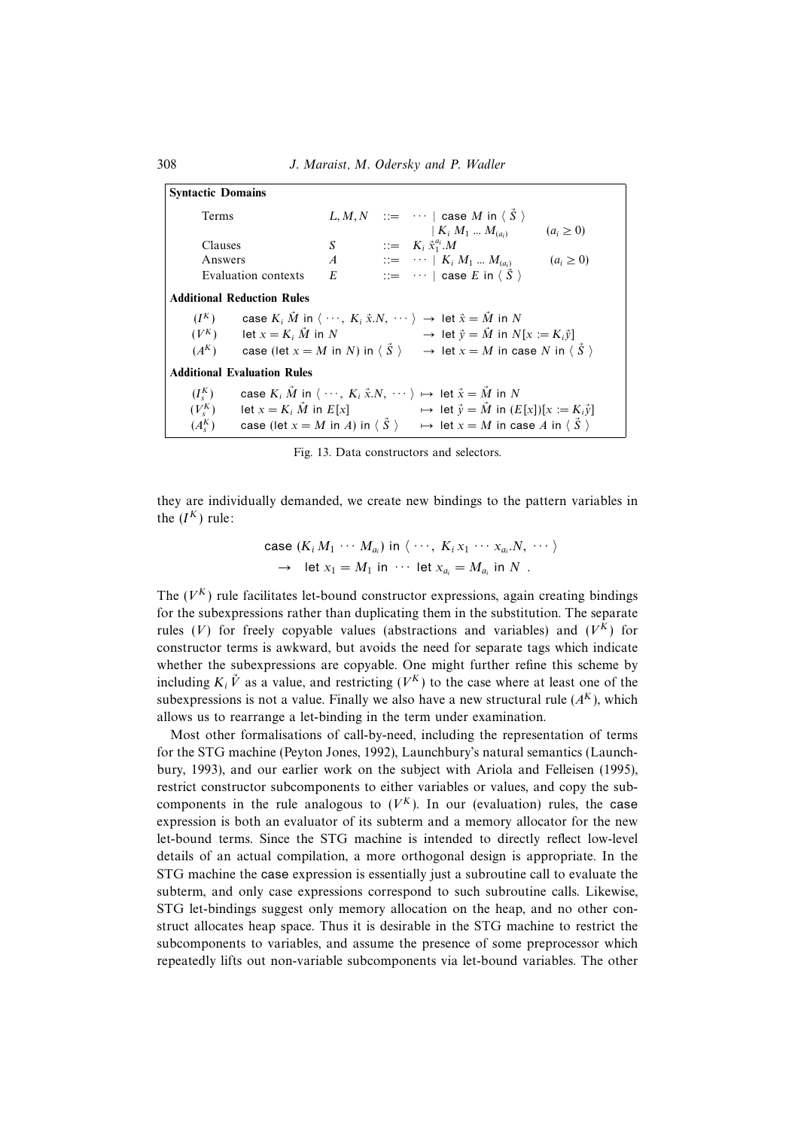| <b>Syntactic Domains</b>           |                                                                                                                                 |                                           |  |                                                                                                                                 |                |  |
|------------------------------------|---------------------------------------------------------------------------------------------------------------------------------|-------------------------------------------|--|---------------------------------------------------------------------------------------------------------------------------------|----------------|--|
| Terms                              |                                                                                                                                 |                                           |  | L, M, N ::= $\cdots$   case M in $\langle \tilde{S} \rangle$                                                                    |                |  |
|                                    |                                                                                                                                 |                                           |  | $K_i M_1  M_{(a_i)}$                                                                                                            | $(a_i \geq 0)$ |  |
| Clauses                            |                                                                                                                                 | $S$ ::= $K_i \mathbf{\vec{x}}_1^{a_i}$ .M |  |                                                                                                                                 |                |  |
| Answers                            |                                                                                                                                 |                                           |  | A<br>$E$ $:= \cdots   K_i M_1  M_{(a_i)}$<br>$:= \cdots   \text{ case } E \text{ in } \langle \vec{S} \rangle$                  | $(a_i \geq 0)$ |  |
| Evaluation contexts                |                                                                                                                                 |                                           |  |                                                                                                                                 |                |  |
| <b>Additional Reduction Rules</b>  |                                                                                                                                 |                                           |  |                                                                                                                                 |                |  |
|                                    | $(I^K)$ case $K_i \tilde{M}$ in $\langle \cdots, K_i \tilde{x}.N, \cdots \rangle \rightarrow$ let $\tilde{x} = \tilde{M}$ in N  |                                           |  |                                                                                                                                 |                |  |
|                                    | $(V^K)$ let $x = K_i \tilde{M}$ in N<br>$\rightarrow$ let $\vec{y} = \vec{M}$ in $N[x := K_i \vec{y}]$                          |                                           |  |                                                                                                                                 |                |  |
|                                    | $(A^{K})$ case (let $x = M$ in N) in $\langle \vec{S} \rangle$ $\rightarrow$ let $x = M$ in case N in $\langle \vec{S} \rangle$ |                                           |  |                                                                                                                                 |                |  |
| <b>Additional Evaluation Rules</b> |                                                                                                                                 |                                           |  |                                                                                                                                 |                |  |
|                                    |                                                                                                                                 |                                           |  | $(I_s^K)$ case $K_i \tilde{M}$ in $\langle \cdots, K_i \tilde{x}.N, \cdots \rangle \mapsto$ let $\tilde{x} = \tilde{M}$ in N    |                |  |
|                                    |                                                                                                                                 |                                           |  | $(V_s^K)$ let $x = K_i \tilde{M}$ in $E[x]$ $\rightarrow$ let $\tilde{y} = \tilde{M}$ in $(E[x])[x := K_i \tilde{y}]$           |                |  |
|                                    |                                                                                                                                 |                                           |  | $(A_{s}^{K})$ case (let $x = M$ in A) in $\langle \vec{S} \rangle$ $\mapsto$ let $x = M$ in case A in $\langle \vec{S} \rangle$ |                |  |

Fig. 13. Data constructors and selectors.

they are individually demanded, we create new bindings to the pattern variables in the  $(I^K)$  rule:

$$
\begin{aligned}\n\text{case } (K_i \, M_1 \, \cdots \, M_{a_i}) \text{ in } \langle \, \cdots, \, K_i \, x_1 \, \cdots \, x_{a_i}.N, \, \cdots \rangle \\
\rightarrow \text{ let } x_1 = M_1 \text{ in } \cdots \text{ let } x_{a_i} = M_{a_i} \text{ in } N \, .\n\end{aligned}
$$

The  $(V^K)$  rule facilitates let-bound constructor expressions, again creating bindings for the subexpressions rather than duplicating them in the substitution. The separate rules (*V*) for freely copyable values (abstractions and variables) and  $(V^K)$  for constructor terms is awkward, but avoids the need for separate tags which indicate whether the subexpressions are copyable. One might further refine this scheme by including  $K_i \tilde{V}$  as a value, and restricting ( $V^K$ ) to the case where at least one of the subexpressions is not a value. Finally we also have a new structural rule  $(A<sup>K</sup>)$ , which allows us to rearrange a let-binding in the term under examination.

Most other formalisations of call-by-need, including the representation of terms for the STG machine (Peyton Jones, 1992), Launchbury's natural semantics (Launchbury, 1993), and our earlier work on the subject with Ariola and Felleisen (1995), restrict constructor subcomponents to either variables or values, and copy the subcomponents in the rule analogous to  $(V^K)$ . In our (evaluation) rules, the case expression is both an evaluator of its subterm and a memory allocator for the new let-bound terms. Since the STG machine is intended to directly reflect low-level details of an actual compilation, a more orthogonal design is appropriate. In the STG machine the case expression is essentially just a subroutine call to evaluate the subterm, and only case expressions correspond to such subroutine calls. Likewise, STG let-bindings suggest only memory allocation on the heap, and no other construct allocates heap space. Thus it is desirable in the STG machine to restrict the subcomponents to variables, and assume the presence of some preprocessor which repeatedly lifts out non-variable subcomponents via let-bound variables. The other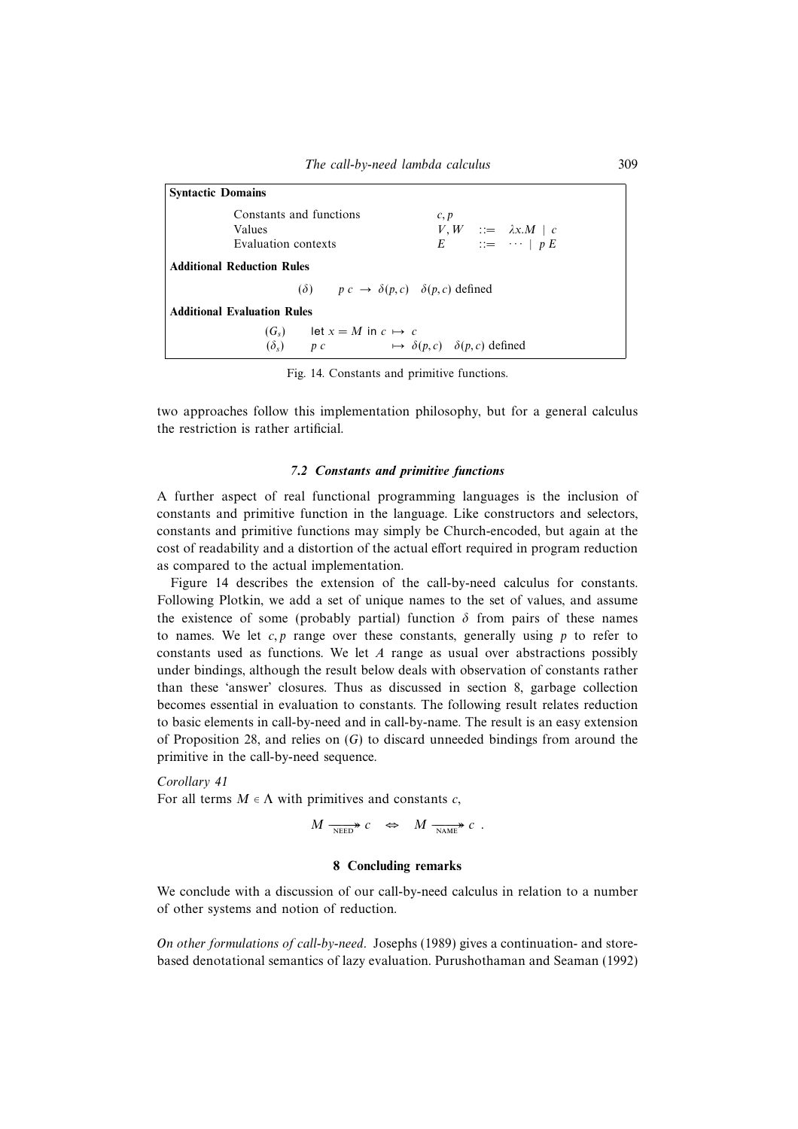| <b>Syntactic Domains</b>                                         |                                             |  |  |  |  |  |
|------------------------------------------------------------------|---------------------------------------------|--|--|--|--|--|
| Constants and functions                                          | c, p                                        |  |  |  |  |  |
| Values                                                           | $V, W$ ::= $\lambda x.M \mid c$             |  |  |  |  |  |
| Evaluation contexts                                              | $E$ ::= $\cdots$   p E                      |  |  |  |  |  |
| <b>Additional Reduction Rules</b>                                |                                             |  |  |  |  |  |
| ( $\delta$ ) $p c \rightarrow \delta(p, c) \delta(p, c)$ defined |                                             |  |  |  |  |  |
| <b>Additional Evaluation Rules</b>                               |                                             |  |  |  |  |  |
| let $x = M$ in $c \mapsto c$<br>$(G_s)$<br>$(\delta_s)$ pc       | $\mapsto \delta(p,c)$ $\delta(p,c)$ defined |  |  |  |  |  |

Fig. 14. Constants and primitive functions.

two approaches follow this implementation philosophy, but for a general calculus the restriction is rather artificial.

#### *7.2 Constants and primitive functions*

A further aspect of real functional programming languages is the inclusion of constants and primitive function in the language. Like constructors and selectors, constants and primitive functions may simply be Church-encoded, but again at the cost of readability and a distortion of the actual effort required in program reduction as compared to the actual implementation.

Figure 14 describes the extension of the call-by-need calculus for constants. Following Plotkin, we add a set of unique names to the set of values, and assume the existence of some (probably partial) function  $\delta$  from pairs of these names to names. We let *c, p* range over these constants, generally using *p* to refer to constants used as functions. We let *A* range as usual over abstractions possibly under bindings, although the result below deals with observation of constants rather than these 'answer' closures. Thus as discussed in section 8, garbage collection becomes essential in evaluation to constants. The following result relates reduction to basic elements in call-by-need and in call-by-name. The result is an easy extension of Proposition 28, and relies on (*G*) to discard unneeded bindings from around the primitive in the call-by-need sequence.

Corollary 41 For all terms  $M \in \Lambda$  with primitives and constants *c*,

 $M \xrightarrow{\text{NEED}} c \Leftrightarrow M \xrightarrow{\text{NAME}} c$ .

#### **8 Concluding remarks**

We conclude with a discussion of our call-by-need calculus in relation to a number of other systems and notion of reduction.

On other formulations of call-by-need. Josephs (1989) gives a continuation- and storebased denotational semantics of lazy evaluation. Purushothaman and Seaman (1992)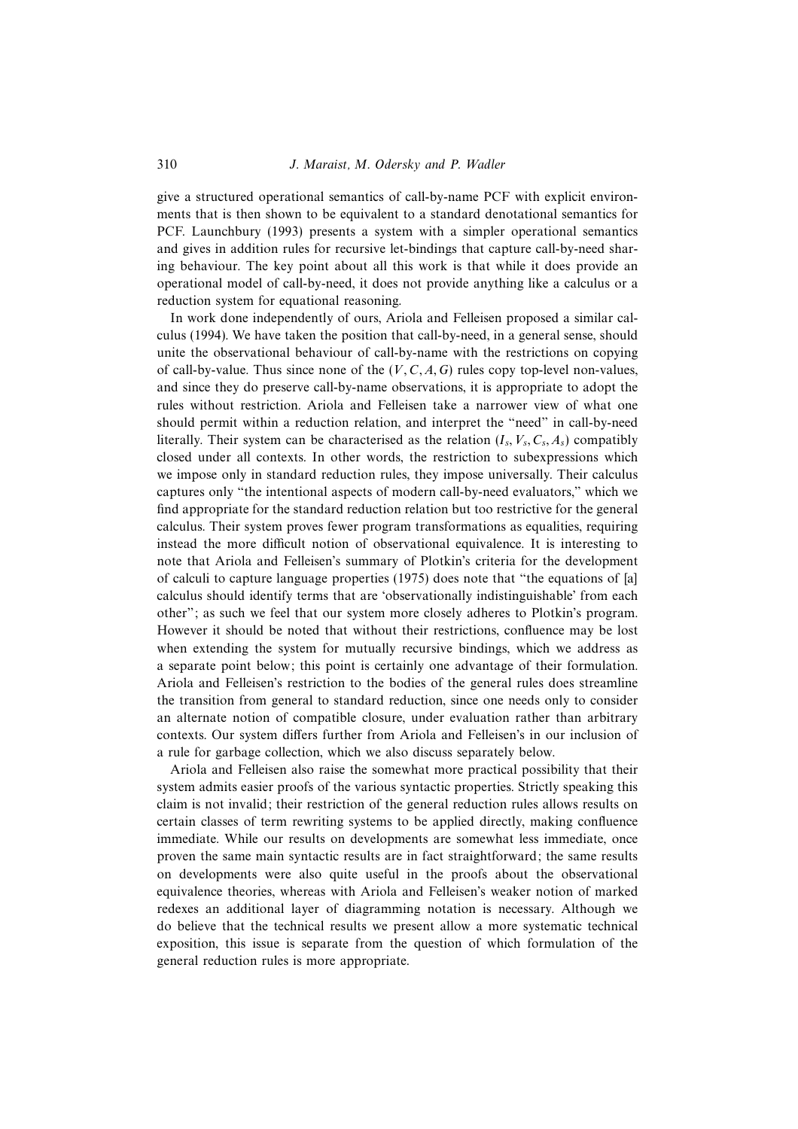give a structured operational semantics of call-by-name PCF with explicit environments that is then shown to be equivalent to a standard denotational semantics for PCF. Launchbury (1993) presents a system with a simpler operational semantics and gives in addition rules for recursive let-bindings that capture call-by-need sharing behaviour. The key point about all this work is that while it does provide an operational model of call-by-need, it does not provide anything like a calculus or a reduction system for equational reasoning.

In work done independently of ours, Ariola and Felleisen proposed a similar calculus (1994). We have taken the position that call-by-need, in a general sense, should unite the observational behaviour of call-by-name with the restrictions on copying of call-by-value. Thus since none of the  $(V, C, A, G)$  rules copy top-level non-values, and since they do preserve call-by-name observations, it is appropriate to adopt the rules without restriction. Ariola and Felleisen take a narrower view of what one should permit within a reduction relation, and interpret the "need" in call-by-need literally. Their system can be characterised as the relation  $(I_s, V_s, C_s, A_s)$  compatibly closed under all contexts. In other words, the restriction to subexpressions which we impose only in standard reduction rules, they impose universally. Their calculus captures only "the intentional aspects of modern call-by-need evaluators," which we find appropriate for the standard reduction relation but too restrictive for the general calculus. Their system proves fewer program transformations as equalities, requiring instead the more difficult notion of observational equivalence. It is interesting to note that Ariola and Felleisen's summary of Plotkin's criteria for the development of calculi to capture language properties (1975) does note that "the equations of [a] calculus should identify terms that are 'observationally indistinguishable' from each other"; as such we feel that our system more closely adheres to Plotkin's program. However it should be noted that without their restrictions, confluence may be lost when extending the system for mutually recursive bindings, which we address as a separate point below; this point is certainly one advantage of their formulation. Ariola and Felleisen's restriction to the bodies of the general rules does streamline the transition from general to standard reduction, since one needs only to consider an alternate notion of compatible closure, under evaluation rather than arbitrary contexts. Our system differs further from Ariola and Felleisen's in our inclusion of a rule for garbage collection, which we also discuss separately below.

Ariola and Felleisen also raise the somewhat more practical possibility that their system admits easier proofs of the various syntactic properties. Strictly speaking this claim is not invalid; their restriction of the general reduction rules allows results on certain classes of term rewriting systems to be applied directly, making confluence immediate. While our results on developments are somewhat less immediate, once proven the same main syntactic results are in fact straightforward; the same results on developments were also quite useful in the proofs about the observational equivalence theories, whereas with Ariola and Felleisen's weaker notion of marked redexes an additional layer of diagramming notation is necessary. Although we do believe that the technical results we present allow a more systematic technical exposition, this issue is separate from the question of which formulation of the general reduction rules is more appropriate.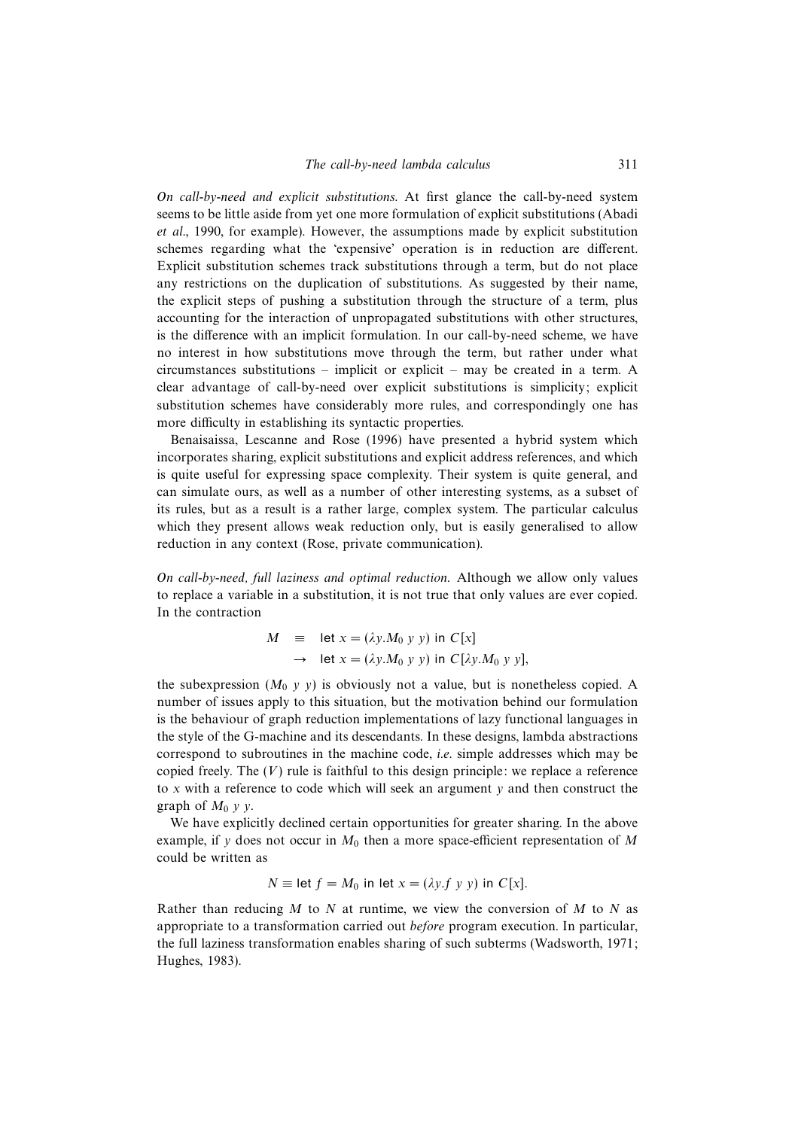On call-by-need and explicit substitutions. At first glance the call-by-need system seems to be little aside from yet one more formulation of explicit substitutions (Abadi et al., 1990, for example). However, the assumptions made by explicit substitution schemes regarding what the 'expensive' operation is in reduction are different. Explicit substitution schemes track substitutions through a term, but do not place any restrictions on the duplication of substitutions. As suggested by their name, the explicit steps of pushing a substitution through the structure of a term, plus accounting for the interaction of unpropagated substitutions with other structures, is the difference with an implicit formulation. In our call-by-need scheme, we have no interest in how substitutions move through the term, but rather under what circumstances substitutions – implicit or explicit – may be created in a term. A clear advantage of call-by-need over explicit substitutions is simplicity; explicit substitution schemes have considerably more rules, and correspondingly one has more difficulty in establishing its syntactic properties.

Benaisaissa, Lescanne and Rose (1996) have presented a hybrid system which incorporates sharing, explicit substitutions and explicit address references, and which is quite useful for expressing space complexity. Their system is quite general, and can simulate ours, as well as a number of other interesting systems, as a subset of its rules, but as a result is a rather large, complex system. The particular calculus which they present allows weak reduction only, but is easily generalised to allow reduction in any context (Rose, private communication).

On call-by-need, full laziness and optimal reduction. Although we allow only values to replace a variable in a substitution, it is not true that only values are ever copied. In the contraction

$$
M \equiv \text{let } x = (\lambda y.M_0 y y) \text{ in } C[x]
$$
  
\n
$$
\rightarrow \text{let } x = (\lambda y.M_0 y y) \text{ in } C[\lambda y.M_0 y y],
$$

the subexpression  $(M_0 \, v \, v)$  is obviously not a value, but is nonetheless copied. A number of issues apply to this situation, but the motivation behind our formulation is the behaviour of graph reduction implementations of lazy functional languages in the style of the G-machine and its descendants. In these designs, lambda abstractions correspond to subroutines in the machine code, i.e. simple addresses which may be copied freely. The  $(V)$  rule is faithful to this design principle: we replace a reference to *x* with a reference to code which will seek an argument *y* and then construct the graph of  $M_0$   $\gamma$   $\gamma$ .

We have explicitly declined certain opportunities for greater sharing. In the above example, if *y* does not occur in *M*<sup>0</sup> then a more space-efficient representation of *M* could be written as

$$
N \equiv \text{let } f = M_0 \text{ in let } x = (\lambda y.f \ y \ y) \text{ in } C[x].
$$

Rather than reducing *M* to *N* at runtime, we view the conversion of *M* to *N* as appropriate to a transformation carried out before program execution. In particular, the full laziness transformation enables sharing of such subterms (Wadsworth, 1971; Hughes, 1983).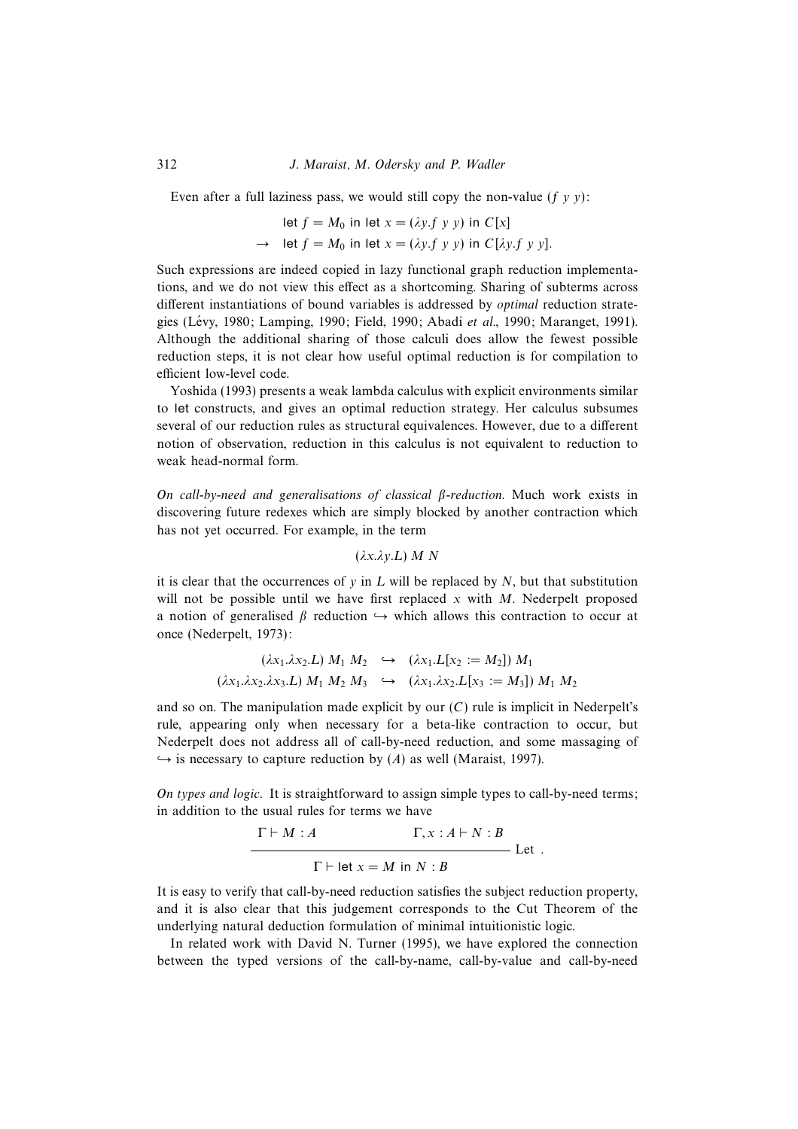Even after a full laziness pass, we would still copy the non-value  $(f y y)$ :

let 
$$
f = M_0
$$
 in let  $x = (\lambda y.f \ y \ y)$  in  $C[x]$   
\n $\rightarrow$  let  $f = M_0$  in let  $x = (\lambda y.f \ y \ y)$  in  $C[\lambda y.f \ y \ y]$ .

Such expressions are indeed copied in lazy functional graph reduction implementations, and we do not view this effect as a shortcoming. Sharing of subterms across different instantiations of bound variables is addressed by optimal reduction strategies (Lévy, 1980; Lamping, 1990; Field, 1990; Abadi et al., 1990; Maranget, 1991). Although the additional sharing of those calculi does allow the fewest possible reduction steps, it is not clear how useful optimal reduction is for compilation to efficient low-level code.

Yoshida (1993) presents a weak lambda calculus with explicit environments similar to let constructs, and gives an optimal reduction strategy. Her calculus subsumes several of our reduction rules as structural equivalences. However, due to a different notion of observation, reduction in this calculus is not equivalent to reduction to weak head-normal form.

On call-by-need and generalisations of classical *β*-reduction. Much work exists in discovering future redexes which are simply blocked by another contraction which has not yet occurred. For example, in the term

(*λx.λy.L*) *M N*

it is clear that the occurrences of  $\gamma$  in *L* will be replaced by *N*, but that substitution will not be possible until we have first replaced *x* with *M*. Nederpelt proposed a notion of generalised  $\beta$  reduction  $\hookrightarrow$  which allows this contraction to occur at once (Nederpelt, 1973):

$$
(\lambda x_1.\lambda x_2.L) M_1 M_2 \hookrightarrow (\lambda x_1.L[x_2 := M_2]) M_1
$$
  

$$
(\lambda x_1.\lambda x_2.\lambda x_3.L) M_1 M_2 M_3 \hookrightarrow (\lambda x_1.\lambda x_2.L[x_3 := M_3]) M_1 M_2
$$

and so on. The manipulation made explicit by our  $(C)$  rule is implicit in Nederpelt's rule, appearing only when necessary for a beta-like contraction to occur, but Nederpelt does not address all of call-by-need reduction, and some massaging of  $\hookrightarrow$  is necessary to capture reduction by (*A*) as well (Maraist, 1997).

On types and logic. It is straightforward to assign simple types to call-by-need terms; in addition to the usual rules for terms we have

$$
\Gamma \vdash M : A \qquad \qquad \Gamma, x : A \vdash N : B
$$
  
 
$$
\Gamma \vdash \text{let } x = M \text{ in } N : B
$$
 Let .

It is easy to verify that call-by-need reduction satisfies the subject reduction property, and it is also clear that this judgement corresponds to the Cut Theorem of the underlying natural deduction formulation of minimal intuitionistic logic.

In related work with David N. Turner (1995), we have explored the connection between the typed versions of the call-by-name, call-by-value and call-by-need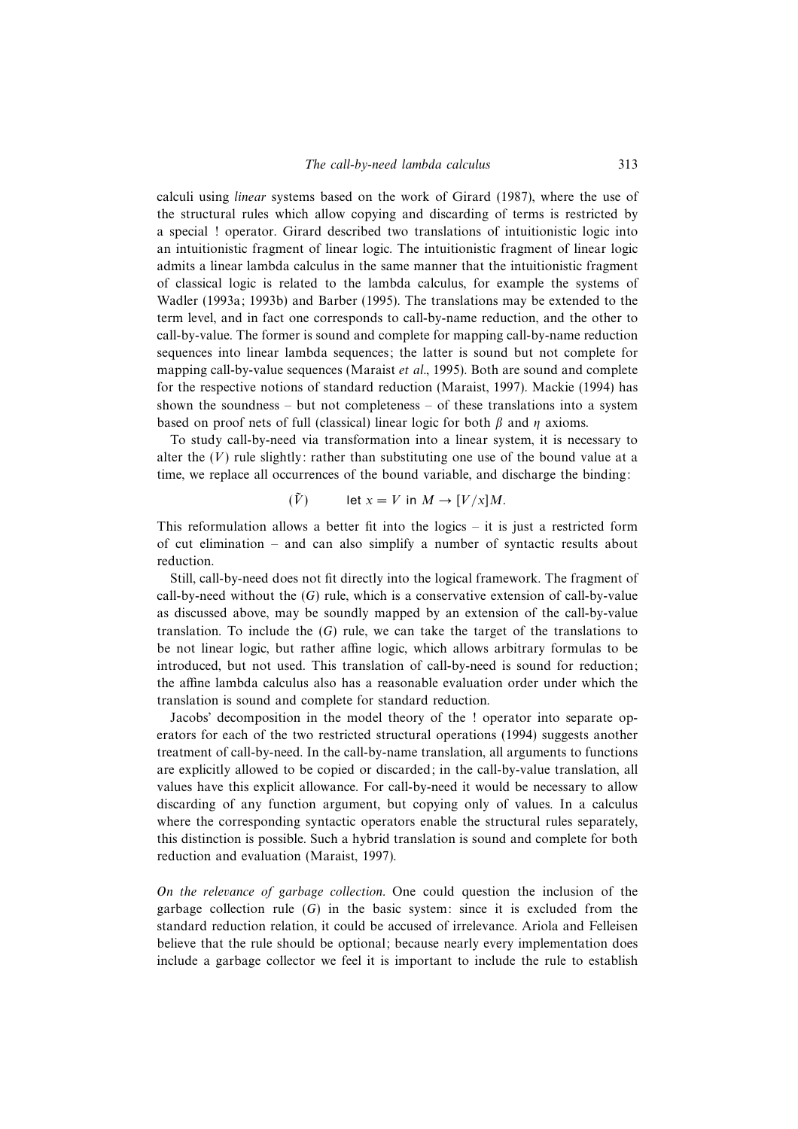calculi using linear systems based on the work of Girard (1987), where the use of the structural rules which allow copying and discarding of terms is restricted by a special ! operator. Girard described two translations of intuitionistic logic into an intuitionistic fragment of linear logic. The intuitionistic fragment of linear logic admits a linear lambda calculus in the same manner that the intuitionistic fragment of classical logic is related to the lambda calculus, for example the systems of Wadler (1993a; 1993b) and Barber (1995). The translations may be extended to the term level, and in fact one corresponds to call-by-name reduction, and the other to call-by-value. The former is sound and complete for mapping call-by-name reduction sequences into linear lambda sequences; the latter is sound but not complete for mapping call-by-value sequences (Maraist et al., 1995). Both are sound and complete for the respective notions of standard reduction (Maraist, 1997). Mackie (1994) has shown the soundness – but not completeness – of these translations into a system based on proof nets of full (classical) linear logic for both *β* and *η* axioms.

To study call-by-need via transformation into a linear system, it is necessary to alter the  $(V)$  rule slightly: rather than substituting one use of the bound value at a time, we replace all occurrences of the bound variable, and discharge the binding:

$$
(\tilde{V}) \qquad \text{let } x = V \text{ in } M \to [V/x]M.
$$

This reformulation allows a better fit into the logics – it is just a restricted form of cut elimination – and can also simplify a number of syntactic results about reduction.

Still, call-by-need does not fit directly into the logical framework. The fragment of call-by-need without the (*G*) rule, which is a conservative extension of call-by-value as discussed above, may be soundly mapped by an extension of the call-by-value translation. To include the  $(G)$  rule, we can take the target of the translations to be not linear logic, but rather affine logic, which allows arbitrary formulas to be introduced, but not used. This translation of call-by-need is sound for reduction; the affine lambda calculus also has a reasonable evaluation order under which the translation is sound and complete for standard reduction.

Jacobs' decomposition in the model theory of the ! operator into separate operators for each of the two restricted structural operations (1994) suggests another treatment of call-by-need. In the call-by-name translation, all arguments to functions are explicitly allowed to be copied or discarded; in the call-by-value translation, all values have this explicit allowance. For call-by-need it would be necessary to allow discarding of any function argument, but copying only of values. In a calculus where the corresponding syntactic operators enable the structural rules separately, this distinction is possible. Such a hybrid translation is sound and complete for both reduction and evaluation (Maraist, 1997).

On the relevance of garbage collection. One could question the inclusion of the garbage collection rule  $(G)$  in the basic system: since it is excluded from the standard reduction relation, it could be accused of irrelevance. Ariola and Felleisen believe that the rule should be optional; because nearly every implementation does include a garbage collector we feel it is important to include the rule to establish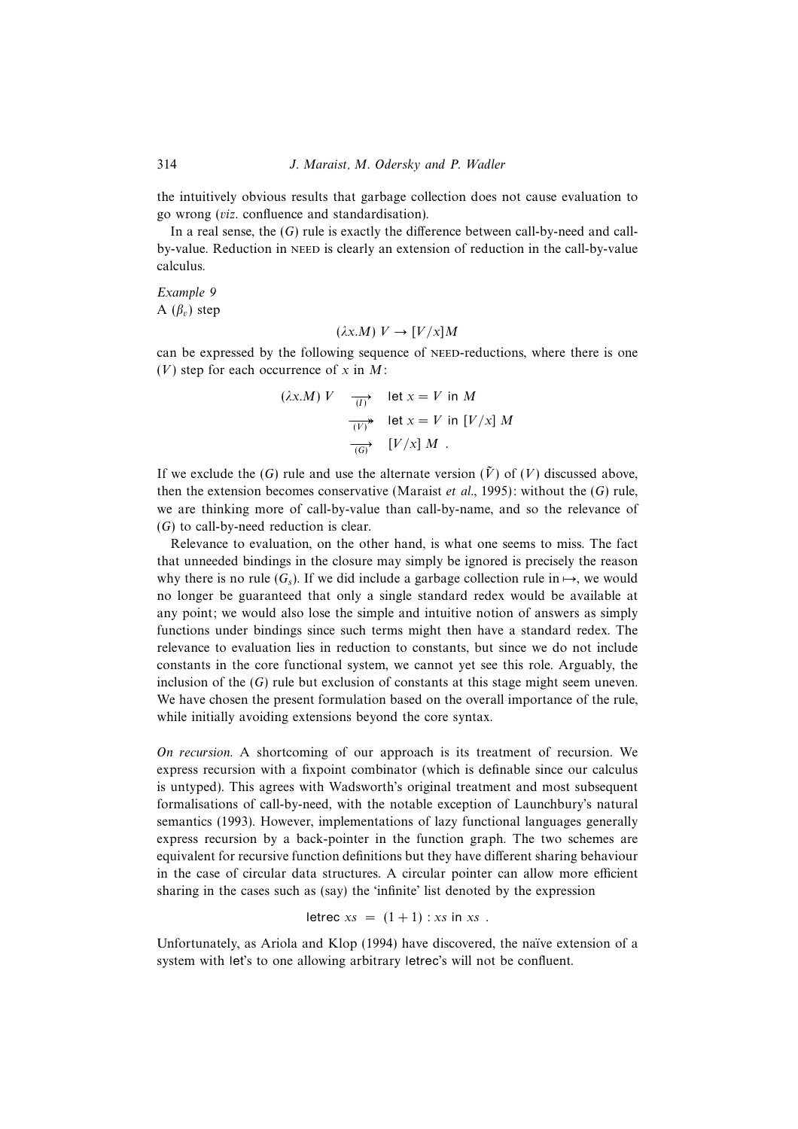the intuitively obvious results that garbage collection does not cause evaluation to go wrong (viz. confluence and standardisation).

In a real sense, the (*G*) rule is exactly the difference between call-by-need and callby-value. Reduction in need is clearly an extension of reduction in the call-by-value calculus.

Example 9 A  $(\beta_v)$  step

$$
(\lambda x.M)\ V \to [V/x]M
$$

can be expressed by the following sequence of NEED-reductions, where there is one (*V*) step for each occurrence of *x* in *M*:

$$
(\lambda x.M) V \xrightarrow[\text{(I)}]{} \text{let } x = V \text{ in } M
$$
  

$$
\xrightarrow[\text{(V)}]{} \text{let } x = V \text{ in } [V/x] M
$$
  

$$
\xrightarrow[\text{(G)}]{} [V/x] M .
$$

If we exclude the (*G*) rule and use the alternate version ( $\tilde{V}$ ) of (*V*) discussed above, then the extension becomes conservative (Maraist et al., 1995): without the (*G*) rule, we are thinking more of call-by-value than call-by-name, and so the relevance of (*G*) to call-by-need reduction is clear.

Relevance to evaluation, on the other hand, is what one seems to miss. The fact that unneeded bindings in the closure may simply be ignored is precisely the reason why there is no rule  $(G_s)$ . If we did include a garbage collection rule in  $\mapsto$ , we would no longer be guaranteed that only a single standard redex would be available at any point; we would also lose the simple and intuitive notion of answers as simply functions under bindings since such terms might then have a standard redex. The relevance to evaluation lies in reduction to constants, but since we do not include constants in the core functional system, we cannot yet see this role. Arguably, the inclusion of the (*G*) rule but exclusion of constants at this stage might seem uneven. We have chosen the present formulation based on the overall importance of the rule, while initially avoiding extensions beyond the core syntax.

On recursion. A shortcoming of our approach is its treatment of recursion. We express recursion with a fixpoint combinator (which is definable since our calculus is untyped). This agrees with Wadsworth's original treatment and most subsequent formalisations of call-by-need, with the notable exception of Launchbury's natural semantics (1993). However, implementations of lazy functional languages generally express recursion by a back-pointer in the function graph. The two schemes are equivalent for recursive function definitions but they have different sharing behaviour in the case of circular data structures. A circular pointer can allow more efficient sharing in the cases such as (say) the 'infinite' list denoted by the expression

letrec 
$$
xs = (1 + 1) : xs \text{ in } xs
$$
.

Unfortunately, as Ariola and Klop  $(1994)$  have discovered, the naïve extension of a system with let's to one allowing arbitrary letrec's will not be confluent.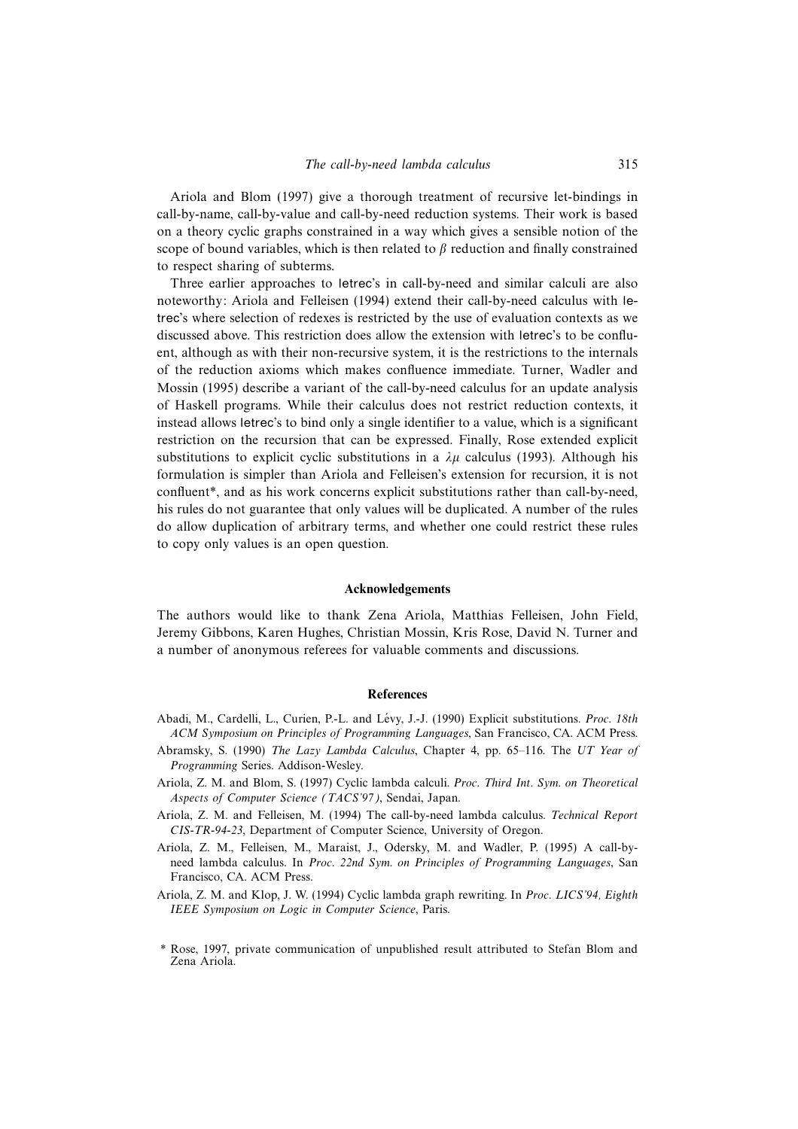Ariola and Blom (1997) give a thorough treatment of recursive let-bindings in call-by-name, call-by-value and call-by-need reduction systems. Their work is based on a theory cyclic graphs constrained in a way which gives a sensible notion of the scope of bound variables, which is then related to  $\beta$  reduction and finally constrained to respect sharing of subterms.

Three earlier approaches to letrec's in call-by-need and similar calculi are also noteworthy: Ariola and Felleisen (1994) extend their call-by-need calculus with letrec's where selection of redexes is restricted by the use of evaluation contexts as we discussed above. This restriction does allow the extension with letrec's to be confluent, although as with their non-recursive system, it is the restrictions to the internals of the reduction axioms which makes confluence immediate. Turner, Wadler and Mossin (1995) describe a variant of the call-by-need calculus for an update analysis of Haskell programs. While their calculus does not restrict reduction contexts, it instead allows letrec's to bind only a single identifier to a value, which is a significant restriction on the recursion that can be expressed. Finally, Rose extended explicit substitutions to explicit cyclic substitutions in a  $\lambda \mu$  calculus (1993). Although his formulation is simpler than Ariola and Felleisen's extension for recursion, it is not confluent<sup>\*</sup>, and as his work concerns explicit substitutions rather than call-by-need, his rules do not guarantee that only values will be duplicated. A number of the rules do allow duplication of arbitrary terms, and whether one could restrict these rules to copy only values is an open question.

#### **Acknowledgements**

The authors would like to thank Zena Ariola, Matthias Felleisen, John Field, Jeremy Gibbons, Karen Hughes, Christian Mossin, Kris Rose, David N. Turner and a number of anonymous referees for valuable comments and discussions.

#### **References**

- Abadi, M., Cardelli, L., Curien, P.-L. and Lévy, J.-J. (1990) Explicit substitutions. *Proc. 18th* ACM Symposium on Principles of Programming Languages, San Francisco, CA. ACM Press.
- Abramsky, S. (1990) The Lazy Lambda Calculus, Chapter 4, pp. 65–116. The UT Year of Programming Series. Addison-Wesley.
- Ariola, Z. M. and Blom, S. (1997) Cyclic lambda calculi. Proc. Third Int. Sym. on Theoretical Aspects of Computer Science (TACS'97), Sendai, Japan.
- Ariola, Z. M. and Felleisen, M. (1994) The call-by-need lambda calculus. Technical Report CIS-TR-94-23, Department of Computer Science, University of Oregon.
- Ariola, Z. M., Felleisen, M., Maraist, J., Odersky, M. and Wadler, P. (1995) A call-byneed lambda calculus. In Proc. 22nd Sym. on Principles of Programming Languages, San Francisco, CA. ACM Press.
- Ariola, Z. M. and Klop, J. W. (1994) Cyclic lambda graph rewriting. In Proc. LICS'94, Eighth IEEE Symposium on Logic in Computer Science, Paris.
- ã Rose, 1997, private communication of unpublished result attributed to Stefan Blom and Zena Ariola.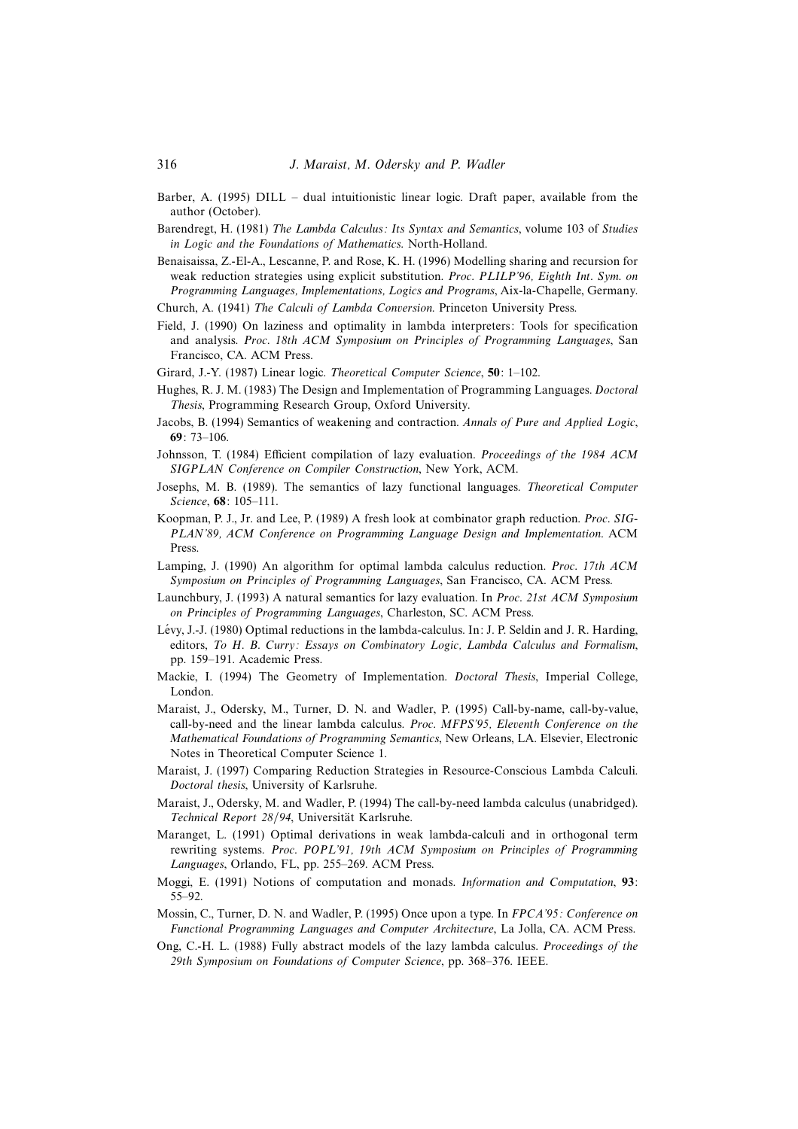- Barber, A. (1995) DILL dual intuitionistic linear logic. Draft paper, available from the author (October).
- Barendregt, H. (1981) The Lambda Calculus: Its Syntax and Semantics, volume 103 of Studies in Logic and the Foundations of Mathematics. North-Holland.
- Benaisaissa, Z.-El-A., Lescanne, P. and Rose, K. H. (1996) Modelling sharing and recursion for weak reduction strategies using explicit substitution. Proc. PLILP'96, Eighth Int. Sym. on Programming Languages, Implementations, Logics and Programs, Aix-la-Chapelle, Germany.
- Church, A. (1941) The Calculi of Lambda Conversion. Princeton University Press.
- Field, J. (1990) On laziness and optimality in lambda interpreters: Tools for specification and analysis. Proc. 18th ACM Symposium on Principles of Programming Languages, San Francisco, CA. ACM Press.
- Girard, J.-Y. (1987) Linear logic. Theoretical Computer Science, **50**: 1–102.
- Hughes, R. J. M. (1983) The Design and Implementation of Programming Languages. Doctoral Thesis, Programming Research Group, Oxford University.
- Jacobs, B. (1994) Semantics of weakening and contraction. Annals of Pure and Applied Logic, **69**: 73–106.
- Johnsson, T. (1984) Efficient compilation of lazy evaluation. Proceedings of the 1984 ACM SIGPLAN Conference on Compiler Construction, New York, ACM.
- Josephs, M. B. (1989). The semantics of lazy functional languages. Theoretical Computer Science, **68**: 105–111.
- Koopman, P. J., Jr. and Lee, P. (1989) A fresh look at combinator graph reduction. Proc. SIG-PLAN'89, ACM Conference on Programming Language Design and Implementation. ACM Press.
- Lamping, J. (1990) An algorithm for optimal lambda calculus reduction. Proc. 17th ACM Symposium on Principles of Programming Languages, San Francisco, CA. ACM Press.
- Launchbury, J. (1993) A natural semantics for lazy evaluation. In Proc. 21st ACM Symposium on Principles of Programming Languages, Charleston, SC. ACM Press.
- Lévy, J.-J. (1980) Optimal reductions in the lambda-calculus. In: J. P. Seldin and J. R. Harding, editors, To H. B. Curry: Essays on Combinatory Logic, Lambda Calculus and Formalism, pp. 159–191. Academic Press.
- Mackie, I. (1994) The Geometry of Implementation. Doctoral Thesis, Imperial College, London.
- Maraist, J., Odersky, M., Turner, D. N. and Wadler, P. (1995) Call-by-name, call-by-value, call-by-need and the linear lambda calculus. Proc. MFPS'95, Eleventh Conference on the Mathematical Foundations of Programming Semantics, New Orleans, LA. Elsevier, Electronic Notes in Theoretical Computer Science 1.
- Maraist, J. (1997) Comparing Reduction Strategies in Resource-Conscious Lambda Calculi. Doctoral thesis, University of Karlsruhe.
- Maraist, J., Odersky, M. and Wadler, P. (1994) The call-by-need lambda calculus (unabridged). Technical Report 28/94, Universität Karlsruhe.
- Maranget, L. (1991) Optimal derivations in weak lambda-calculi and in orthogonal term rewriting systems. Proc. POPL'91, 19th ACM Symposium on Principles of Programming Languages, Orlando, FL, pp. 255–269. ACM Press.
- Moggi, E. (1991) Notions of computation and monads. Information and Computation, **93**: 55–92.
- Mossin, C., Turner, D. N. and Wadler, P. (1995) Once upon a type. In FPCA'95: Conference on Functional Programming Languages and Computer Architecture, La Jolla, CA. ACM Press.
- Ong, C.-H. L. (1988) Fully abstract models of the lazy lambda calculus. Proceedings of the 29th Symposium on Foundations of Computer Science, pp. 368–376. IEEE.